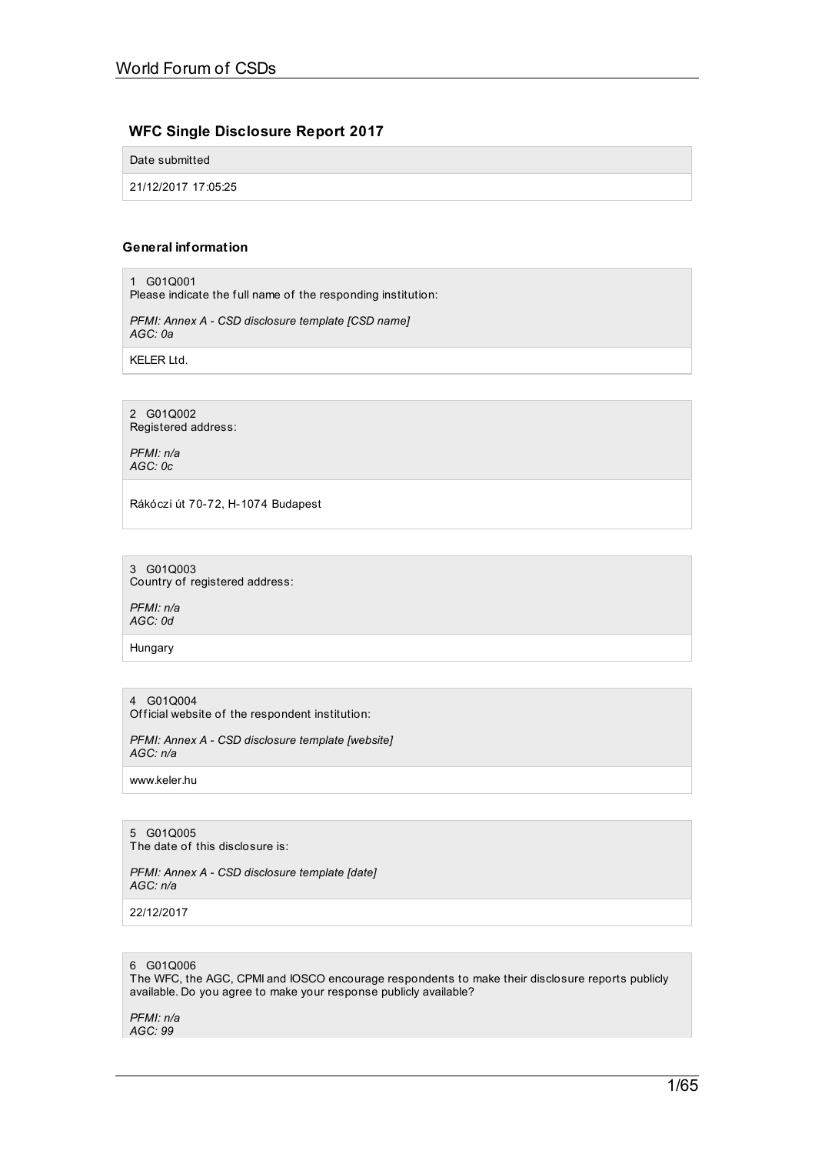# **WFC Single Disclosure Report 2017**

Date submitted

21/12/2017 17:05:25

# **General information**

1 G01Q001

Please indicate the full name of the responding institution:

*PFMI: Annex A - CSD disclosure template [CSD name] AGC: 0a*

KELER Ltd.

2 G01Q002 Registered address:

*PFMI: n/a AGC: 0c*

Rákóczi út 70-72, H-1074 Budapest

3 G01Q003 Country of registered address:

*PFMI: n/a AGC: 0d*

Hungary

### 4 G01Q004

Official website of the respondent institution:

*PFMI: Annex A - CSD disclosure template [website] AGC: n/a*

www.keler.hu

5 G01Q005 The date of this disclosure is:

*PFMI: Annex A - CSD disclosure template [date] AGC: n/a*

22/12/2017

# 6 G01Q006

The WFC, the AGC, CPMI and IOSCO encourage respondents to make their disclosure reports publicly available. Do you agree to make your response publicly available?

*PFMI: n/a AGC: 99*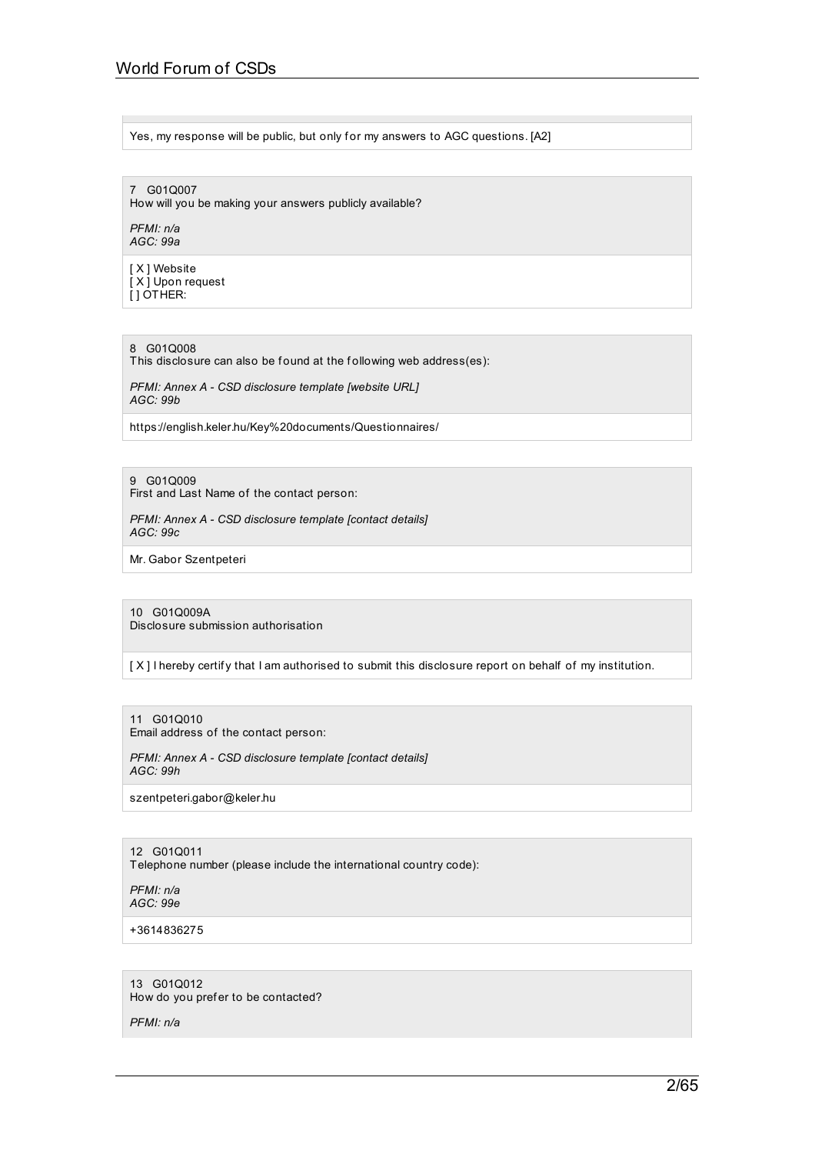Yes, my response will be public, but only for my answers to AGC questions. [A2]

7 G01Q007 How will you be making your answers publicly available?

*PFMI: n/a AGC: 99a*

[ X ] Website [ X ] Upon request  $[$   $]$  OTHER:

8 G01Q008

This disclosure can also be found at the following web address(es):

*PFMI: Annex A - CSD disclosure template [website URL] AGC: 99b*

https://english.keler.hu/Key%20documents/Questionnaires/

9 G01Q009

First and Last Name of the contact person:

*PFMI: Annex A - CSD disclosure template [contact details] AGC: 99c*

Mr. Gabor Szentpeteri

10 G01Q009A Disclosure submission authorisation

[X] I hereby certify that I am authorised to submit this disclosure report on behalf of my institution.

11 G01Q010 Email address of the contact person:

*PFMI: Annex A - CSD disclosure template [contact details] AGC: 99h*

szentpeteri.gabor@keler.hu

12 G01Q011

Telephone number (please include the international country code):

*PFMI: n/a AGC: 99e*

+3614836275

13 G01Q012 How do you prefer to be contacted?

*PFMI: n/a*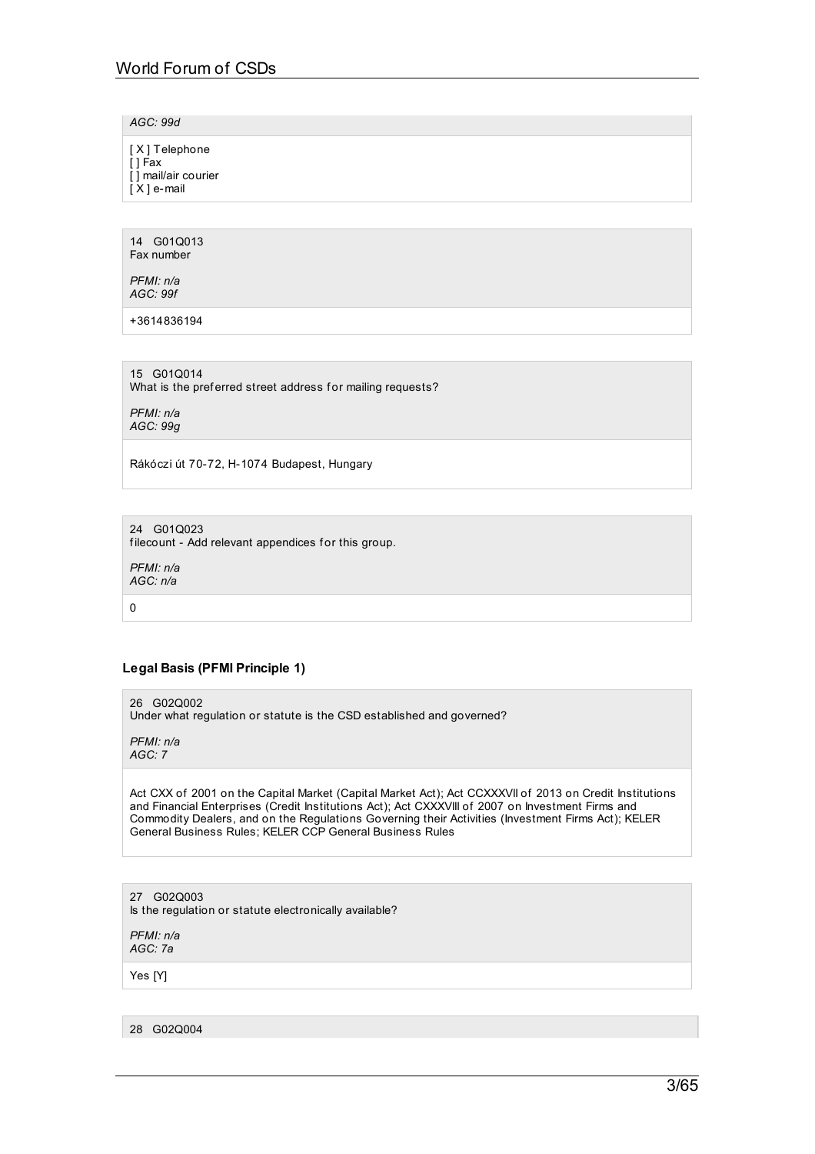*AGC: 99d*

| [X] Telephone<br>[ ] Fax<br>[] mail/air courier<br>$[X]$ e-mail |  |  |
|-----------------------------------------------------------------|--|--|
|                                                                 |  |  |

14 G01Q013 Fax number

*PFMI: n/a AGC: 99f*

+3614836194

15 G01Q014 What is the preferred street address for mailing requests?

*PFMI: n/a AGC: 99g*

Rákóczi út 70-72, H-1074 Budapest, Hungary

24 G01Q023 filecount - Add relevant appendices for this group.

*PFMI: n/a AGC: n/a*

0

# **Legal Basis (PFMI Principle 1)**

26 G02Q002 Under what regulation or statute is the CSD established and governed?

*PFMI: n/a AGC: 7*

Act CXX of 2001 on the Capital Market (Capital Market Act); Act CCXXXVII of 2013 on Credit Institutions and Financial Enterprises (Credit Institutions Act); Act CXXXVIII of 2007 on Investment Firms and Commodity Dealers, and on the Regulations Governing their Activities (Investment Firms Act); KELER General Business Rules; KELER CCP General Business Rules

27 G02Q003 Is the regulation or statute electronically available?

*PFMI: n/a AGC: 7a*

Yes [Y]

28 G02Q004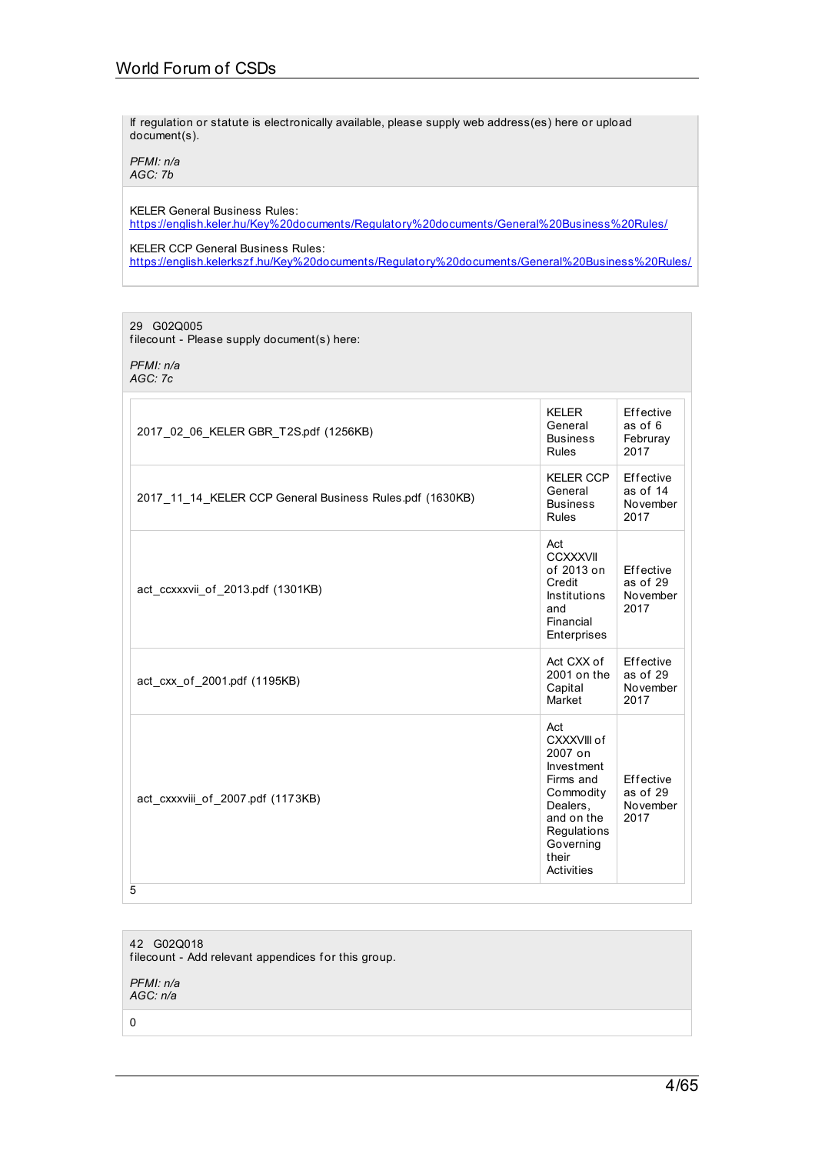If regulation or statute is electronically available, please supply web address(es) here or upload document(s).

*PFMI: n/a AGC: 7b*

KELER General Business Rules: [https://english.keler.hu/Key%20documents/Regulatory%20documents/General%20Business%20Rules/](https://english.keler.hu/Key documents/Regulatory documents/General Business Rules/)

KELER CCP General Business Rules: https://english.kelerkszf[.hu/Key%20documents/Regulatory%20documents/General%20Business%20Rules/](https://english.kelerkszf.hu/Key documents/Regulatory documents/General Business Rules/)

29 G02Q005

filecount - Please supply document(s) here:

*PFMI: n/a AGC: 7c*

| 2017 02 06 KELER GBR T2S.pdf (1256KB)                    | <b>KELER</b><br>General<br><b>Business</b><br>Rules                                                                                                | Effective<br>as of 6<br>Februray<br>2017  |
|----------------------------------------------------------|----------------------------------------------------------------------------------------------------------------------------------------------------|-------------------------------------------|
| 2017 11 14 KELER CCP General Business Rules pdf (1630KB) | <b>KELER CCP</b><br>General<br><b>Business</b><br>Rules                                                                                            | Effective<br>as of 14<br>November<br>2017 |
| act_ccxxxvii_of_2013.pdf (1301KB)                        | Act<br><b>CCXXXVII</b><br>of 2013 on<br>Credit<br><b>Institutions</b><br>and<br>Financial<br>Enterprises                                           | Effective<br>as of 29<br>November<br>2017 |
| act cxx of 2001.pdf (1195KB)                             | Act CXX of<br>2001 on the<br>Capital<br>Market                                                                                                     | Effective<br>as of 29<br>November<br>2017 |
| act_cxxxviii_of_2007.pdf (1173KB)<br>5                   | Act<br>CXXXVIII of<br>2007 on<br>Investment<br>Firms and<br>Commodity<br>Dealers.<br>and on the<br>Regulations<br>Governing<br>their<br>Activities | Effective<br>as of 29<br>November<br>2017 |

42 G02Q018 filecount - Add relevant appendices for this group. *PFMI: n/a*

*AGC: n/a*

0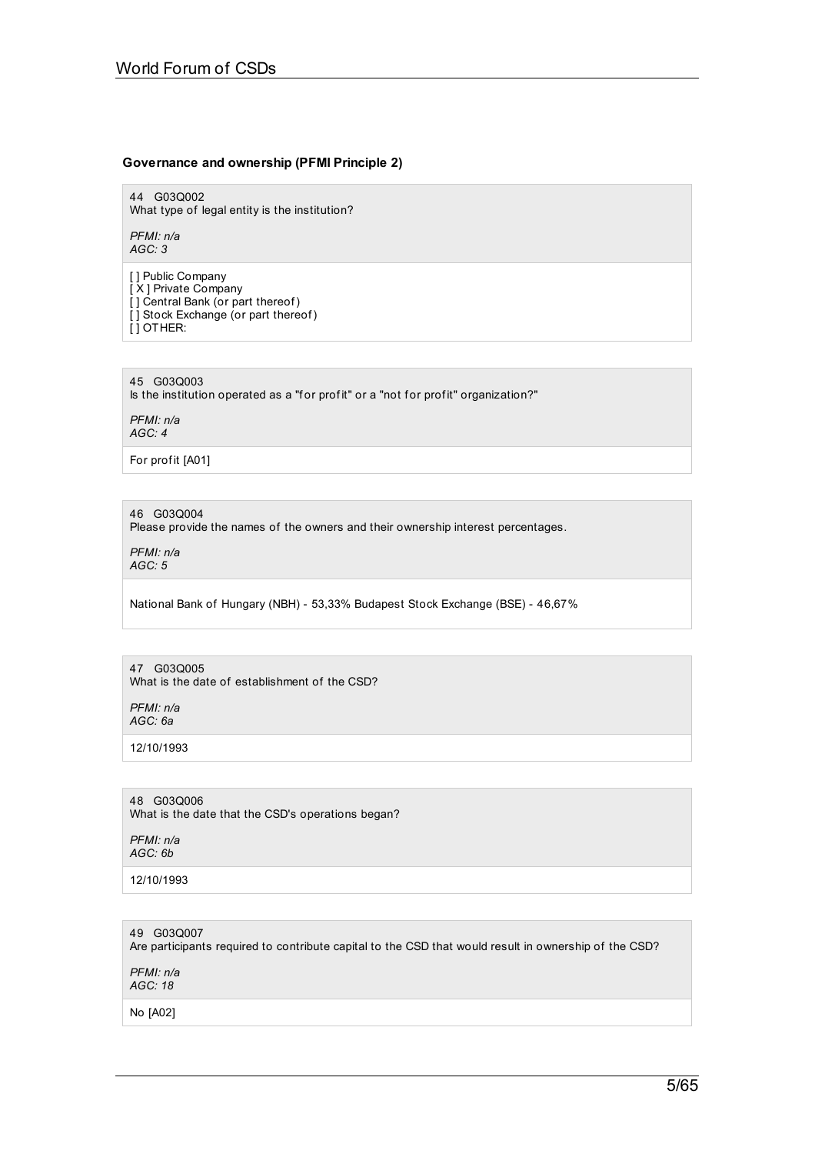# **Governance and ownership (PFMI Principle 2)**

44 G03Q002 What type of legal entity is the institution?

*PFMI: n/a AGC: 3*

[ ] Public Company [ X ] Private Company [] Central Bank (or part thereof) [ ] Stock Exchange (or part thereof) [ ] OTHER:

45 G03Q003

Is the institution operated as a "for profit" or a "not for profit" organization?"

*PFMI: n/a AGC: 4*

For profit [A01]

# 46 G03Q004

Please provide the names of the owners and their ownership interest percentages.

*PFMI: n/a AGC: 5*

National Bank of Hungary (NBH) - 53,33% Budapest Stock Exchange (BSE) - 46,67%

# 47 G03Q005

What is the date of establishment of the CSD?

*PFMI: n/a AGC: 6a*

12/10/1993

48 G03Q006 What is the date that the CSD's operations began?

*PFMI: n/a AGC: 6b*

12/10/1993

# 49 G03Q007

Are participants required to contribute capital to the CSD that would result in ownership of the CSD?

*PFMI: n/a AGC: 18*

No [A02]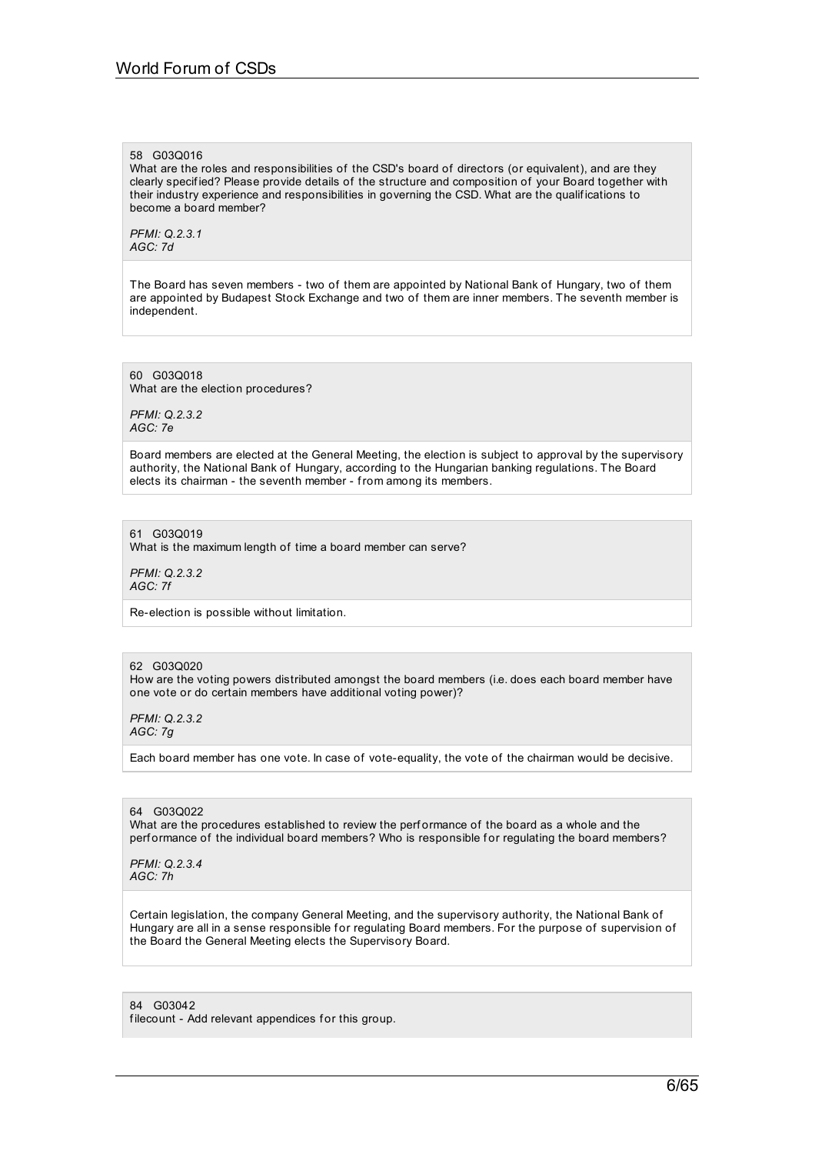#### 58 G03Q016

What are the roles and responsibilities of the CSD's board of directors (or equivalent), and are they clearly specif ied? Please provide details of the structure and composition of your Board together with their industry experience and responsibilities in governing the CSD. What are the qualif ications to become a board member?

*PFMI: Q.2.3.1 AGC: 7d*

The Board has seven members - two of them are appointed by National Bank of Hungary, two of them are appointed by Budapest Stock Exchange and two of them are inner members. The seventh member is independent.

60 G03Q018 What are the election procedures?

*PFMI: Q.2.3.2 AGC: 7e*

Board members are elected at the General Meeting, the election is subject to approval by the supervisory authority, the National Bank of Hungary, according to the Hungarian banking regulations. The Board elects its chairman - the seventh member - from among its members.

61 G03Q019 What is the maximum length of time a board member can serve?

*PFMI: Q.2.3.2 AGC: 7f*

Re-election is possible without limitation.

### 62 G03Q020

How are the voting powers distributed amongst the board members (i.e. does each board member have one vote or do certain members have additional voting power)?

*PFMI: Q.2.3.2 AGC: 7g*

Each board member has one vote. In case of vote-equality, the vote of the chairman would be decisive.

64 G03Q022 What are the procedures established to review the perf ormance of the board as a whole and the performance of the individual board members? Who is responsible for regulating the board members?

*PFMI: Q.2.3.4 AGC: 7h*

Certain legislation, the company General Meeting, and the supervisory authority, the National Bank of Hungary are all in a sense responsible for regulating Board members. For the purpose of supervision of the Board the General Meeting elects the Supervisory Board.

84 G03042 filecount - Add relevant appendices for this group.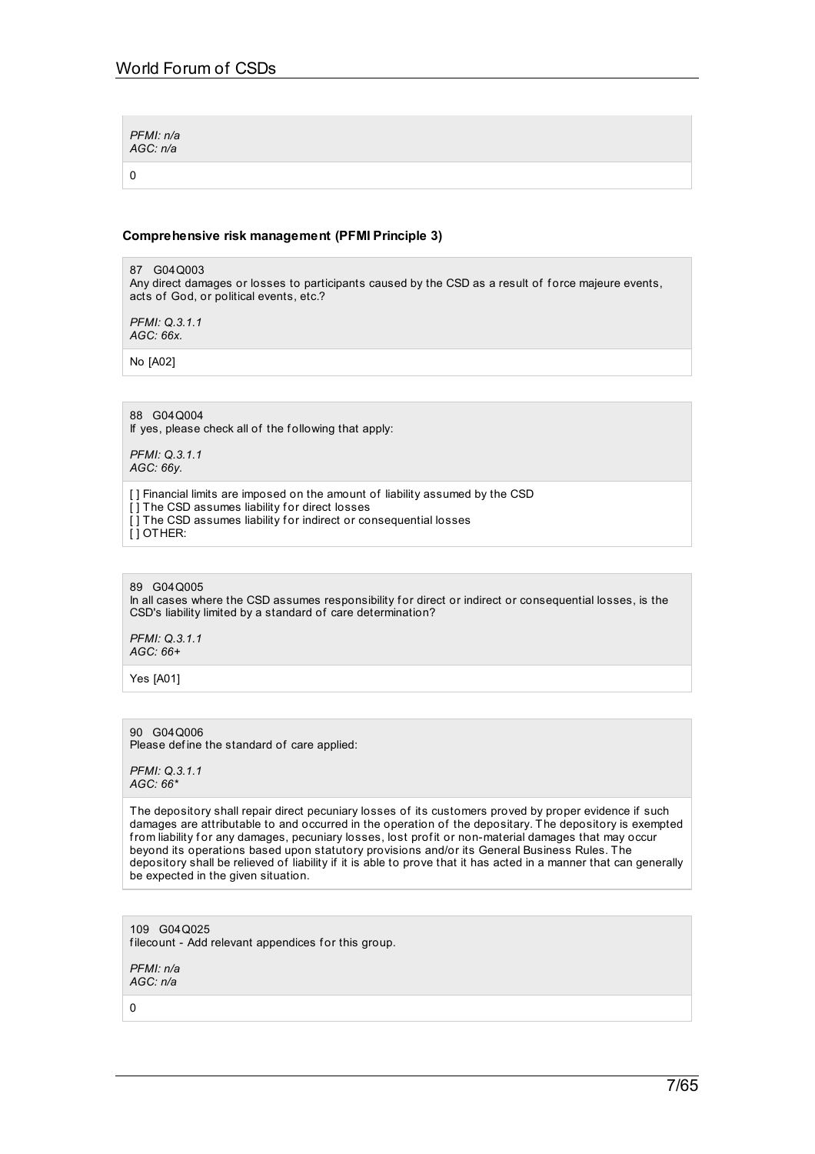| PFMI: n/a<br>AGC: n/a |  |  |
|-----------------------|--|--|
|                       |  |  |

## **Comprehensive risk management (PFMI Principle 3)**

87 G04Q003 Any direct damages or losses to participants caused by the CSD as a result of f orce majeure events, acts of God, or political events, etc.?

*PFMI: Q.3.1.1 AGC: 66x.*

No [A02]

# 88 G04Q004

If yes, please check all of the following that apply:

*PFMI: Q.3.1.1 AGC: 66y.*

[] Financial limits are imposed on the amount of liability assumed by the CSD [] The CSD assumes liability for direct losses [] The CSD assumes liability for indirect or consequential losses [ ] OTHER:

#### 89 G04Q005

In all cases where the CSD assumes responsibility for direct or indirect or consequential losses, is the CSD's liability limited by a standard of care determination?

*PFMI: Q.3.1.1 AGC: 66+*

Yes [A01]

90 G04Q006 Please define the standard of care applied:

*PFMI: Q.3.1.1 AGC: 66\**

The depository shall repair direct pecuniary losses of its customers proved by proper evidence if such damages are attributable to and occurred in the operation of the depositary. The depository is exempted from liability for any damages, pecuniary losses, lost profit or non-material damages that may occur beyond its operations based upon statutory provisions and/or its General Business Rules. The depository shall be relieved of liability if it is able to prove that it has acted in a manner that can generally be expected in the given situation.

109 G04Q025 filecount - Add relevant appendices for this group.

*PFMI: n/a AGC: n/a*

0

7/65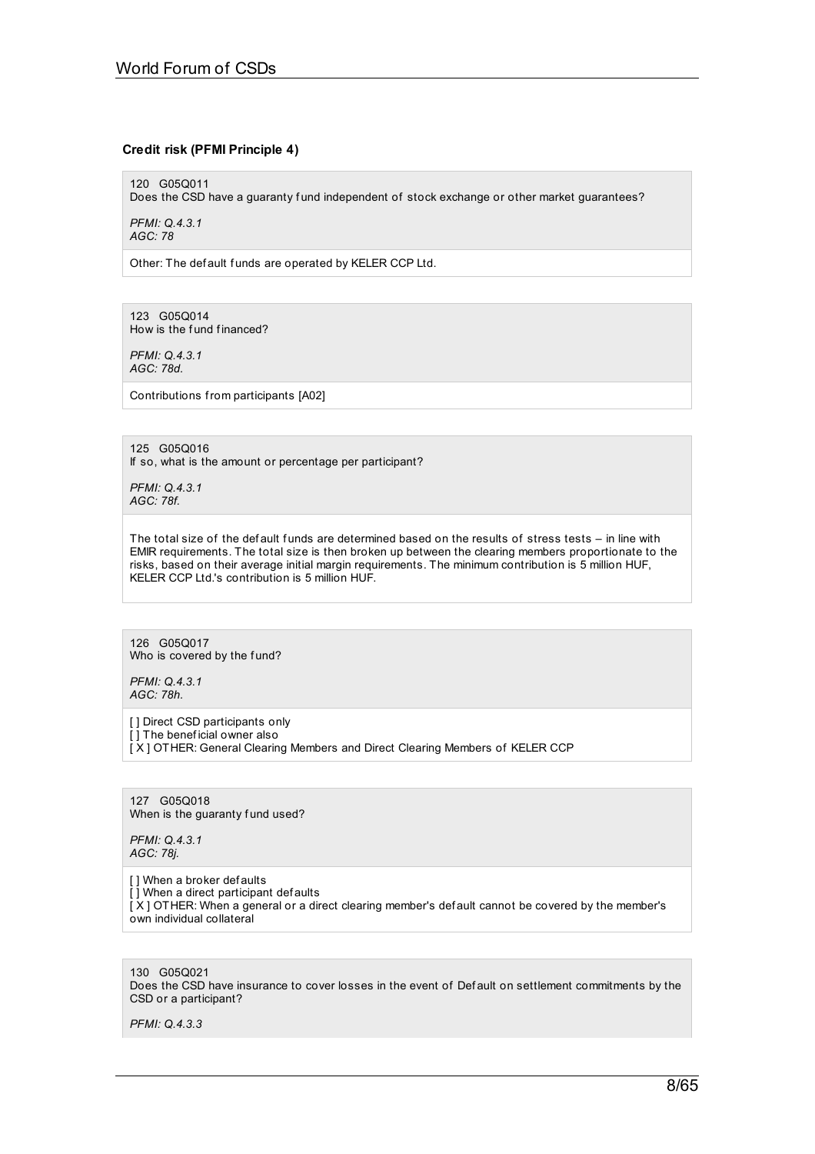## **Credit risk (PFMI Principle 4)**

120 G05Q011

Does the CSD have a guaranty fund independent of stock exchange or other market guarantees?

*PFMI: Q.4.3.1 AGC: 78*

Other: The def ault funds are operated by KELER CCP Ltd.

123 G05Q014 How is the fund financed?

*PFMI: Q.4.3.1 AGC: 78d.*

Contributions from participants [A02]

125 G05Q016 If so, what is the amount or percentage per participant?

*PFMI: Q.4.3.1 AGC: 78f.*

The total size of the default funds are determined based on the results of stress tests – in line with EMIR requirements. The total size is then broken up between the clearing members proportionate to the risks, based on their average initial margin requirements. The minimum contribution is 5 million HUF, KELER CCP Ltd.'s contribution is 5 million HUF.

126 G05Q017 Who is covered by the fund?

*PFMI: Q.4.3.1 AGC: 78h.*

[ ] Direct CSD participants only [] The beneficial owner also [ X ] OTHER: General Clearing Members and Direct Clearing Members of KELER CCP

127 G05Q018 When is the guaranty fund used?

*PFMI: Q.4.3.1 AGC: 78j.*

[] When a broker defaults  $\overline{[}$  ] When a direct participant defaults [ X ] OTHER: When a general or a direct clearing member's def ault cannot be covered by the member's own individual collateral

130 G05Q021 Does the CSD have insurance to cover losses in the event of Def ault on settlement commitments by the CSD or a participant?

*PFMI: Q.4.3.3*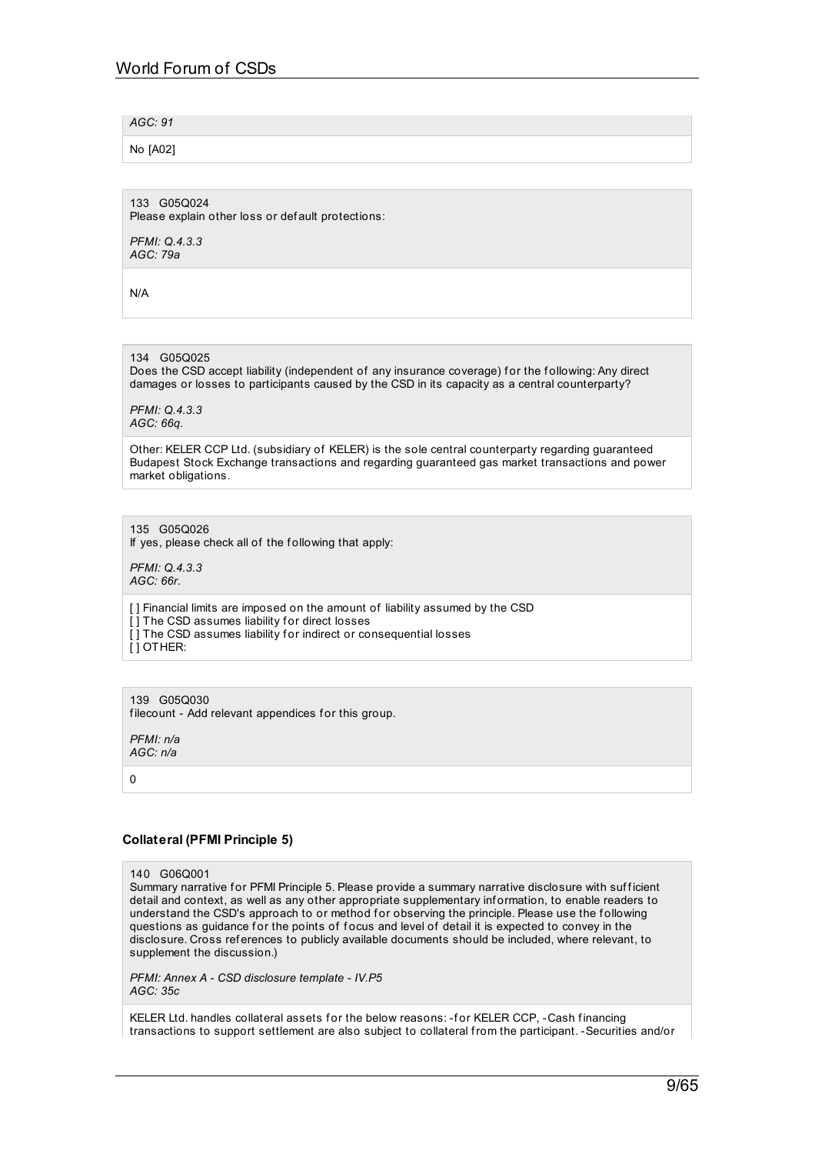### *AGC: 91*

No [A02]

133 G05Q024 Please explain other loss or def ault protections:

*PFMI: Q.4.3.3 AGC: 79a*

N/A

# 134 G05Q025

Does the CSD accept liability (independent of any insurance coverage) for the following: Any direct damages or losses to participants caused by the CSD in its capacity as a central counterparty?

*PFMI: Q.4.3.3 AGC: 66q.*

Other: KELER CCP Ltd. (subsidiary of KELER) is the sole central counterparty regarding guaranteed Budapest Stock Exchange transactions and regarding guaranteed gas market transactions and power market obligations.

135 G05Q026 If yes, please check all of the f ollowing that apply:

*PFMI: Q.4.3.3 AGC: 66r.*

[ ] Financial limits are imposed on the amount of liability assumed by the CSD [] The CSD assumes liability for direct losses [] The CSD assumes liability for indirect or consequential losses [ ] OTHER:

139 G05Q030 filecount - Add relevant appendices for this group.

*PFMI: n/a AGC: n/a*

 $\Omega$ 

# **Collateral (PFMI Principle 5)**

### 140 G06Q001

Summary narrative for PFMI Principle 5. Please provide a summary narrative disclosure with sufficient detail and context, as well as any other appropriate supplementary information, to enable readers to understand the CSD's approach to or method for observing the principle. Please use the following questions as guidance for the points of focus and level of detail it is expected to convey in the disclosure. Cross ref erences to publicly available documents should be included, where relevant, to supplement the discussion.)

*PFMI: Annex A - CSD disclosure template - IV.P5 AGC: 35c*

KELER Ltd. handles collateral assets for the below reasons: -for KELER CCP, -Cash financing transactions to support settlement are also subject to collateral from the participant. -Securities and/or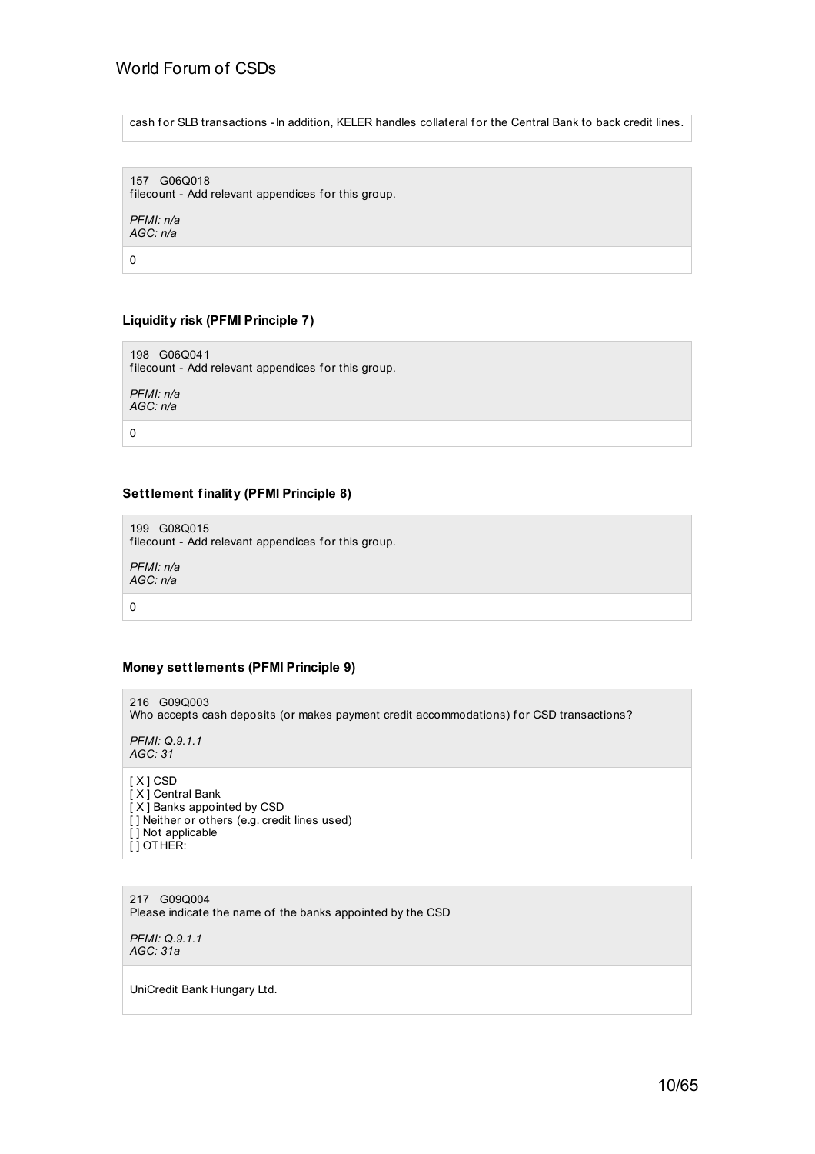cash for SLB transactions -In addition, KELER handles collateral for the Central Bank to back credit lines.

157 G06Q018 filecount - Add relevant appendices for this group. *PFMI: n/a AGC: n/a*

0

# **Liquidity risk (PFMI Principle 7)**

198 G06Q041 filecount - Add relevant appendices for this group.

*PFMI: n/a AGC: n/a*

0

# **Settlement finality (PFMI Principle 8)**

199 G08Q015 filecount - Add relevant appendices for this group.

*PFMI: n/a AGC: n/a*

0

# **Money settlements (PFMI Principle 9)**

216 G09Q003 Who accepts cash deposits (or makes payment credit accommodations) for CSD transactions?

*PFMI: Q.9.1.1 AGC: 31*

[ X ] CSD [ X ] Central Bank [ X ] Banks appointed by CSD [] Neither or others (e.g. credit lines used) [ ] Not applicable [ ] OTHER:

217 G09Q004 Please indicate the name of the banks appointed by the CSD

*PFMI: Q.9.1.1 AGC: 31a*

UniCredit Bank Hungary Ltd.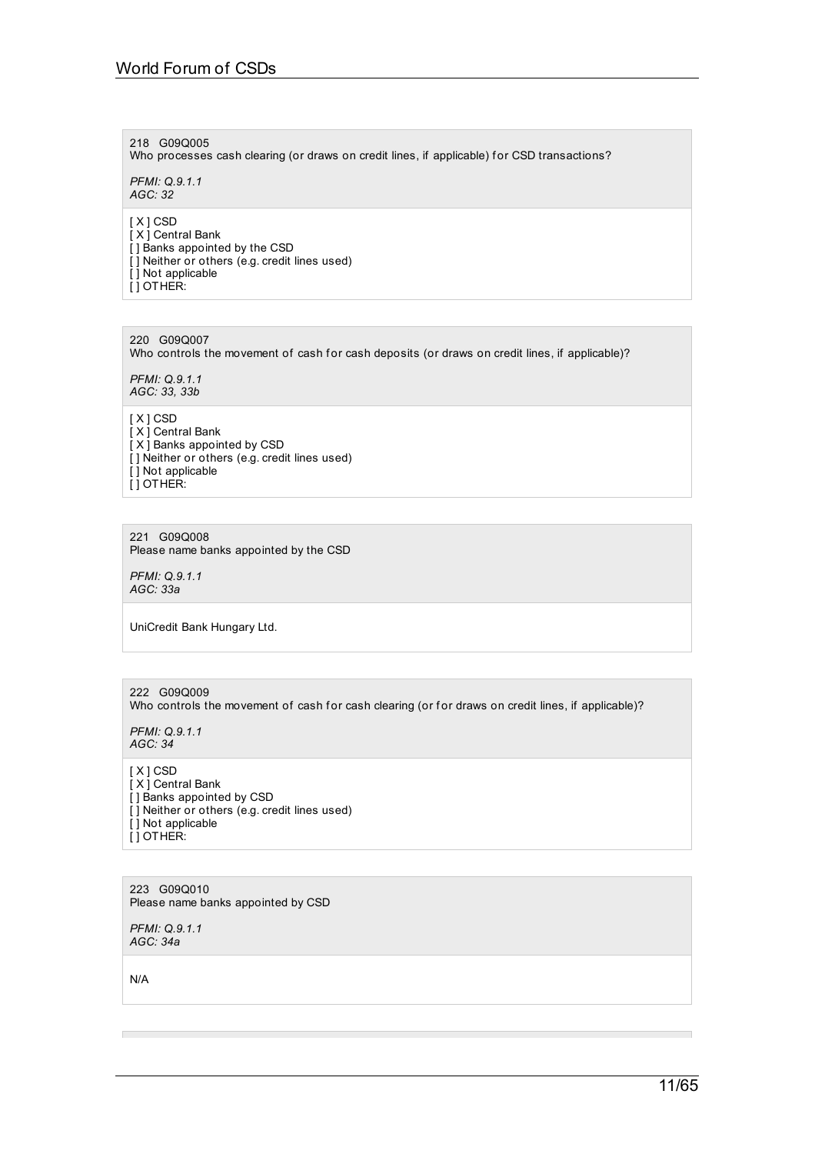# 218 G09Q005

Who processes cash clearing (or draws on credit lines, if applicable) for CSD transactions?

*PFMI: Q.9.1.1 AGC: 32*

[ X ] CSD  $\overline{I}$  X  $\overline{I}$  Central Bank [ ] Banks appointed by the CSD [ ] Neither or others (e.g. credit lines used) [ ] Not applicable [ ] OTHER:

220 G09Q007 Who controls the movement of cash for cash deposits (or draws on credit lines, if applicable)?

*PFMI: Q.9.1.1 AGC: 33, 33b*

[ X ] CSD [ X ] Central Bank [ X ] Banks appointed by CSD [ ] Neither or others (e.g. credit lines used) [] Not applicable [ ] OTHER:

221 G09Q008 Please name banks appointed by the CSD

*PFMI: Q.9.1.1 AGC: 33a*

UniCredit Bank Hungary Ltd.

222 G09Q009 Who controls the movement of cash for cash clearing (or for draws on credit lines, if applicable)?

*PFMI: Q.9.1.1 AGC: 34*

[ X ] CSD [ X ] Central Bank [ ] Banks appointed by CSD [] Neither or others (e.g. credit lines used) [ ] Not applicable [ ] OTHER:

223 G09Q010 Please name banks appointed by CSD

*PFMI: Q.9.1.1 AGC: 34a*

N/A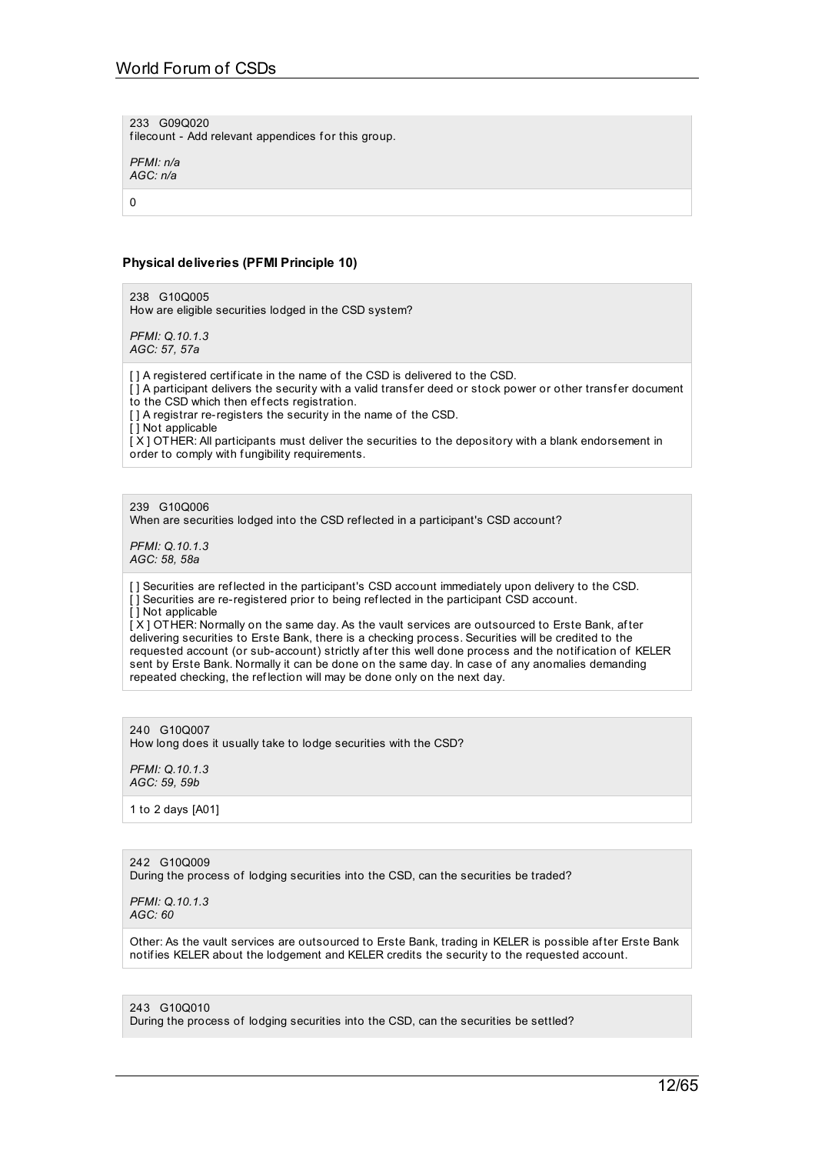233 G09Q020

filecount - Add relevant appendices for this group.

*PFMI: n/a AGC: n/a*

 $\Omega$ 

### **Physical deliveries (PFMI Principle 10)**

238 G10Q005 How are eligible securities lodged in the CSD system?

*PFMI: Q.10.1.3 AGC: 57, 57a*

[] A registered certificate in the name of the CSD is delivered to the CSD.

[1] A participant delivers the security with a valid transfer deed or stock power or other transfer document to the CSD which then effects registration.

[ ] A registrar re-registers the security in the name of the CSD.

[ ] Not applicable

 $[X]$  OTHER: All participants must deliver the securities to the depository with a blank endorsement in order to comply with f ungibility requirements.

239 G10Q006

When are securities lodged into the CSD reflected in a participant's CSD account?

*PFMI: Q.10.1.3 AGC: 58, 58a*

[] Securities are reflected in the participant's CSD account immediately upon delivery to the CSD. [ ] Securities are re-registered prior to being ref lected in the participant CSD account. [ ] Not applicable

[ X ] OTHER: Normally on the same day. As the vault services are outsourced to Erste Bank, af ter delivering securities to Erste Bank, there is a checking process. Securities will be credited to the requested account (or sub-account) strictly af ter this well done process and the notif ication of KELER sent by Erste Bank. Normally it can be done on the same day. In case of any anomalies demanding repeated checking, the ref lection will may be done only on the next day.

240 G10Q007 How long does it usually take to lodge securities with the CSD?

*PFMI: Q.10.1.3 AGC: 59, 59b*

1 to 2 days [A01]

242 G10Q009

During the process of lodging securities into the CSD, can the securities be traded?

*PFMI: Q.10.1.3 AGC: 60*

Other: As the vault services are outsourced to Erste Bank, trading in KELER is possible af ter Erste Bank notif ies KELER about the lodgement and KELER credits the security to the requested account.

243 G10Q010

During the process of lodging securities into the CSD, can the securities be settled?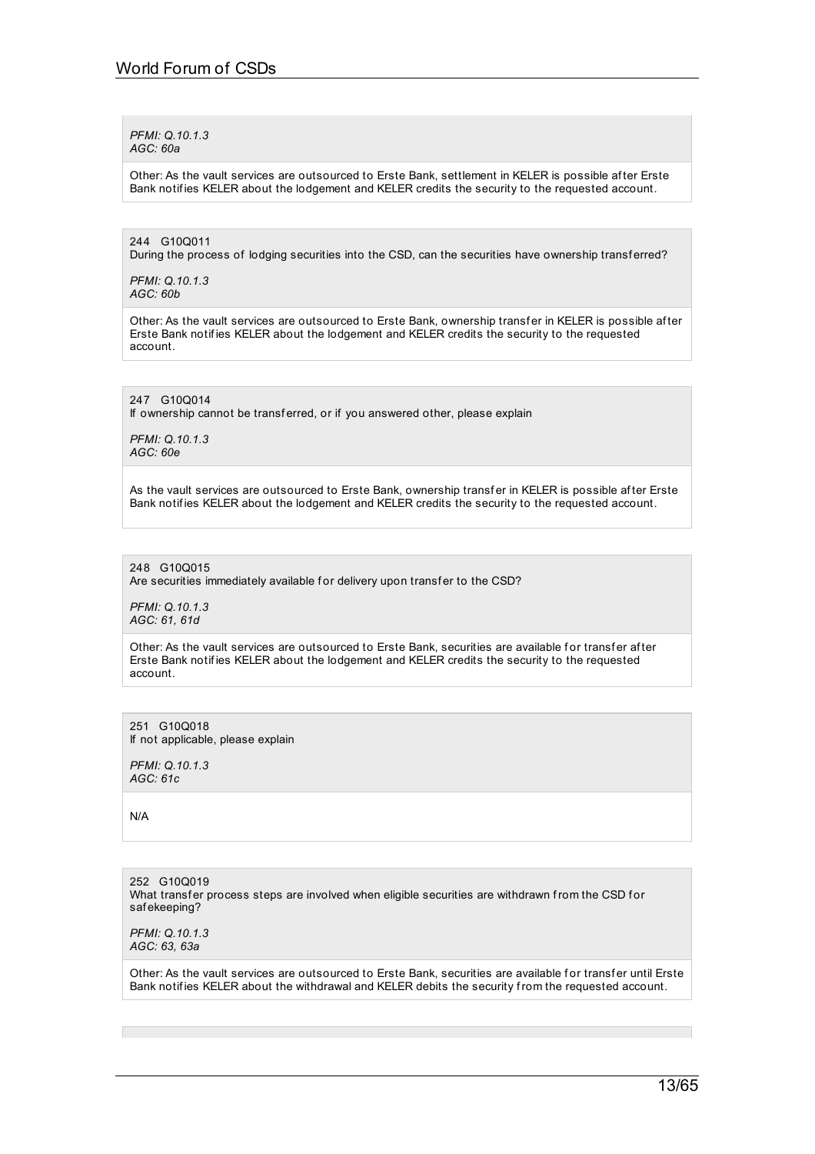*PFMI: Q.10.1.3 AGC: 60a*

Other: As the vault services are outsourced to Erste Bank, settlement in KELER is possible af ter Erste Bank notif ies KELER about the lodgement and KELER credits the security to the requested account.

244 G10Q011

During the process of lodging securities into the CSD, can the securities have ownership transferred?

*PFMI: Q.10.1.3 AGC: 60b*

Other: As the vault services are outsourced to Erste Bank, ownership transfer in KELER is possible after Erste Bank notif ies KELER about the lodgement and KELER credits the security to the requested account.

247 G10Q014

If ownership cannot be transferred, or if you answered other, please explain

*PFMI: Q.10.1.3 AGC: 60e*

As the vault services are outsourced to Erste Bank, ownership transfer in KELER is possible after Erste Bank notifies KELER about the lodgement and KELER credits the security to the requested account.

248 G10Q015

Are securities immediately available for delivery upon transfer to the CSD?

*PFMI: Q.10.1.3 AGC: 61, 61d*

Other: As the vault services are outsourced to Erste Bank, securities are available for transfer after Erste Bank notif ies KELER about the lodgement and KELER credits the security to the requested account.

251 G10Q018 If not applicable, please explain

*PFMI: Q.10.1.3 AGC: 61c*

N/A

252 G10Q019 What transfer process steps are involved when eligible securities are withdrawn from the CSD for saf ekeeping?

*PFMI: Q.10.1.3 AGC: 63, 63a*

Other: As the vault services are outsourced to Erste Bank, securities are available for transfer until Erste Bank notif ies KELER about the withdrawal and KELER debits the security from the requested account.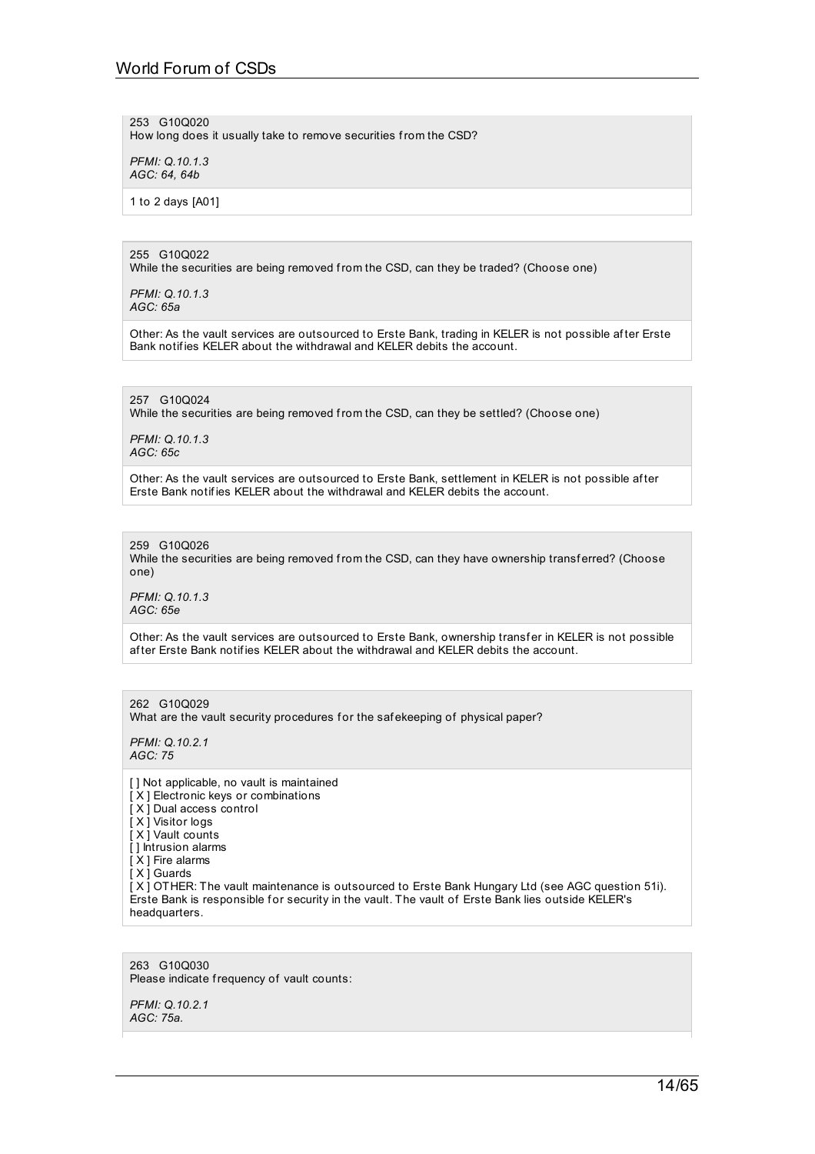# World Forum of CSDs

253 G10Q020 How long does it usually take to remove securities from the CSD?

*PFMI: Q.10.1.3 AGC: 64, 64b*

1 to 2 days [A01]

255 G10Q022

While the securities are being removed from the CSD, can they be traded? (Choose one)

*PFMI: Q.10.1.3 AGC: 65a*

Other: As the vault services are outsourced to Erste Bank, trading in KELER is not possible af ter Erste Bank notif ies KELER about the withdrawal and KELER debits the account.

257 G10Q024

While the securities are being removed from the CSD, can they be settled? (Choose one)

*PFMI: Q.10.1.3 AGC: 65c*

Other: As the vault services are outsourced to Erste Bank, settlement in KELER is not possible af ter Erste Bank notif ies KELER about the withdrawal and KELER debits the account.

259 G10Q026 While the securities are being removed from the CSD, can they have ownership transferred? (Choose one)

*PFMI: Q.10.1.3 AGC: 65e*

Other: As the vault services are outsourced to Erste Bank, ownership transfer in KELER is not possible af ter Erste Bank notif ies KELER about the withdrawal and KELER debits the account.

262 G10Q029 What are the vault security procedures for the safekeeping of physical paper?

*PFMI: Q.10.2.1 AGC: 75*

[ ] Not applicable, no vault is maintained [X] Electronic keys or combinations [ X ] Dual access control [ X ] Visitor logs [ X ] Vault counts [ ] Intrusion alarms [ X ] Fire alarms [ X ] Guards [ X ] OTHER: The vault maintenance is outsourced to Erste Bank Hungary Ltd (see AGC question 51i). Erste Bank is responsible for security in the vault. The vault of Erste Bank lies outside KELER's headquarters.

263 G10Q030 Please indicate frequency of vault counts:

*PFMI: Q.10.2.1 AGC: 75a.*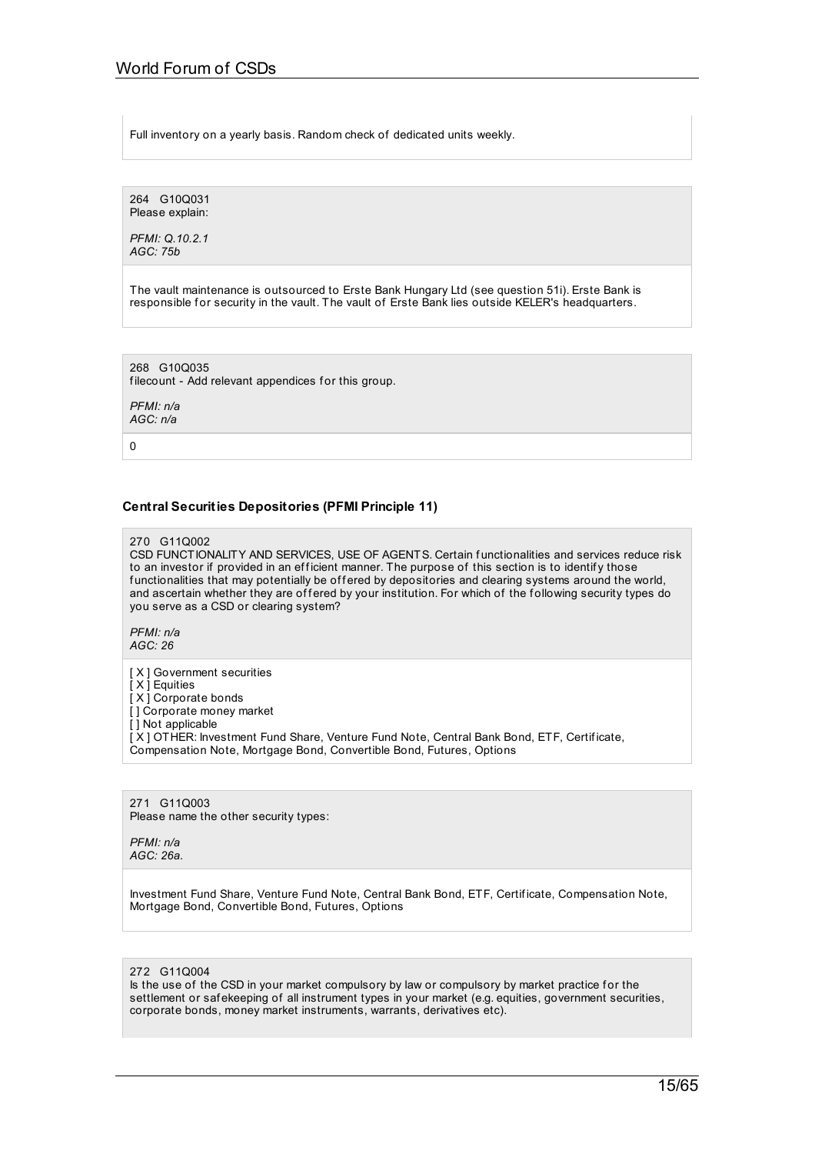Full inventory on a yearly basis. Random check of dedicated units weekly.

264 G10Q031 Please explain:

*PFMI: Q.10.2.1 AGC: 75b*

The vault maintenance is outsourced to Erste Bank Hungary Ltd (see question 51i). Erste Bank is responsible for security in the vault. The vault of Erste Bank lies outside KELER's headquarters.

268 G10Q035 filecount - Add relevant appendices for this group.

*PFMI: n/a AGC: n/a*

 $\overline{0}$ 

# **Central Securities Depositories (PFMI Principle 11)**

270 G11Q002

CSD FUNCTIONALITY AND SERVICES, USE OF AGENTS. Certain functionalities and services reduce risk to an investor if provided in an efficient manner. The purpose of this section is to identify those functionalities that may potentially be offered by depositories and clearing systems around the world, and ascertain whether they are of fered by your institution. For which of the following security types do you serve as a CSD or clearing system?

*PFMI: n/a AGC: 26*

- [ X ] Government securities
- [ X ] Equities

[X] Corporate bonds

[] Corporate money market

[ ] Not applicable

[ X ] OTHER: Investment Fund Share, Venture Fund Note, Central Bank Bond, ETF, Certif icate, Compensation Note, Mortgage Bond, Convertible Bond, Futures, Options

271 G11Q003 Please name the other security types:

*PFMI: n/a AGC: 26a.*

Investment Fund Share, Venture Fund Note, Central Bank Bond, ETF, Certif icate, Compensation Note, Mortgage Bond, Convertible Bond, Futures, Options

272 G11Q004

Is the use of the CSD in your market compulsory by law or compulsory by market practice for the settlement or saf ekeeping of all instrument types in your market (e.g. equities, government securities, corporate bonds, money market instruments, warrants, derivatives etc).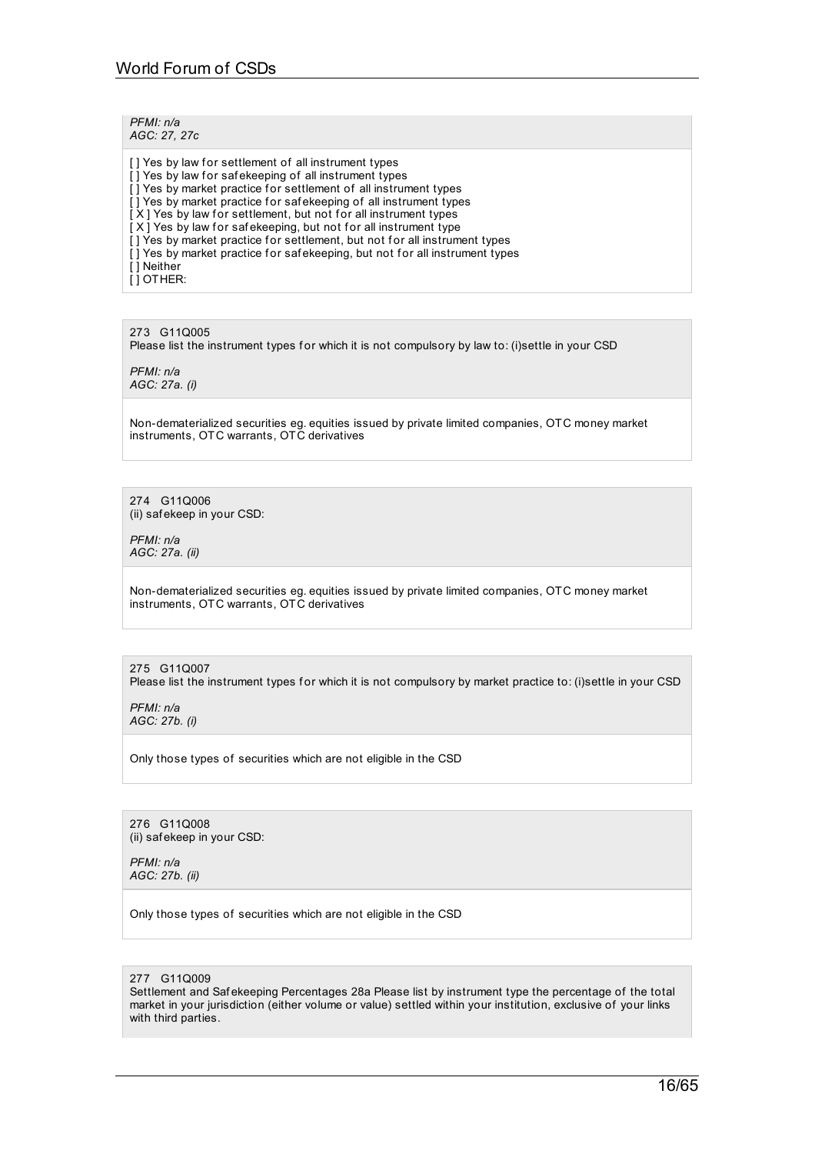#### *PFMI: n/a AGC: 27, 27c*

[] Yes by law for settlement of all instrument types [] Yes by law for safekeeping of all instrument types [] Yes by market practice for settlement of all instrument types [] Yes by market practice for safekeeping of all instrument types  $[X]$  Yes by law for settlement, but not for all instrument types  $[X]$  Yes by law for safekeeping, but not for all instrument type [] Yes by market practice for settlement, but not for all instrument types [] Yes by market practice for safekeeping, but not for all instrument types [ ] Neither [ ] OTHER:

273 G11Q005 Please list the instrument types for which it is not compulsory by law to: (i)settle in your CSD

*PFMI: n/a AGC: 27a. (i)*

Non-dematerialized securities eg. equities issued by private limited companies, OTC money market instruments, OTC warrants, OTC derivatives

274 G11Q006 (ii) saf ekeep in your CSD:

*PFMI: n/a AGC: 27a. (ii)*

Non-dematerialized securities eg. equities issued by private limited companies, OTC money market instruments, OTC warrants, OTC derivatives

# 275 G11Q007

Please list the instrument types for which it is not compulsory by market practice to: (i)settle in your CSD

*PFMI: n/a AGC: 27b. (i)*

Only those types of securities which are not eligible in the CSD

276 G11Q008 (ii) saf ekeep in your CSD:

*PFMI: n/a AGC: 27b. (ii)*

Only those types of securities which are not eligible in the CSD

### 277 G11Q009

Settlement and Saf ekeeping Percentages 28a Please list by instrument type the percentage of the total market in your jurisdiction (either volume or value) settled within your institution, exclusive of your links with third parties.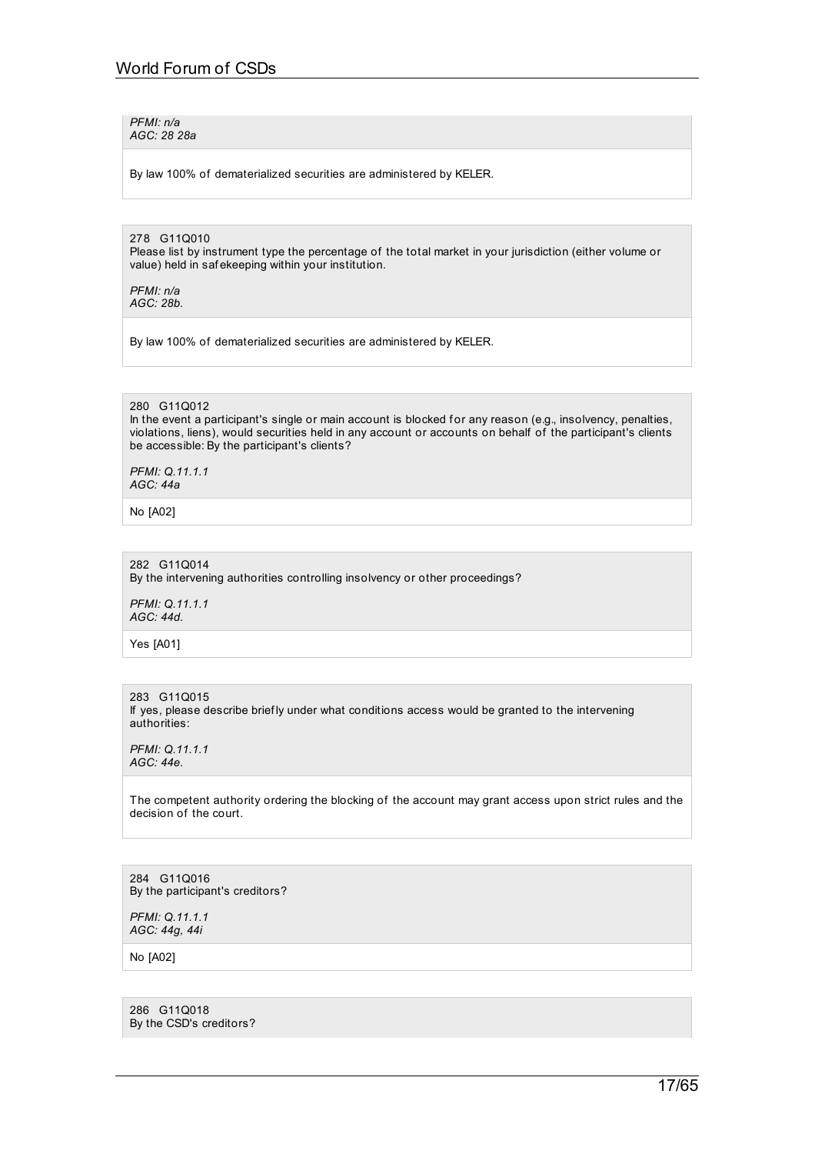*PFMI: n/a AGC: 28 28a*

By law 100% of dematerialized securities are administered by KELER.

278 G11Q010 Please list by instrument type the percentage of the total market in your jurisdiction (either volume or value) held in saf ekeeping within your institution.

*PFMI: n/a AGC: 28b.*

By law 100% of dematerialized securities are administered by KELER.

#### 280 G11Q012

In the event a participant's single or main account is blocked for any reason (e.g., insolvency, penalties, violations, liens), would securities held in any account or accounts on behalf of the participant's clients be accessible: By the participant's clients?

*PFMI: Q.11.1.1 AGC: 44a*

No [A02]

282 G11Q014 By the intervening authorities controlling insolvency or other proceedings?

*PFMI: Q.11.1.1 AGC: 44d.*

Yes [A01]

283 G11Q015 If yes, please describe briefly under what conditions access would be granted to the intervening authorities:

*PFMI: Q.11.1.1 AGC: 44e.*

The competent authority ordering the blocking of the account may grant access upon strict rules and the decision of the court.

284 G11Q016 By the participant's creditors?

*PFMI: Q.11.1.1 AGC: 44g, 44i*

No [A02]

286 G11Q018 By the CSD's creditors?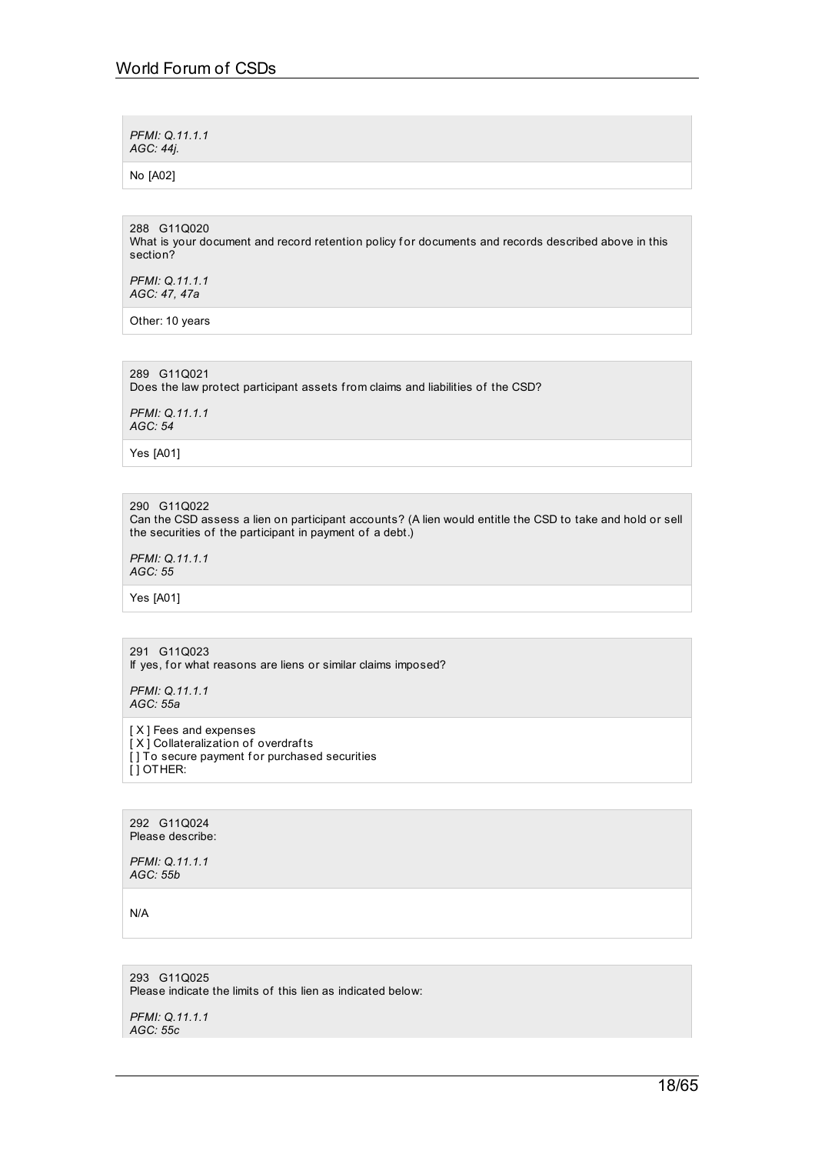*PFMI: Q.11.1.1 AGC: 44j.*

No [A02]

288 G11Q020 What is your document and record retention policy for documents and records described above in this section?

*PFMI: Q.11.1.1 AGC: 47, 47a*

Other: 10 years

289 G11Q021

Does the law protect participant assets from claims and liabilities of the CSD?

*PFMI: Q.11.1.1 AGC: 54*

Yes [A01]

# 290 G11Q022

Can the CSD assess a lien on participant accounts? (A lien would entitle the CSD to take and hold or sell the securities of the participant in payment of a debt.)

*PFMI: Q.11.1.1 AGC: 55*

Yes [A01]

### 291 G11Q023

If yes, for what reasons are liens or similar claims imposed?

*PFMI: Q.11.1.1 AGC: 55a*

[ $X$ ] Fees and expenses [X] Collateralization of overdrafts [] To secure payment for purchased securities [ ] OTHER:

292 G11Q024 Please describe:

*PFMI: Q.11.1.1 AGC: 55b*

N/A

293 G11Q025 Please indicate the limits of this lien as indicated below:

*PFMI: Q.11.1.1 AGC: 55c*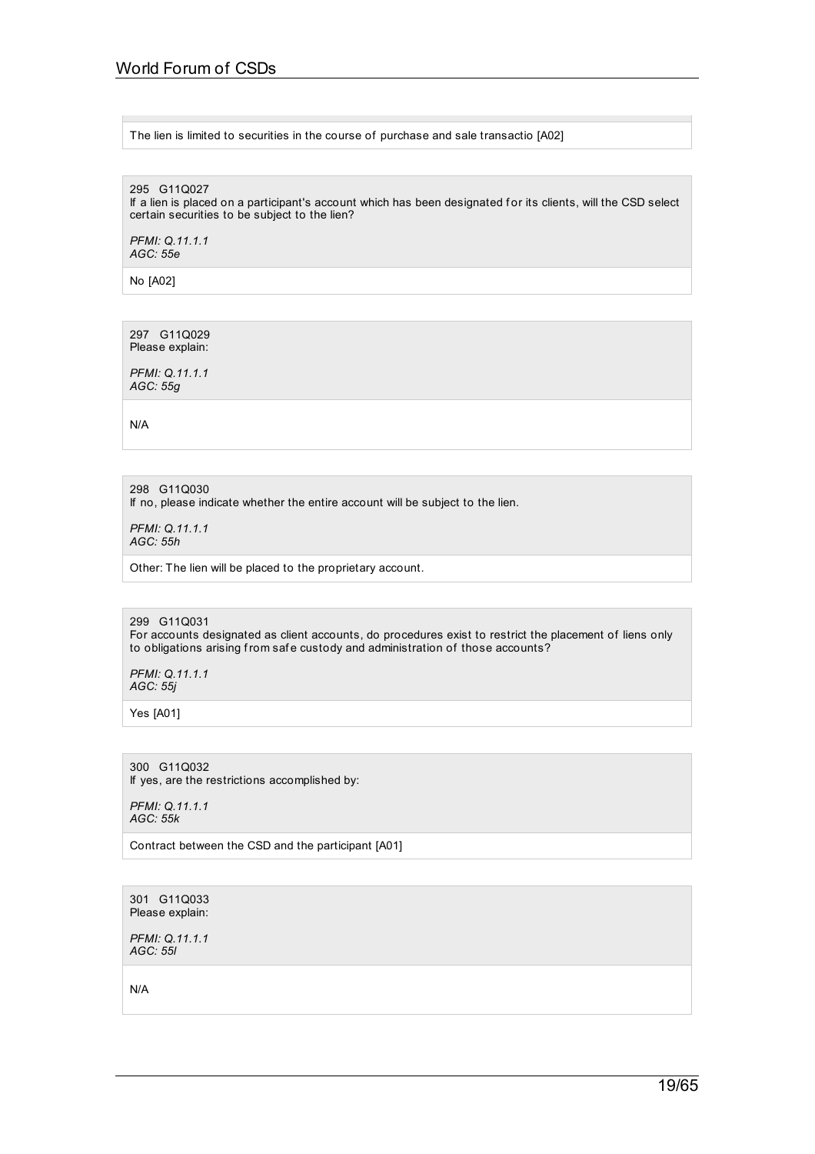### The lien is limited to securities in the course of purchase and sale transactio [A02]

295 G11Q027

If a lien is placed on a participant's account which has been designated for its clients, will the CSD select certain securities to be subject to the lien?

*PFMI: Q.11.1.1 AGC: 55e*

No [A02]

297 G11Q029 Please explain:

*PFMI: Q.11.1.1 AGC: 55g*

N/A

298 G11Q030 If no, please indicate whether the entire account will be subject to the lien.

*PFMI: Q.11.1.1 AGC: 55h*

Other: The lien will be placed to the proprietary account.

299 G11Q031 For accounts designated as client accounts, do procedures exist to restrict the placement of liens only to obligations arising from safe custody and administration of those accounts?

*PFMI: Q.11.1.1 AGC: 55j*

Yes [A01]

300 G11Q032 If yes, are the restrictions accomplished by:

*PFMI: Q.11.1.1 AGC: 55k*

Contract between the CSD and the participant [A01]

301 G11Q033 Please explain:

*PFMI: Q.11.1.1 AGC: 55l*

N/A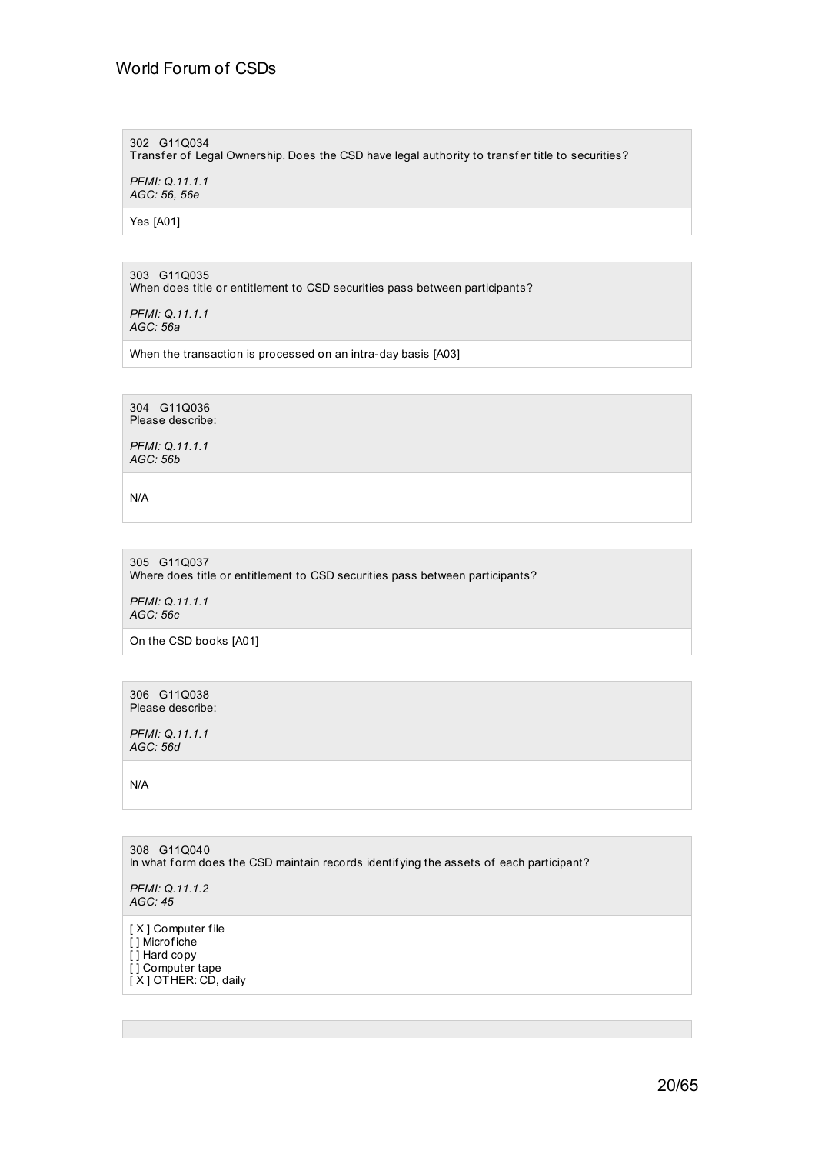## 302 G11Q034

Transfer of Legal Ownership. Does the CSD have legal authority to transfer title to securities?

*PFMI: Q.11.1.1 AGC: 56, 56e*

Yes [A01]

303 G11Q035 When does title or entitlement to CSD securities pass between participants?

*PFMI: Q.11.1.1 AGC: 56a*

When the transaction is processed on an intra-day basis [A03]

304 G11Q036 Please describe:

*PFMI: Q.11.1.1 AGC: 56b*

N/A

305 G11Q037 Where does title or entitlement to CSD securities pass between participants?

*PFMI: Q.11.1.1 AGC: 56c*

On the CSD books [A01]

306 G11Q038 Please describe:

*PFMI: Q.11.1.1 AGC: 56d*

N/A

308 G11Q040 In what form does the CSD maintain records identifying the assets of each participant?

*PFMI: Q.11.1.2 AGC: 45*

[ X ] Computer file [ ] Microf iche [ ] Hard copy [ ] Computer tape [X] OTHER: CD, daily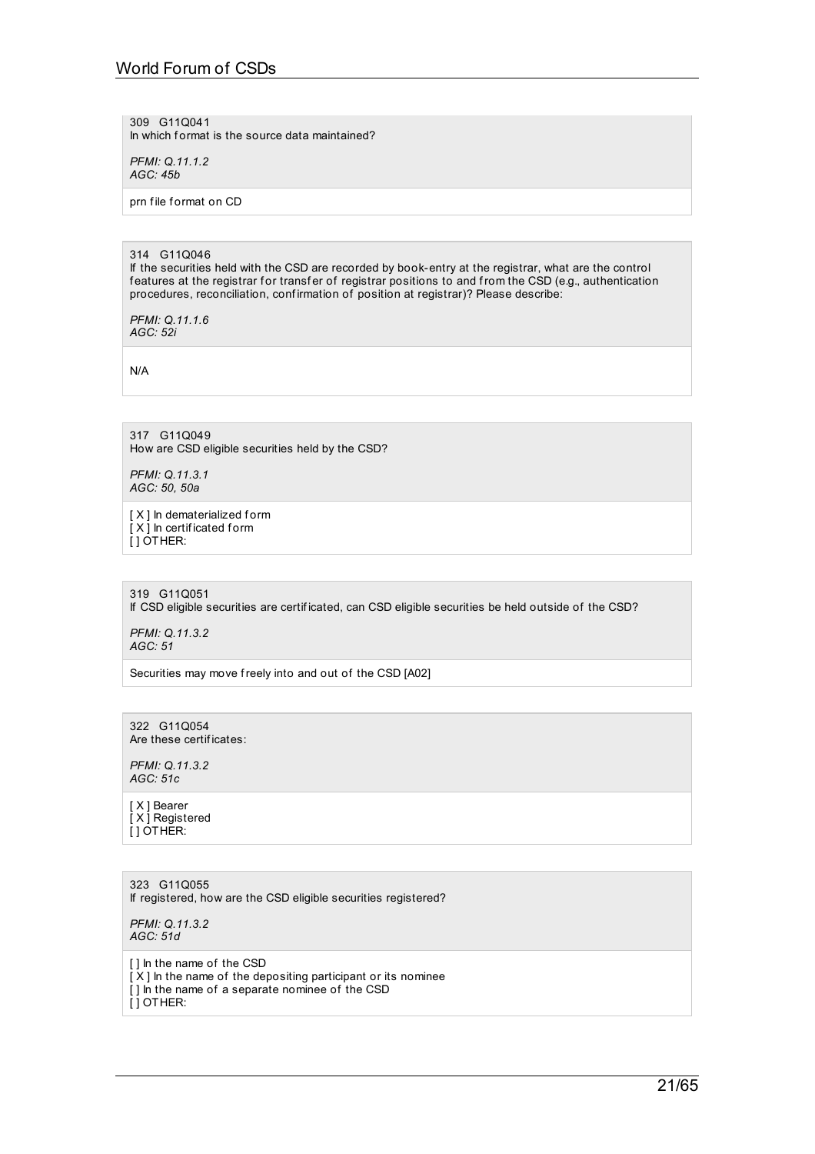# World Forum of CSDs

309 G11Q041 In which format is the source data maintained?

*PFMI: Q.11.1.2 AGC: 45b*

prn file format on CD

#### 314 G11Q046

If the securities held with the CSD are recorded by book-entry at the registrar, what are the control features at the registrar for transfer of registrar positions to and from the CSD (e.g., authentication procedures, reconciliation, confirmation of position at registrar)? Please describe:

*PFMI: Q.11.1.6 AGC: 52i*

N/A

317 G11Q049 How are CSD eligible securities held by the CSD?

*PFMI: Q.11.3.1 AGC: 50, 50a*

[ X ] In dematerialized form  $\overline{[} \times \overline{]}$  In certificated form [ ] OTHER:

319 G11Q051 If CSD eligible securities are certif icated, can CSD eligible securities be held outside of the CSD?

*PFMI: Q.11.3.2 AGC: 51*

Securities may move freely into and out of the CSD [A02]

322 G11Q054 Are these certif icates:

*PFMI: Q.11.3.2 AGC: 51c*

[ X ] Bearer [X] Registered  $[$ ] OTHER:

323 G11Q055 If registered, how are the CSD eligible securities registered?

*PFMI: Q.11.3.2 AGC: 51d*

[] In the name of the CSD

- $[X]$  In the name of the depositing participant or its nominee
- [] In the name of a separate nominee of the CSD

[ ] OTHER: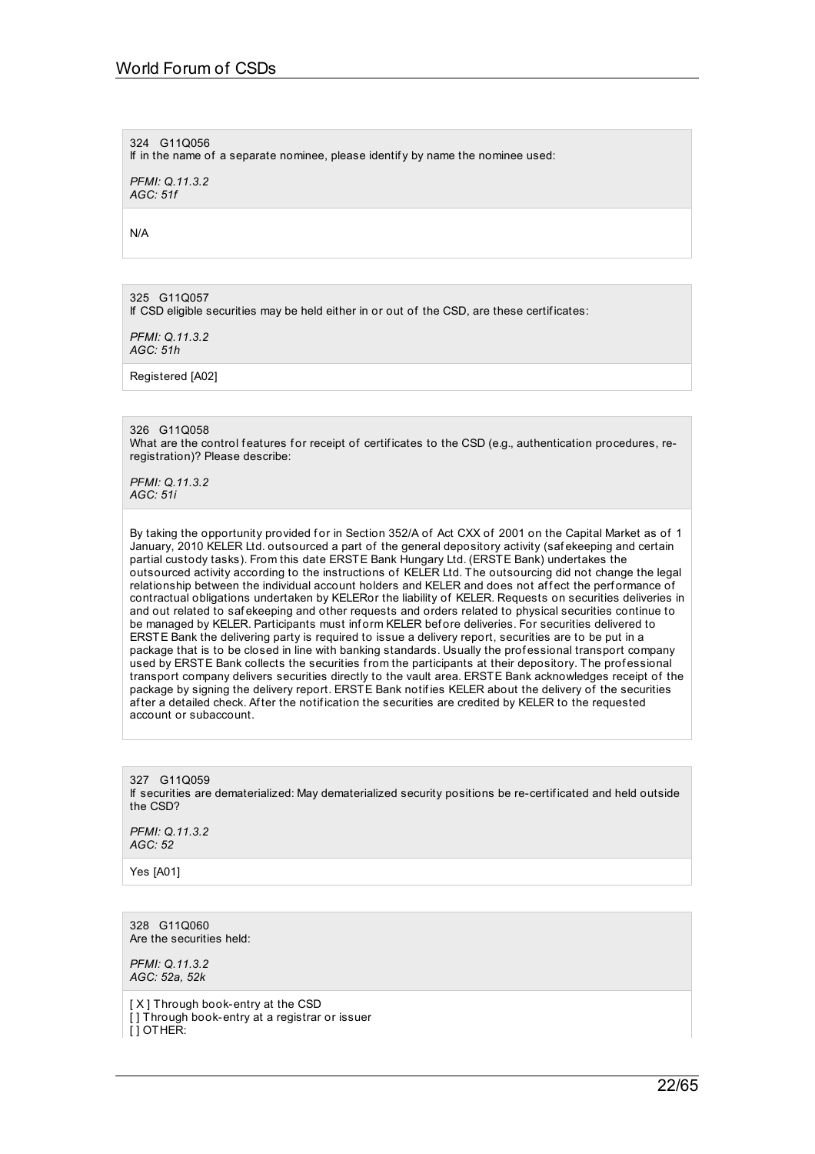324 G11Q056

If in the name of a separate nominee, please identif y by name the nominee used:

*PFMI: Q.11.3.2 AGC: 51f*

N/A

325 G11Q057

If CSD eligible securities may be held either in or out of the CSD, are these certif icates:

*PFMI: Q.11.3.2 AGC: 51h*

Registered [A02]

326 G11Q058

What are the control features for receipt of certificates to the CSD (e.g., authentication procedures, reregistration)? Please describe:

*PFMI: Q.11.3.2 AGC: 51i*

By taking the opportunity provided for in Section 352/A of Act CXX of 2001 on the Capital Market as of 1 January, 2010 KELER Ltd. outsourced a part of the general depository activity (saf ekeeping and certain partial custody tasks). From this date ERSTE Bank Hungary Ltd. (ERSTE Bank) undertakes the outsourced activity according to the instructions of KELER Ltd. The outsourcing did not change the legal relationship between the individual account holders and KELER and does not affect the performance of contractual obligations undertaken by KELERor the liability of KELER. Requests on securities deliveries in and out related to saf ekeeping and other requests and orders related to physical securities continue to be managed by KELER. Participants must inf orm KELER bef ore deliveries. For securities delivered to ERSTE Bank the delivering party is required to issue a delivery report, securities are to be put in a package that is to be closed in line with banking standards. Usually the professional transport company used by ERSTE Bank collects the securities from the participants at their depository. The prof essional transport company delivers securities directly to the vault area. ERSTE Bank acknowledges receipt of the package by signing the delivery report. ERSTE Bank notif ies KELER about the delivery of the securities af ter a detailed check. Af ter the notif ication the securities are credited by KELER to the requested account or subaccount.

327 G11Q059 If securities are dematerialized: May dematerialized security positions be re-certif icated and held outside the CSD?

*PFMI: Q.11.3.2 AGC: 52*

Yes [A01]

328 G11Q060 Are the securities held:

*PFMI: Q.11.3.2 AGC: 52a, 52k*

[X] Through book-entry at the CSD [] Through book-entry at a registrar or issuer  $\overline{I}$  I OTHER: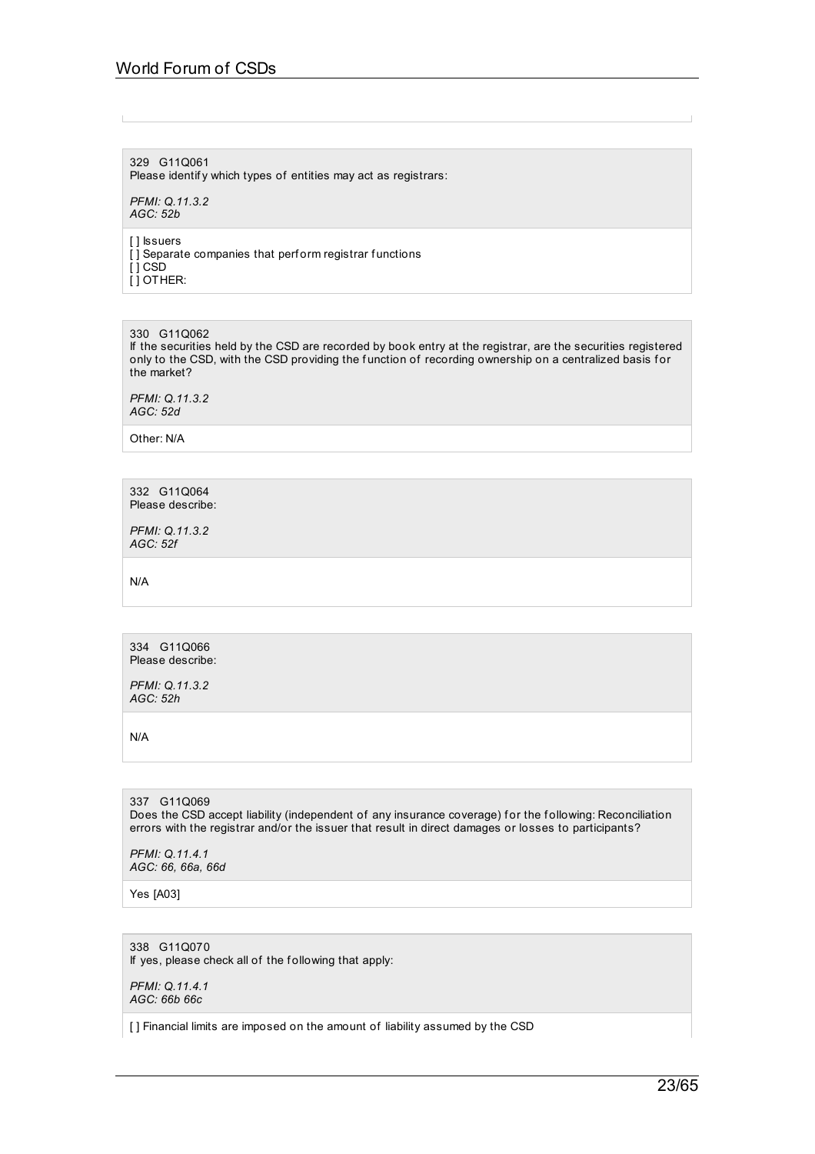# World Forum of CSDs

329 G11Q061 Please identify which types of entities may act as registrars:

*PFMI: Q.11.3.2 AGC: 52b*

[ ] Issuers

 $\overline{[}$ ] Separate companies that perform registrar functions  $[$   $]$  CSD  $[$   $]$  OTHER:

330 G11Q062

If the securities held by the CSD are recorded by book entry at the registrar, are the securities registered only to the CSD, with the CSD providing the function of recording ownership on a centralized basis for the market?

*PFMI: Q.11.3.2 AGC: 52d*

Other: N/A

332 G11Q064 Please describe:

*PFMI: Q.11.3.2 AGC: 52f*

N/A

334 G11Q066 Please describe:

*PFMI: Q.11.3.2 AGC: 52h*

N/A

# 337 G11Q069

Does the CSD accept liability (independent of any insurance coverage) for the following: Reconciliation errors with the registrar and/or the issuer that result in direct damages or losses to participants?

*PFMI: Q.11.4.1 AGC: 66, 66a, 66d*

Yes [A03]

#### 338 G11Q070 If yes, please check all of the following that apply:

*PFMI: Q.11.4.1 AGC: 66b 66c*

[] Financial limits are imposed on the amount of liability assumed by the CSD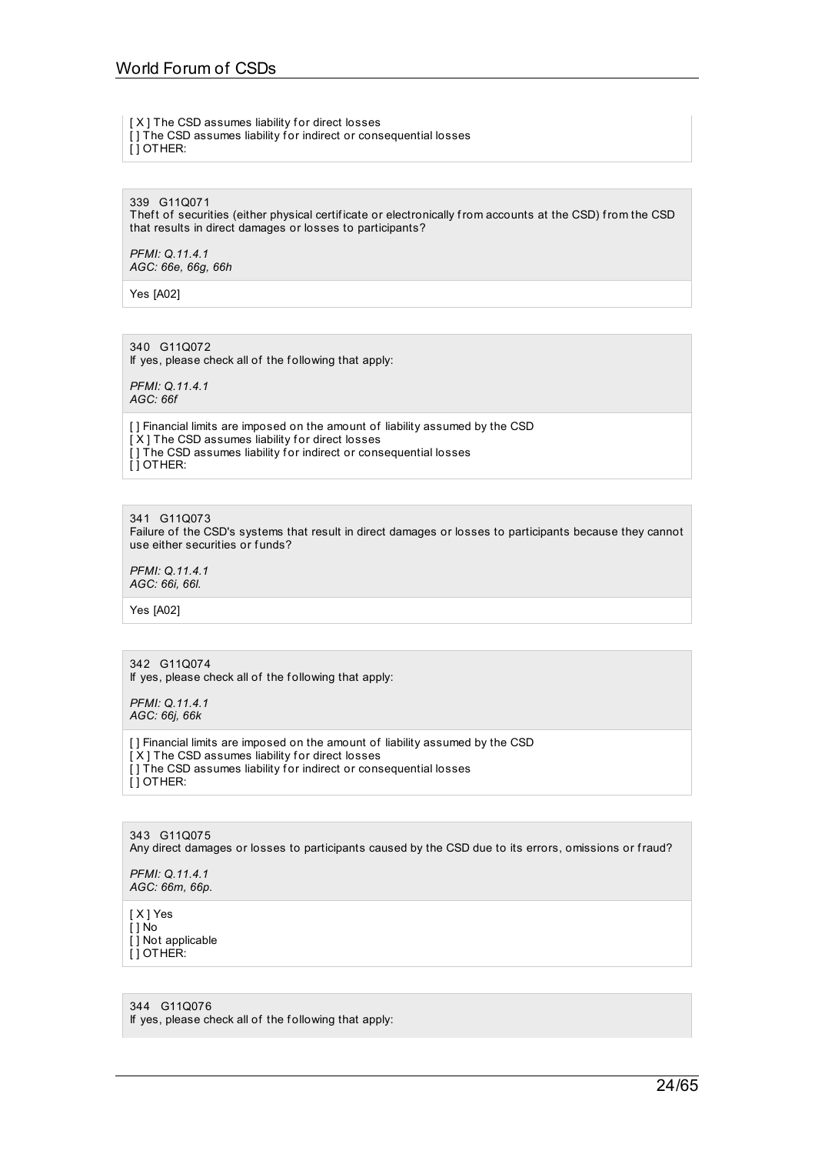#### [X] The CSD assumes liability for direct losses

[] The CSD assumes liability for indirect or consequential losses [ ] OTHER:

339 G11Q071

Theft of securities (either physical certificate or electronically from accounts at the CSD) from the CSD that results in direct damages or losses to participants?

*PFMI: Q.11.4.1 AGC: 66e, 66g, 66h*

Yes [A02]

340 G11Q072 If yes, please check all of the following that apply:

*PFMI: Q.11.4.1 AGC: 66f*

[ ] Financial limits are imposed on the amount of liability assumed by the CSD  $[X]$  The CSD assumes liability for direct losses [] The CSD assumes liability for indirect or consequential losses [ ] OTHER:

### 341 G11Q073

Failure of the CSD's systems that result in direct damages or losses to participants because they cannot use either securities or funds?

*PFMI: Q.11.4.1 AGC: 66i, 66l.*

Yes [A02]

#### 342 G11Q074 If yes, please check all of the following that apply:

*PFMI: Q.11.4.1 AGC: 66j, 66k*

[ ] Financial limits are imposed on the amount of liability assumed by the CSD  $[X]$  The CSD assumes liability for direct losses [] The CSD assumes liability for indirect or consequential losses [ ] OTHER:

343 G11Q075 Any direct damages or losses to participants caused by the CSD due to its errors, omissions or fraud?

*PFMI: Q.11.4.1 AGC: 66m, 66p.*

[ X ] Yes  $\overline{1}$  1 No [ ] Not applicable [ ] OTHER:

344 G11Q076 If yes, please check all of the following that apply: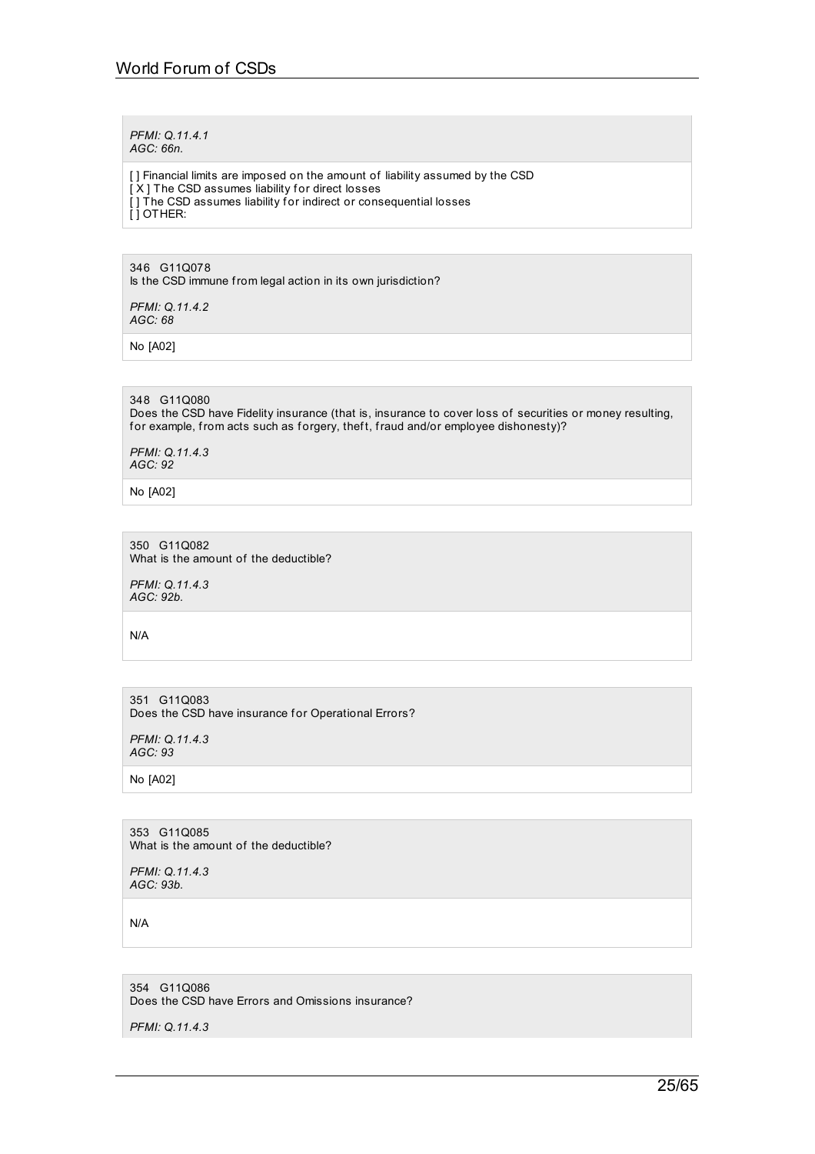*PFMI: Q.11.4.1 AGC: 66n.*

[ ] Financial limits are imposed on the amount of liability assumed by the CSD  $[X]$  The CSD assumes liability for direct losses [] The CSD assumes liability for indirect or consequential losses [ ] OTHER:

346 G11Q078 Is the CSD immune from legal action in its own jurisdiction?

*PFMI: Q.11.4.2 AGC: 68*

No [A02]

348 G11Q080 Does the CSD have Fidelity insurance (that is, insurance to cover loss of securities or money resulting, for example, from acts such as forgery, theft, fraud and/or employee dishonesty)?

*PFMI: Q.11.4.3 AGC: 92*

No [A02]

350 G11Q082 What is the amount of the deductible?

*PFMI: Q.11.4.3 AGC: 92b.*

N/A

351 G11Q083 Does the CSD have insurance for Operational Errors?

*PFMI: Q.11.4.3 AGC: 93*

No [A02]

353 G11Q085 What is the amount of the deductible?

*PFMI: Q.11.4.3 AGC: 93b.*

N/A

354 G11Q086 Does the CSD have Errors and Omissions insurance?

*PFMI: Q.11.4.3*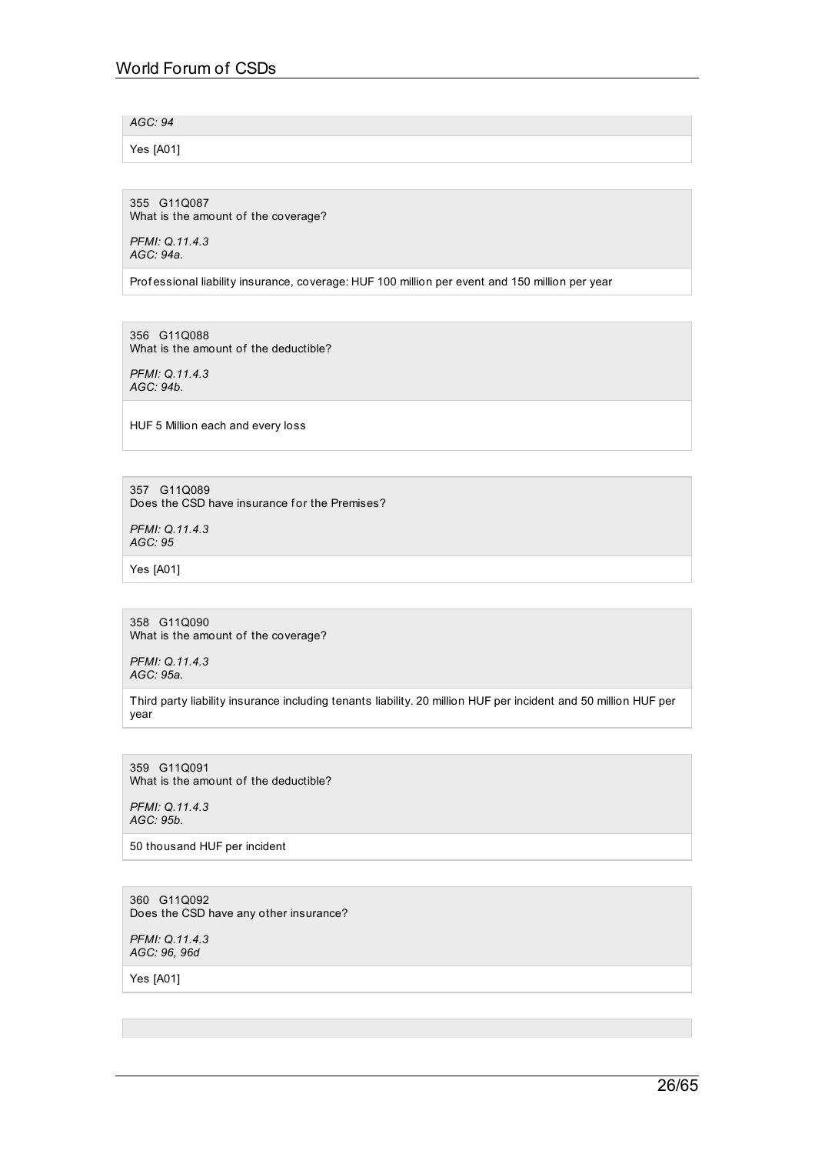*AGC: 94*

Yes [A01]

355 G11Q087 What is the amount of the coverage?

*PFMI: Q.11.4.3 AGC: 94a.*

Prof essional liability insurance, coverage: HUF 100 million per event and 150 million per year

356 G11Q088 What is the amount of the deductible?

*PFMI: Q.11.4.3 AGC: 94b.*

HUF 5 Million each and every loss

357 G11Q089 Does the CSD have insurance for the Premises?

*PFMI: Q.11.4.3 AGC: 95*

Yes [A01]

358 G11Q090 What is the amount of the coverage?

*PFMI: Q.11.4.3 AGC: 95a.*

Third party liability insurance including tenants liability. 20 million HUF per incident and 50 million HUF per year

359 G11Q091 What is the amount of the deductible?

*PFMI: Q.11.4.3 AGC: 95b.*

50 thousand HUF per incident

360 G11Q092 Does the CSD have any other insurance?

*PFMI: Q.11.4.3 AGC: 96, 96d*

Yes [A01]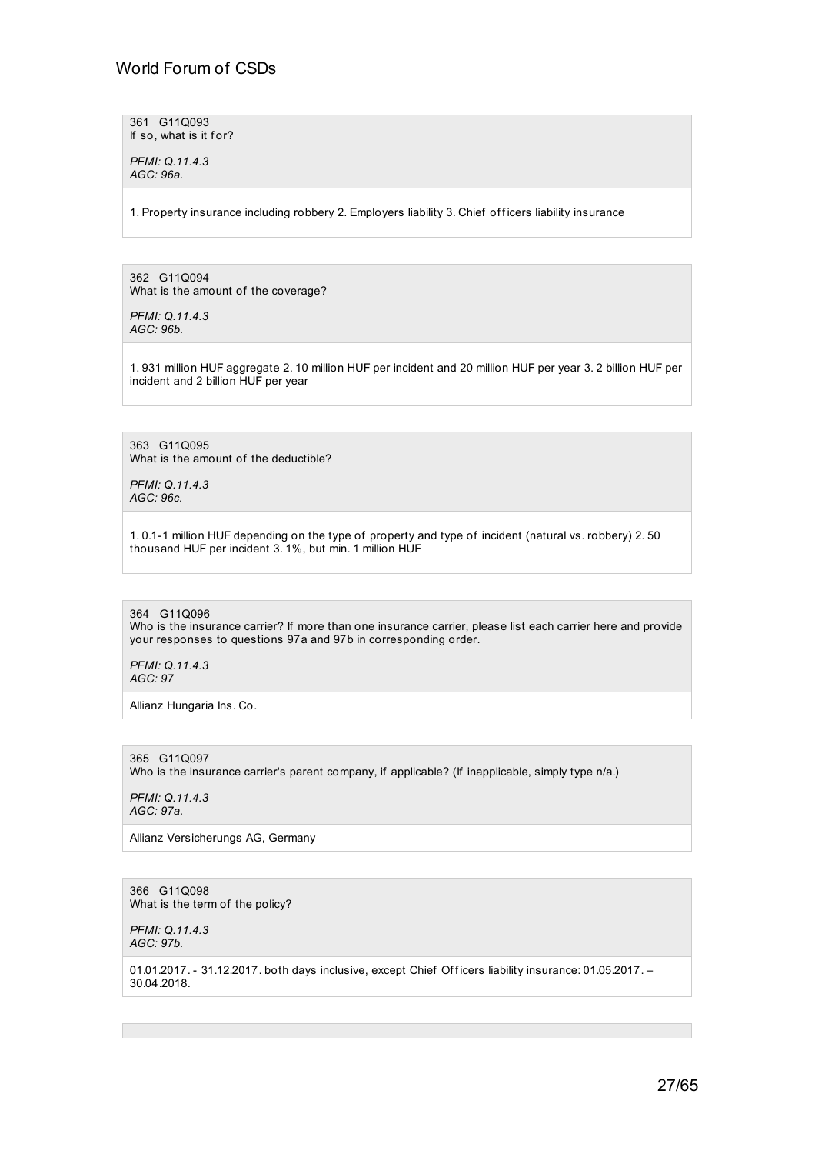361 G11Q093 If so, what is it for?

*PFMI: Q.11.4.3 AGC: 96a.*

1. Property insurance including robbery 2. Employers liability 3. Chief officers liability insurance

362 G11Q094 What is the amount of the coverage?

*PFMI: Q.11.4.3 AGC: 96b.*

1. 931 million HUF aggregate 2. 10 million HUF per incident and 20 million HUF per year 3. 2 billion HUF per incident and 2 billion HUF per year

363 G11Q095 What is the amount of the deductible?

*PFMI: Q.11.4.3 AGC: 96c.*

1. 0.1-1 million HUF depending on the type of property and type of incident (natural vs. robbery) 2. 50 thousand HUF per incident 3. 1%, but min. 1 million HUF

364 G11Q096 Who is the insurance carrier? If more than one insurance carrier, please list each carrier here and provide your responses to questions 97a and 97b in corresponding order.

*PFMI: Q.11.4.3 AGC: 97*

Allianz Hungaria Ins. Co.

365 G11Q097 Who is the insurance carrier's parent company, if applicable? (If inapplicable, simply type n/a.)

*PFMI: Q.11.4.3 AGC: 97a.*

Allianz Versicherungs AG, Germany

366 G11Q098 What is the term of the policy?

*PFMI: Q.11.4.3 AGC: 97b.*

01.01.2017. - 31.12.2017. both days inclusive, except Chief Officers liability insurance: 01.05.2017. -30.04.2018.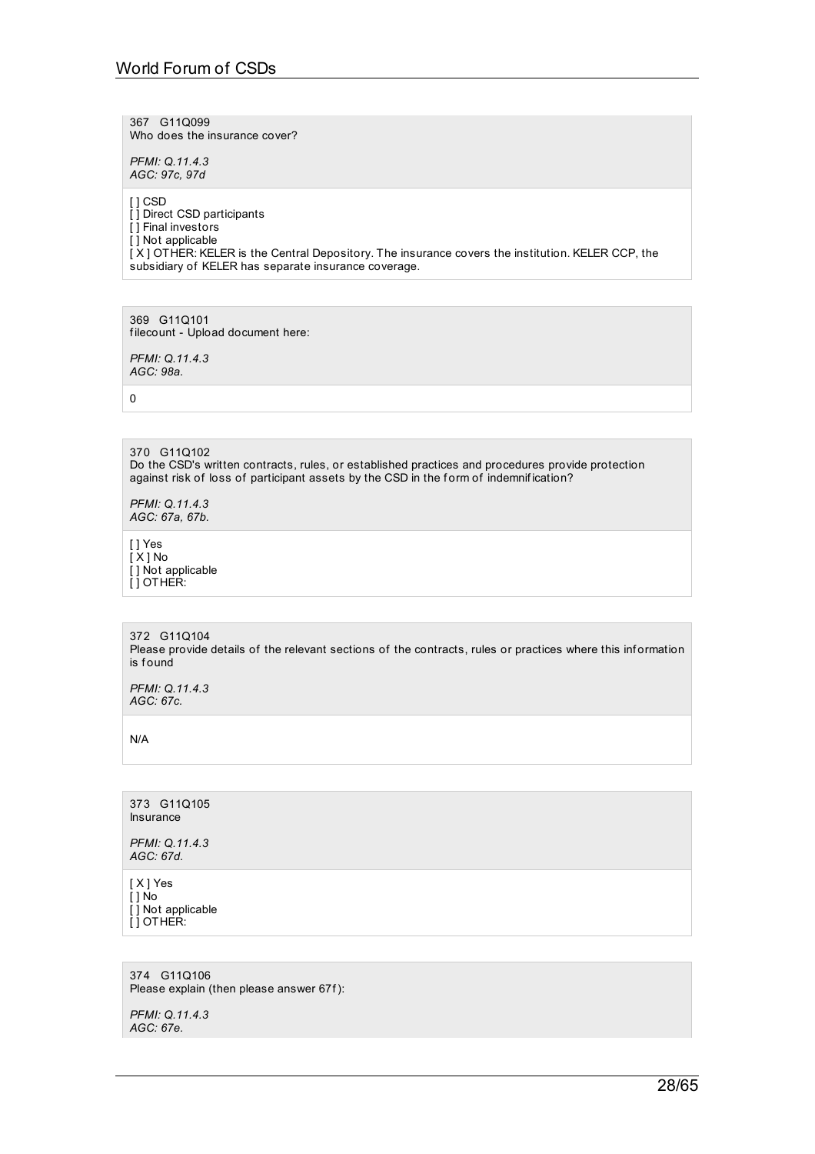367 G11Q099 Who does the insurance cover?

*PFMI: Q.11.4.3 AGC: 97c, 97d*

[ ] CSD [ ] Direct CSD participants [ ] Final investors [ ] Not applicable  $\overrightarrow{X}$  ] OT HER: KELER is the Central Depository. The insurance covers the institution. KELER CCP, the subsidiary of KELER has separate insurance coverage.

369 G11Q101 f ilecount - Upload document here:

*PFMI: Q.11.4.3 AGC: 98a.*

0

370 G11Q102 Do the CSD's written contracts, rules, or established practices and procedures provide protection against risk of loss of participant assets by the CSD in the form of indemnification?

*PFMI: Q.11.4.3 AGC: 67a, 67b.*

[ ] Yes [ X ] No [ ] Not applicable [ ] OTHER:

372 G11Q104 Please provide details of the relevant sections of the contracts, rules or practices where this information is found

*PFMI: Q.11.4.3 AGC: 67c.*

N/A

373 G11Q105 Insurance

*PFMI: Q.11.4.3 AGC: 67d.*

[ X ] Yes  $\overline{[}$  ] No [ ] Not applicable [ ] OTHER:

374 G11Q106 Please explain (then please answer 67f):

*PFMI: Q.11.4.3 AGC: 67e.*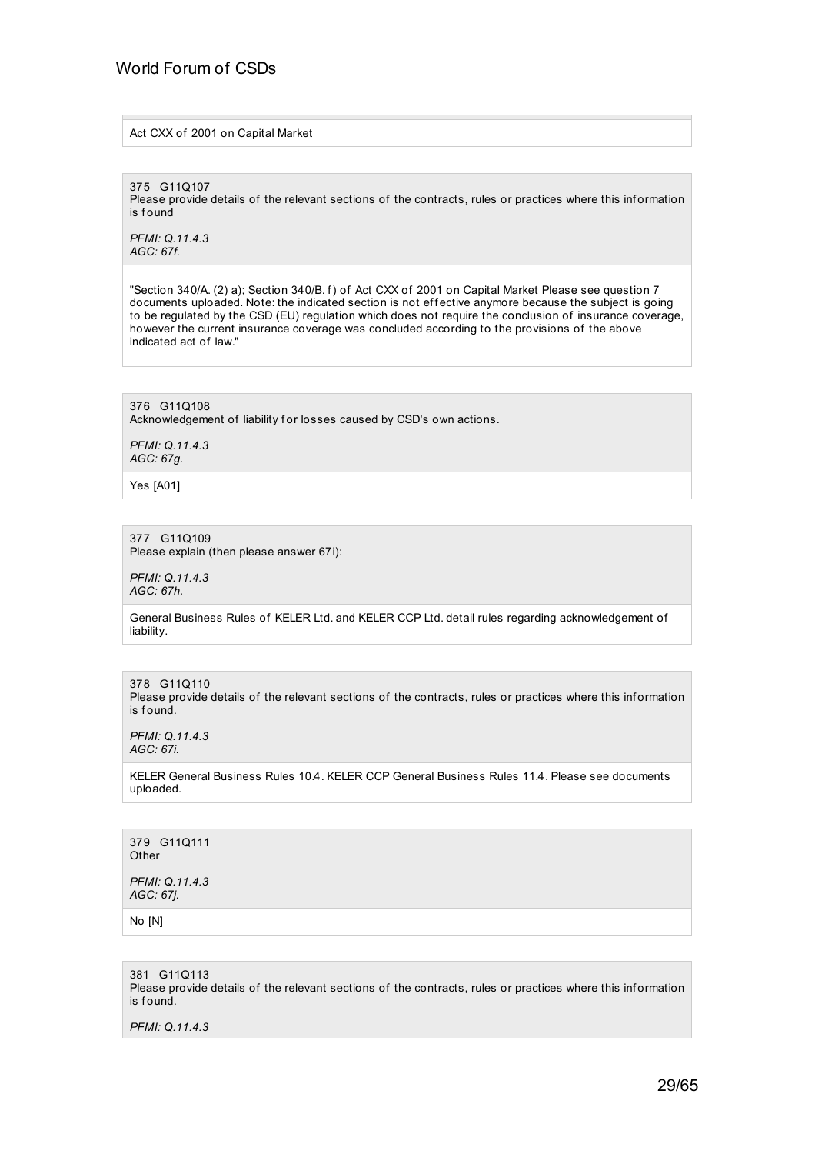### Act CXX of 2001 on Capital Market

375 G11Q107

Please provide details of the relevant sections of the contracts, rules or practices where this information is f ound

*PFMI: Q.11.4.3 AGC: 67f.*

"Section 340/A. (2) a); Section 340/B. f) of Act CXX of 2001 on Capital Market Please see question 7 documents uploaded. Note: the indicated section is not effective anymore because the subject is going to be regulated by the CSD (EU) regulation which does not require the conclusion of insurance coverage, however the current insurance coverage was concluded according to the provisions of the above indicated act of law."

376 G11Q108 Acknowledgement of liability for losses caused by CSD's own actions.

*PFMI: Q.11.4.3 AGC: 67g.*

Yes [A01]

#### 377 G11Q109 Please explain (then please answer 67i):

*PFMI: Q.11.4.3 AGC: 67h.*

General Business Rules of KELER Ltd. and KELER CCP Ltd. detail rules regarding acknowledgement of liability.

378 G11Q110 Please provide details of the relevant sections of the contracts, rules or practices where this information is found.

*PFMI: Q.11.4.3 AGC: 67i.*

KELER General Business Rules 10.4. KELER CCP General Business Rules 11.4. Please see documents uploaded.

379 G11Q111 **Other** *PFMI: Q.11.4.3 AGC: 67j.*

No [N]

381 G11Q113

Please provide details of the relevant sections of the contracts, rules or practices where this information is found.

*PFMI: Q.11.4.3*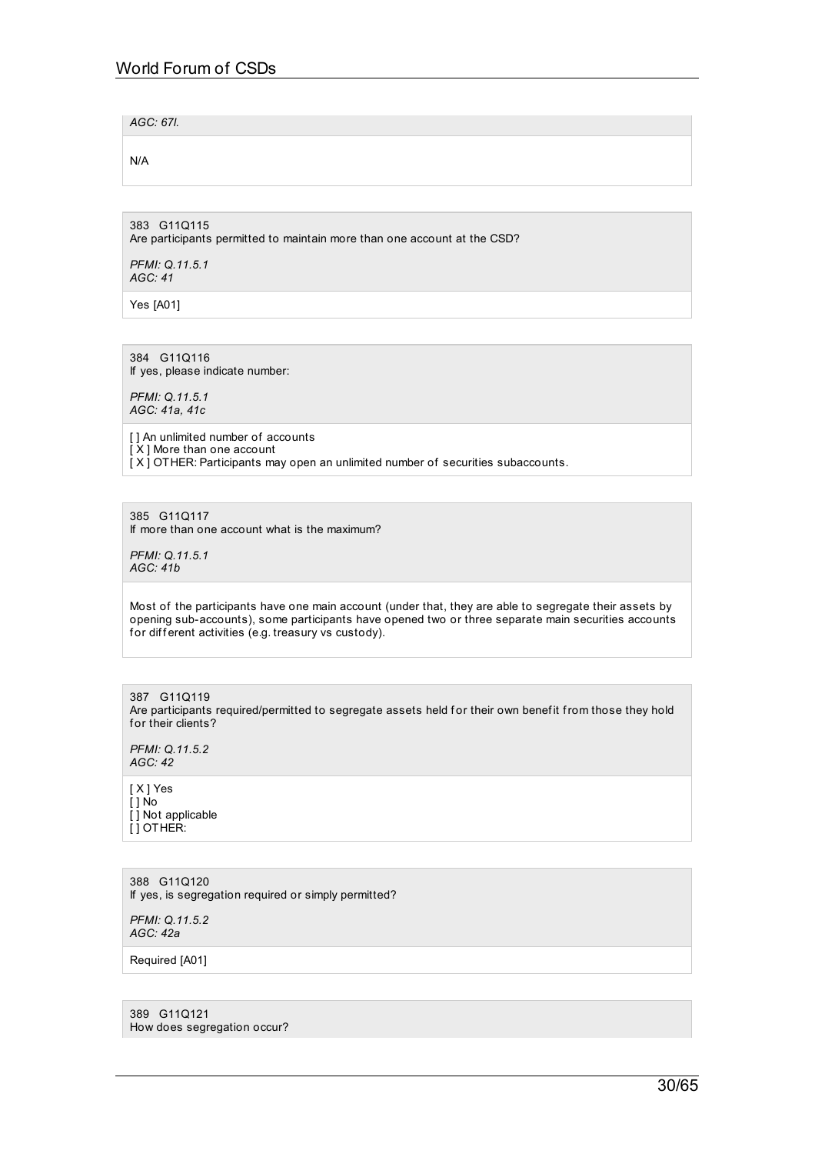*AGC: 67l.*

N/A

383 G11Q115 Are participants permitted to maintain more than one account at the CSD?

*PFMI: Q.11.5.1 AGC: 41*

Yes [A01]

384 G11Q116 If yes, please indicate number:

*PFMI: Q.11.5.1 AGC: 41a, 41c*

[ ] An unlimited number of accounts [ X ] More than one account  $\overline{[X]}$  OTHER: Participants may open an unlimited number of securities subaccounts.

385 G11Q117 If more than one account what is the maximum?

*PFMI: Q.11.5.1 AGC: 41b*

Most of the participants have one main account (under that, they are able to segregate their assets by opening sub-accounts), some participants have opened two or three separate main securities accounts for different activities (e.g. treasury vs custody).

387 G11Q119 Are participants required/permitted to segregate assets held for their own benefit from those they hold for their clients?

*PFMI: Q.11.5.2 AGC: 42*

[ X ] Yes [ ] No [ ] Not applicable [ ] OTHER:

388 G11Q120 If yes, is segregation required or simply permitted?

*PFMI: Q.11.5.2 AGC: 42a*

Required [A01]

389 G11Q121 How does segregation occur?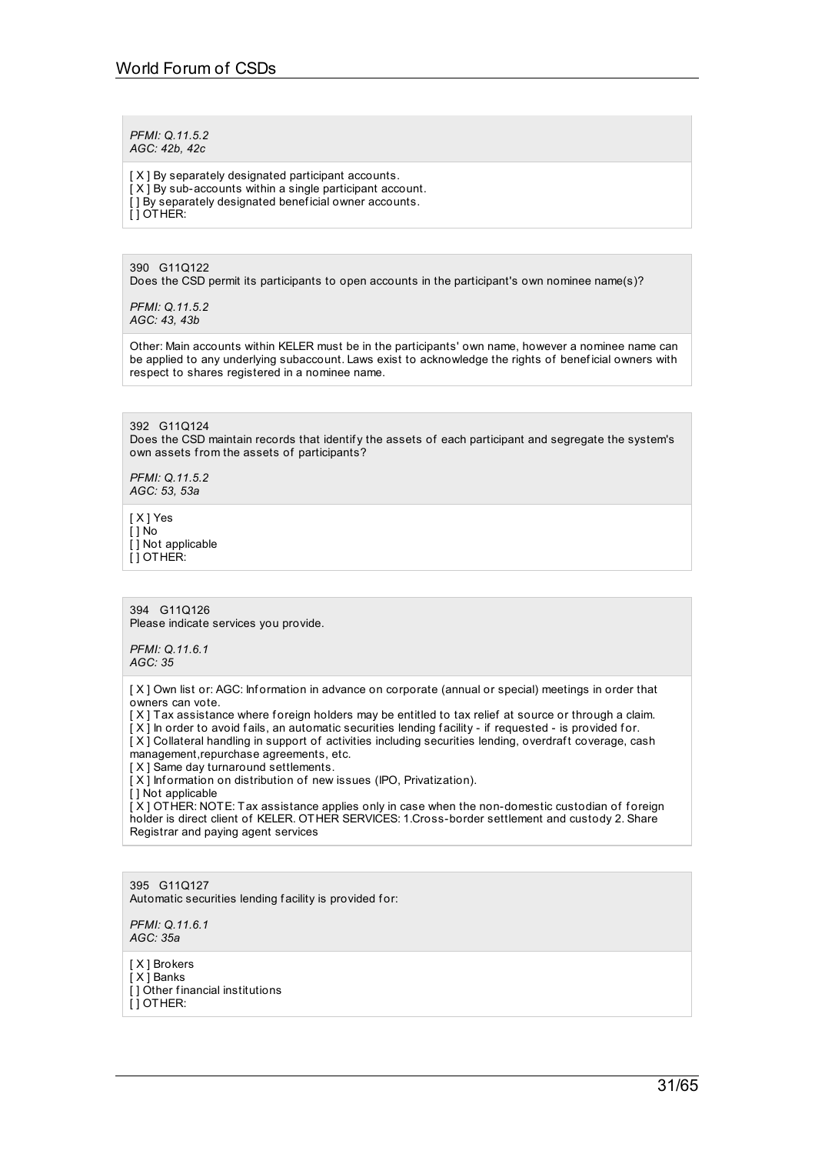*PFMI: Q.11.5.2 AGC: 42b, 42c*

[X] By separately designated participant accounts.  $[X]$  By sub-accounts within a single participant account. [] By separately designated beneficial owner accounts. [ ] OTHER:

390 G11Q122 Does the CSD permit its participants to open accounts in the participant's own nominee name(s)?

*PFMI: Q.11.5.2 AGC: 43, 43b*

Other: Main accounts within KELER must be in the participants' own name, however a nominee name can be applied to any underlying subaccount. Laws exist to acknowledge the rights of benef icial owners with respect to shares registered in a nominee name.

392 G11Q124 Does the CSD maintain records that identify the assets of each participant and segregate the system's own assets from the assets of participants?

*PFMI: Q.11.5.2 AGC: 53, 53a*

[ X ] Yes [ ] No [ ] Not applicable [ ] OTHER:

394 G11Q126 Please indicate services you provide.

*PFMI: Q.11.6.1 AGC: 35*

[X] Own list or: AGC: Information in advance on corporate (annual or special) meetings in order that owners can vote.

[X] Tax assistance where foreign holders may be entitled to tax relief at source or through a claim.

[X] In order to avoid fails, an automatic securities lending facility - if requested - is provided for. [X] Collateral handling in support of activities including securities lending, overdraft coverage, cash

management,repurchase agreements, etc.

[X] Same day turnaround settlements.

[X] Information on distribution of new issues (IPO, Privatization).

[ ] Not applicable

 $[X]$  OTHER: NOTE: Tax assistance applies only in case when the non-domestic custodian of foreign holder is direct client of KELER. OTHER SERVICES: 1.Cross-border settlement and custody 2. Share Registrar and paying agent services

395 G11Q127 Automatic securities lending facility is provided for:

*PFMI: Q.11.6.1 AGC: 35a*

[ X ] Brokers [ X ] Banks [] Other financial institutions  $[1$  OTHER: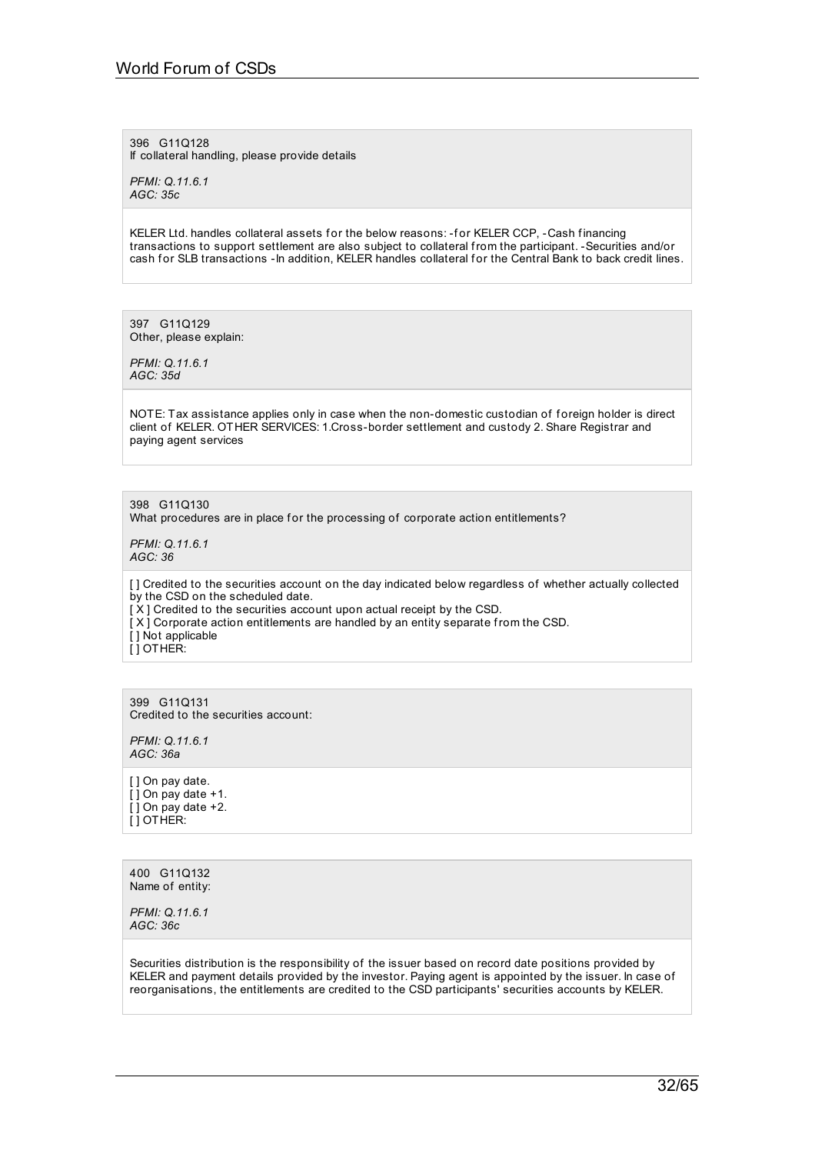396 G11Q128 If collateral handling, please provide details

*PFMI: Q.11.6.1 AGC: 35c*

KELER Ltd. handles collateral assets for the below reasons: -for KELER CCP, -Cash financing transactions to support settlement are also subject to collateral from the participant. -Securities and/or cash for SLB transactions -In addition, KELER handles collateral for the Central Bank to back credit lines.

397 G11Q129 Other, please explain:

*PFMI: Q.11.6.1 AGC: 35d*

NOTE: Tax assistance applies only in case when the non-domestic custodian of foreign holder is direct client of KELER. OTHER SERVICES: 1.Cross-border settlement and custody 2. Share Registrar and paying agent services

398 G11Q130

What procedures are in place for the processing of corporate action entitlements?

*PFMI: Q.11.6.1 AGC: 36*

[] Credited to the securities account on the day indicated below regardless of whether actually collected by the CSD on the scheduled date. [X] Credited to the securities account upon actual receipt by the CSD.

- [X] Corporate action entitlements are handled by an entity separate from the CSD.
- [ ] Not applicable [ ] OTHER:

399 G11Q131 Credited to the securities account:

*PFMI: Q.11.6.1 AGC: 36a*

[ ] On pay date. [ ] On pay date +1.  $[$ ] On pay date +2. [ ] OTHER:

400 G11Q132 Name of entity:

*PFMI: Q.11.6.1 AGC: 36c*

Securities distribution is the responsibility of the issuer based on record date positions provided by KELER and payment details provided by the investor. Paying agent is appointed by the issuer. In case of reorganisations, the entitlements are credited to the CSD participants' securities accounts by KELER.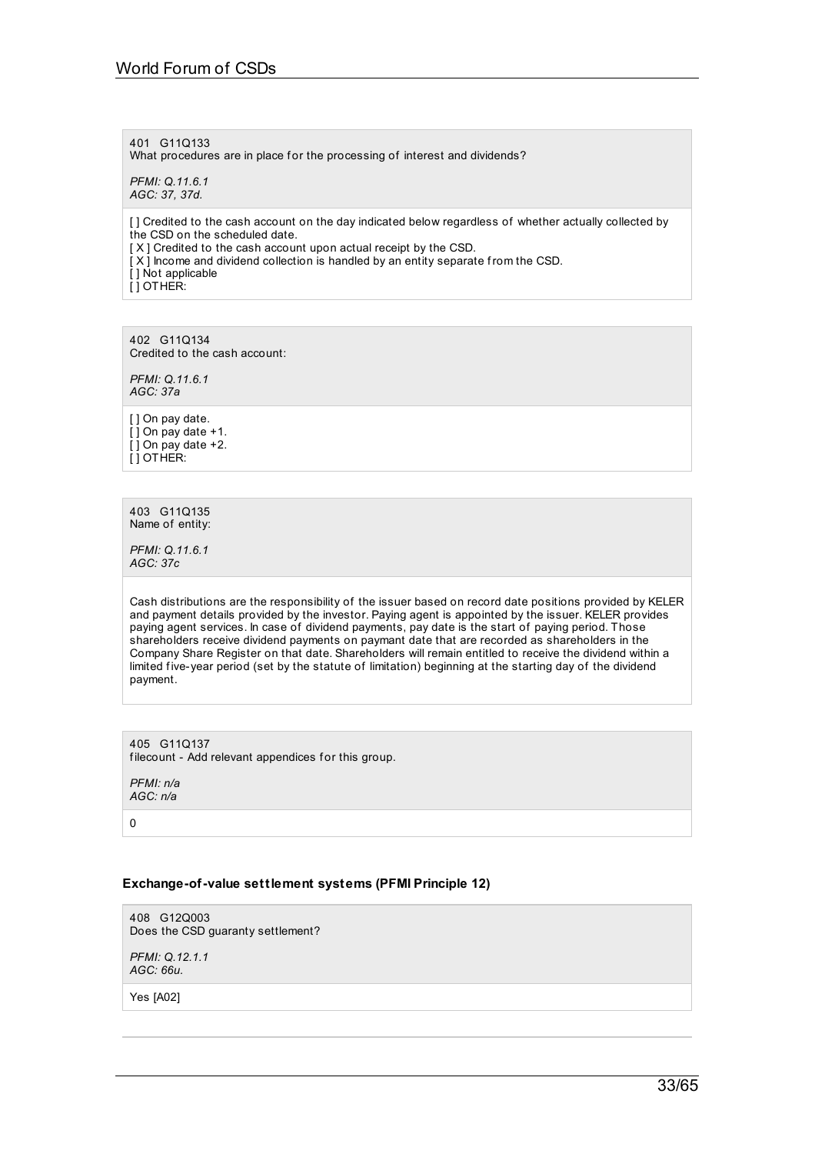401 G11Q133 What procedures are in place for the processing of interest and dividends? *PFMI: Q.11.6.1*

*AGC: 37, 37d.*

[] Credited to the cash account on the day indicated below regardless of whether actually collected by the CSD on the scheduled date.

[X] Credited to the cash account upon actual receipt by the CSD.

[ X ] Income and dividend collection is handled by an entity separate from the CSD.

[ ] Not applicable

[ ] OTHER:

402 G11Q134 Credited to the cash account:

*PFMI: Q.11.6.1 AGC: 37a*

[ ] On pay date.  $[$ ] On pay date +1.  $\overline{[}$   $\overline{]}$  On pay date +2. [ ] OTHER:

403 G11Q135 Name of entity:

*PFMI: Q.11.6.1 AGC: 37c*

Cash distributions are the responsibility of the issuer based on record date positions provided by KELER and payment details provided by the investor. Paying agent is appointed by the issuer. KELER provides paying agent services. In case of dividend payments, pay date is the start of paying period. Those shareholders receive dividend payments on paymant date that are recorded as shareholders in the Company Share Register on that date. Shareholders will remain entitled to receive the dividend within a limited five-year period (set by the statute of limitation) beginning at the starting day of the dividend payment.

405 G11Q137 filecount - Add relevant appendices for this group.

*PFMI: n/a AGC: n/a*

0

# **Exchange-of-value settlement systems (PFMI Principle 12)**

408 G12Q003 Does the CSD guaranty settlement?

*PFMI: Q.12.1.1 AGC: 66u.*

Yes [A02]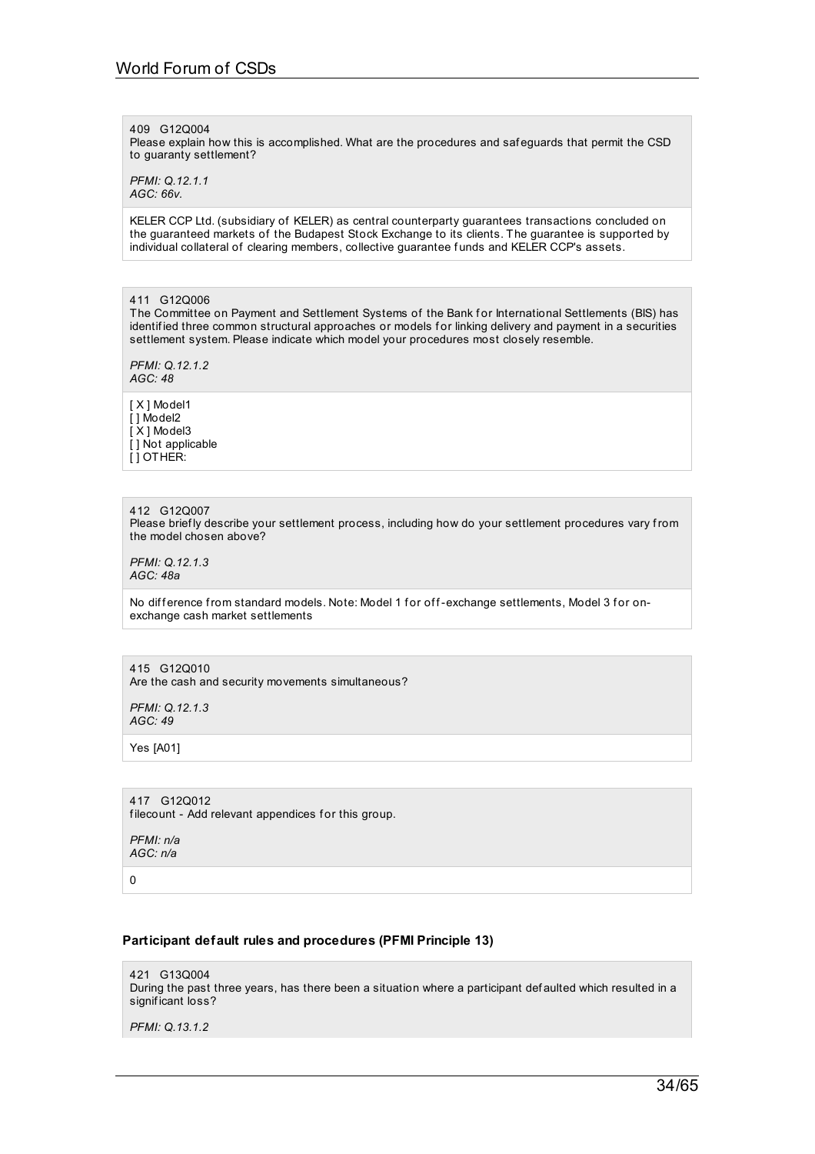#### 409 G12Q004

Please explain how this is accomplished. What are the procedures and saf eguards that permit the CSD to guaranty settlement?

*PFMI: Q.12.1.1 AGC: 66v.*

KELER CCP Ltd. (subsidiary of KELER) as central counterparty guarantees transactions concluded on the guaranteed markets of the Budapest Stock Exchange to its clients. The guarantee is supported by individual collateral of clearing members, collective guarantee f unds and KELER CCP's assets.

411 G12Q006

The Committee on Payment and Settlement Systems of the Bank for International Settlements (BIS) has identified three common structural approaches or models for linking delivery and payment in a securities settlement system. Please indicate which model your procedures most closely resemble.

*PFMI: Q.12.1.2 AGC: 48*

[ X ] Model1 [ ] Model2  $\overline{[} \times 1 \text{ Model} 3$ [] Not applicable [ ] OTHER:

#### 412 G12Q007

Please briefly describe your settlement process, including how do your settlement procedures vary from the model chosen above?

*PFMI: Q.12.1.3 AGC: 48a*

No difference from standard models. Note: Model 1 for off-exchange settlements, Model 3 for onexchange cash market settlements

#### 415 G12Q010 Are the cash and security movements simultaneous?

*PFMI: Q.12.1.3 AGC: 49*

Yes [A01]

417 G12Q012 filecount - Add relevant appendices for this group.

*PFMI: n/a AGC: n/a*

 $\Omega$ 

# **Participant default rules and procedures (PFMI Principle 13)**

421 G13Q004 During the past three years, has there been a situation where a participant def aulted which resulted in a signif icant loss?

*PFMI: Q.13.1.2*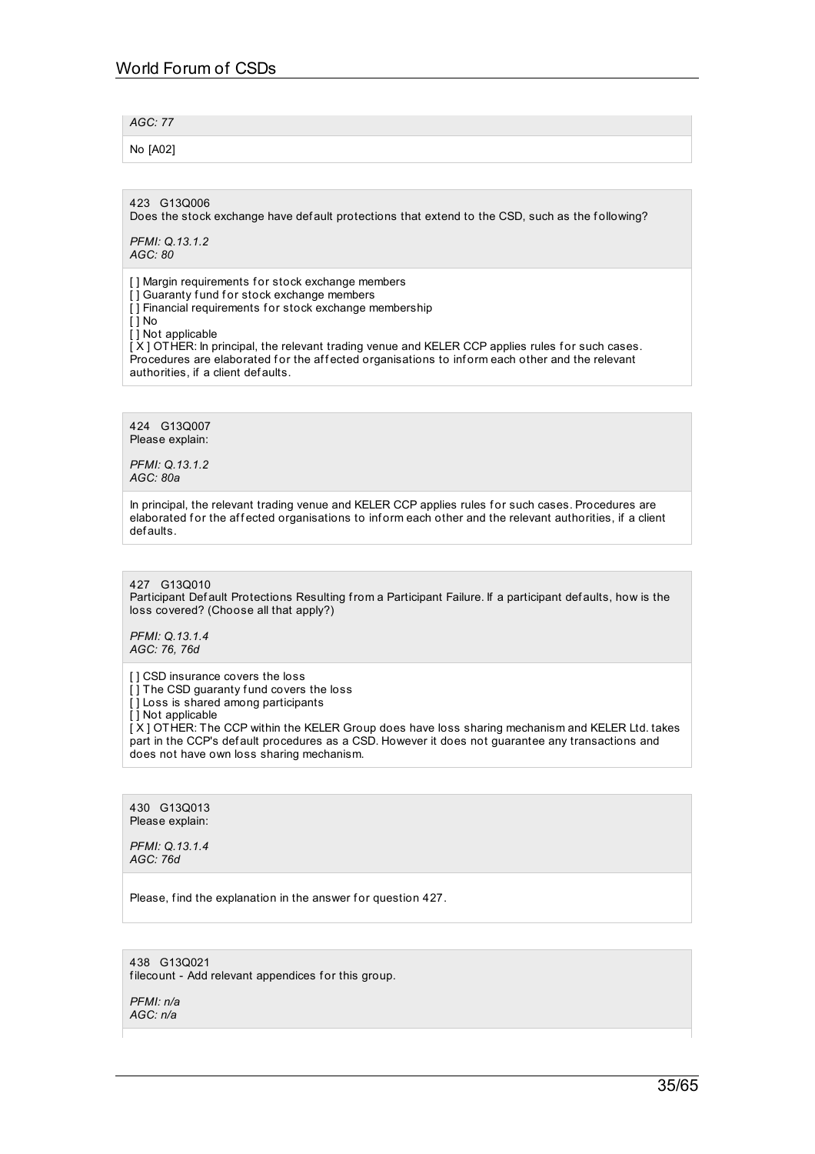*AGC: 77*

No [A02]

423 G13Q006

Does the stock exchange have def ault protections that extend to the CSD, such as the following?

*PFMI: Q.13.1.2 AGC: 80*

[] Margin requirements for stock exchange members [] Guaranty fund for stock exchange members [1] Financial requirements for stock exchange membership [ ] No

[] Not applicable

IX ] OTHER: In principal, the relevant trading venue and KELER CCP applies rules for such cases. Procedures are elaborated for the affected organisations to inform each other and the relevant authorities, if a client def aults.

424 G13Q007 Please explain:

*PFMI: Q.13.1.2 AGC: 80a*

In principal, the relevant trading venue and KELER CCP applies rules for such cases. Procedures are elaborated for the affected organisations to inform each other and the relevant authorities, if a client def aults.

427 G13Q010 Participant Def ault Protections Resulting from a Participant Failure. If a participant def aults, how is the loss covered? (Choose all that apply?)

*PFMI: Q.13.1.4 AGC: 76, 76d*

[] CSD insurance covers the loss [] The CSD guaranty fund covers the loss [] Loss is shared among participants  $\overline{[}$  | Not applicable [X] OTHER: The CCP within the KELER Group does have loss sharing mechanism and KELER Ltd. takes part in the CCP's def ault procedures as a CSD. However it does not guarantee any transactions and does not have own loss sharing mechanism.

430 G13Q013 Please explain:

*PFMI: Q.13.1.4 AGC: 76d*

Please, find the explanation in the answer for question 427.

438 G13Q021 filecount - Add relevant appendices for this group.

*PFMI: n/a AGC: n/a*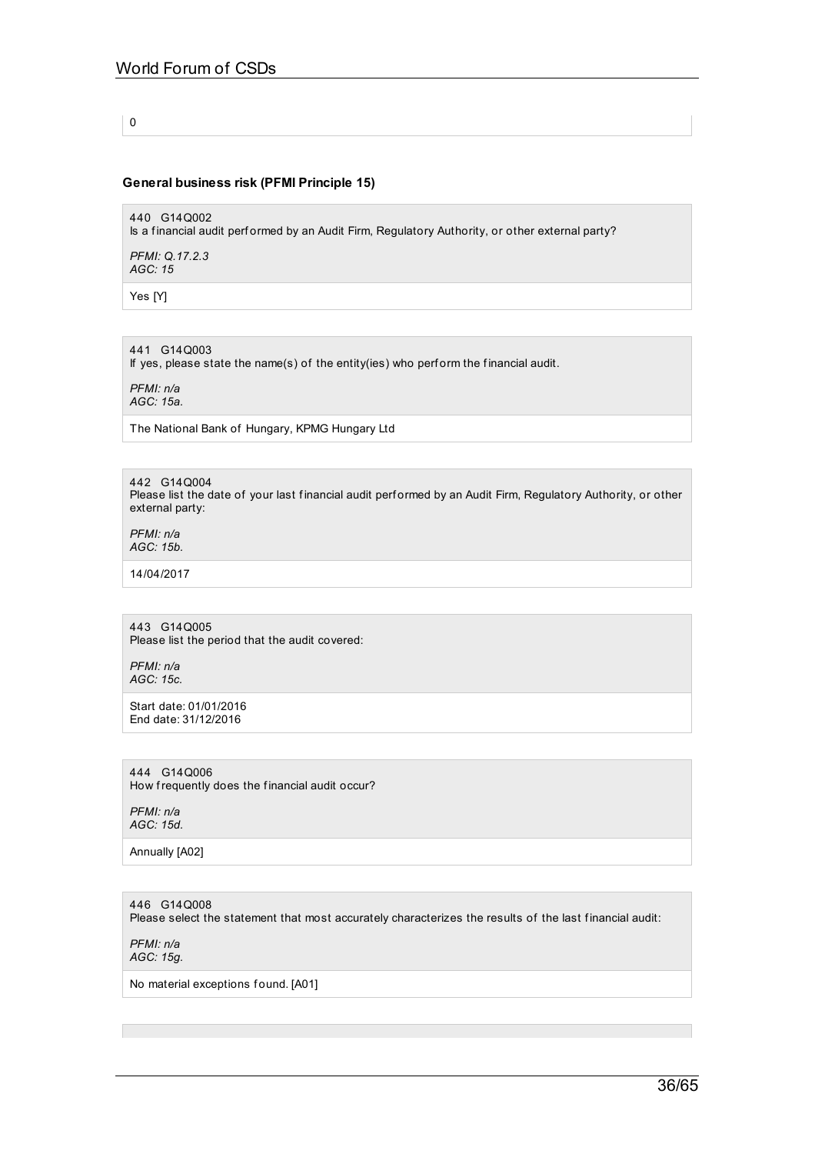0

### **General business risk (PFMI Principle 15)**

440 G14Q002 Is a f inancial audit perf ormed by an Audit Firm, Regulatory Authority, or other external party?

*PFMI: Q.17.2.3 AGC: 15*

Yes [Y]

441 G14Q003

If yes, please state the name(s) of the entity(ies) who perform the financial audit.

*PFMI: n/a AGC: 15a.*

The National Bank of Hungary, KPMG Hungary Ltd

442 G14Q004 Please list the date of your last financial audit performed by an Audit Firm, Regulatory Authority, or other external party:

*PFMI: n/a AGC: 15b.*

14/04/2017

443 G14Q005 Please list the period that the audit covered:

*PFMI: n/a AGC: 15c.*

Start date: 01/01/2016 End date: 31/12/2016

444 G14Q006 How frequently does the f inancial audit occur?

*PFMI: n/a AGC: 15d.*

Annually [A02]

446 G14Q008 Please select the statement that most accurately characterizes the results of the last financial audit:

*PFMI: n/a AGC: 15g.*

No material exceptions found. [A01]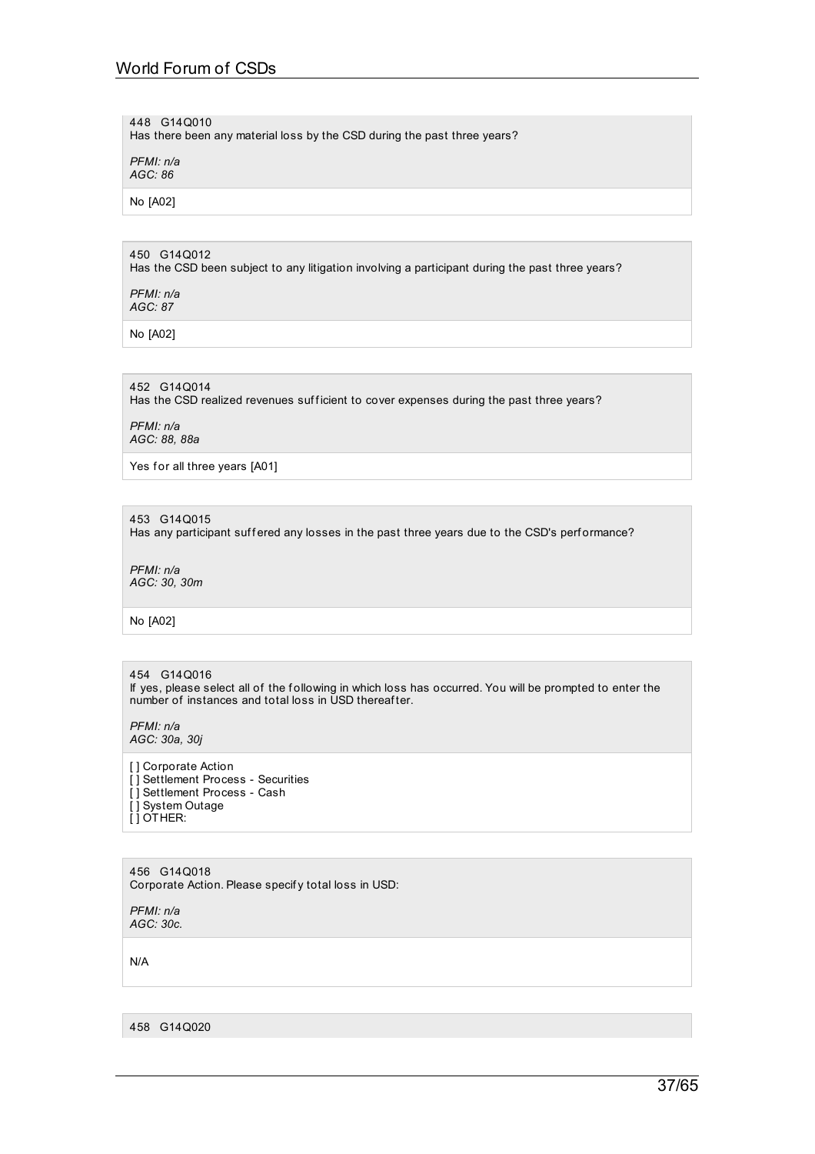448 G14Q010 Has there been any material loss by the CSD during the past three years?

*PFMI: n/a AGC: 86*

No [A02]

## 450 G14Q012

Has the CSD been subject to any litigation involving a participant during the past three years?

*PFMI: n/a AGC: 87*

No [A02]

452 G14Q014 Has the CSD realized revenues sufficient to cover expenses during the past three years?

*PFMI: n/a AGC: 88, 88a*

Yes for all three years [A01]

453 G14Q015

Has any participant suffered any losses in the past three years due to the CSD's performance?

*PFMI: n/a AGC: 30, 30m*

No [A02]

### 454 G14Q016

If yes, please select all of the following in which loss has occurred. You will be prompted to enter the number of instances and total loss in USD thereaf ter.

*PFMI: n/a AGC: 30a, 30j*

[ ] Corporate Action [] Settlement Process - Securities [] Settlement Process - Cash [ ] System Outage [ ] OTHER:

456 G14Q018 Corporate Action. Please specif y total loss in USD:

*PFMI: n/a AGC: 30c.*

N/A

458 G14Q020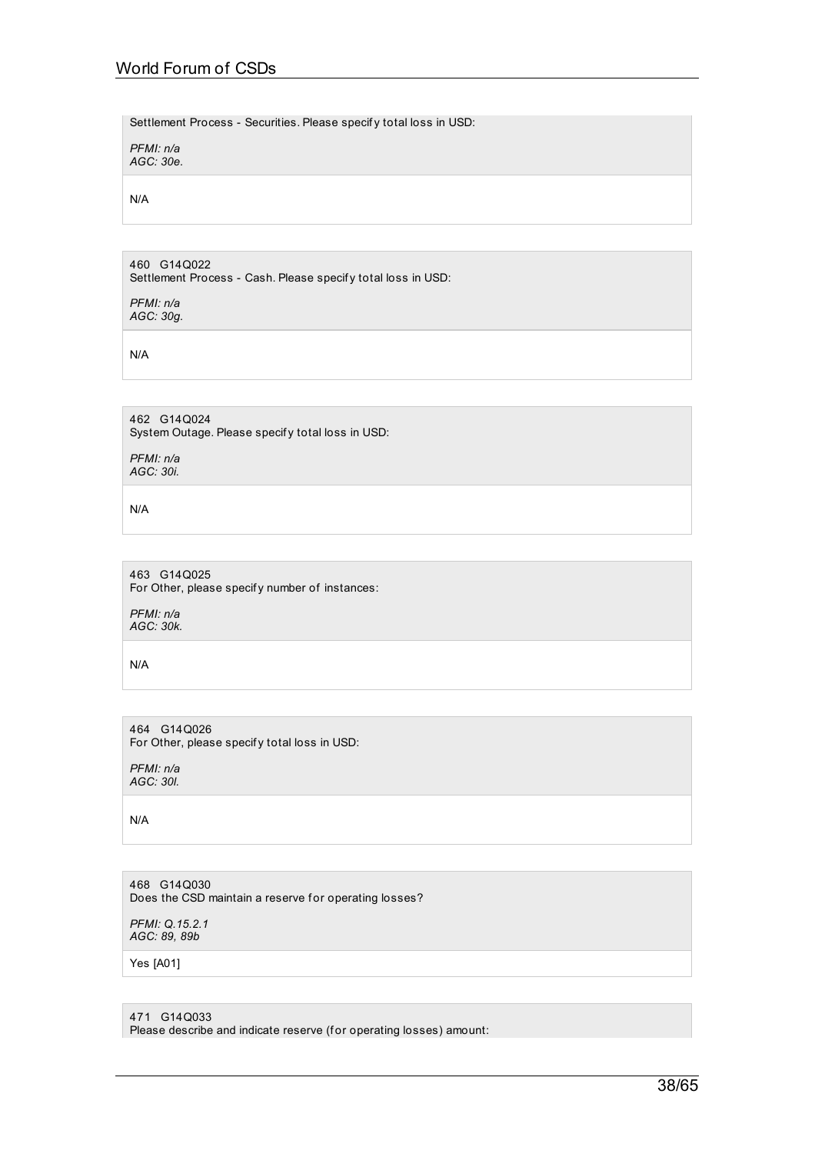Settlement Process - Securities. Please specif y total loss in USD:

*PFMI: n/a AGC: 30e.*

N/A

460 G14Q022 Settlement Process - Cash. Please specif y total loss in USD:

*PFMI: n/a AGC: 30g.*

N/A

462 G14Q024 System Outage. Please specif y total loss in USD:

*PFMI: n/a AGC: 30i.*

N/A

463 G14Q025 For Other, please specify number of instances:

*PFMI: n/a AGC: 30k.*

N/A

464 G14Q026 For Other, please specify total loss in USD:

*PFMI: n/a AGC: 30l.*

N/A

468 G14Q030 Does the CSD maintain a reserve for operating losses?

*PFMI: Q.15.2.1 AGC: 89, 89b*

Yes [A01]

471 G14Q033

Please describe and indicate reserve (for operating losses) amount: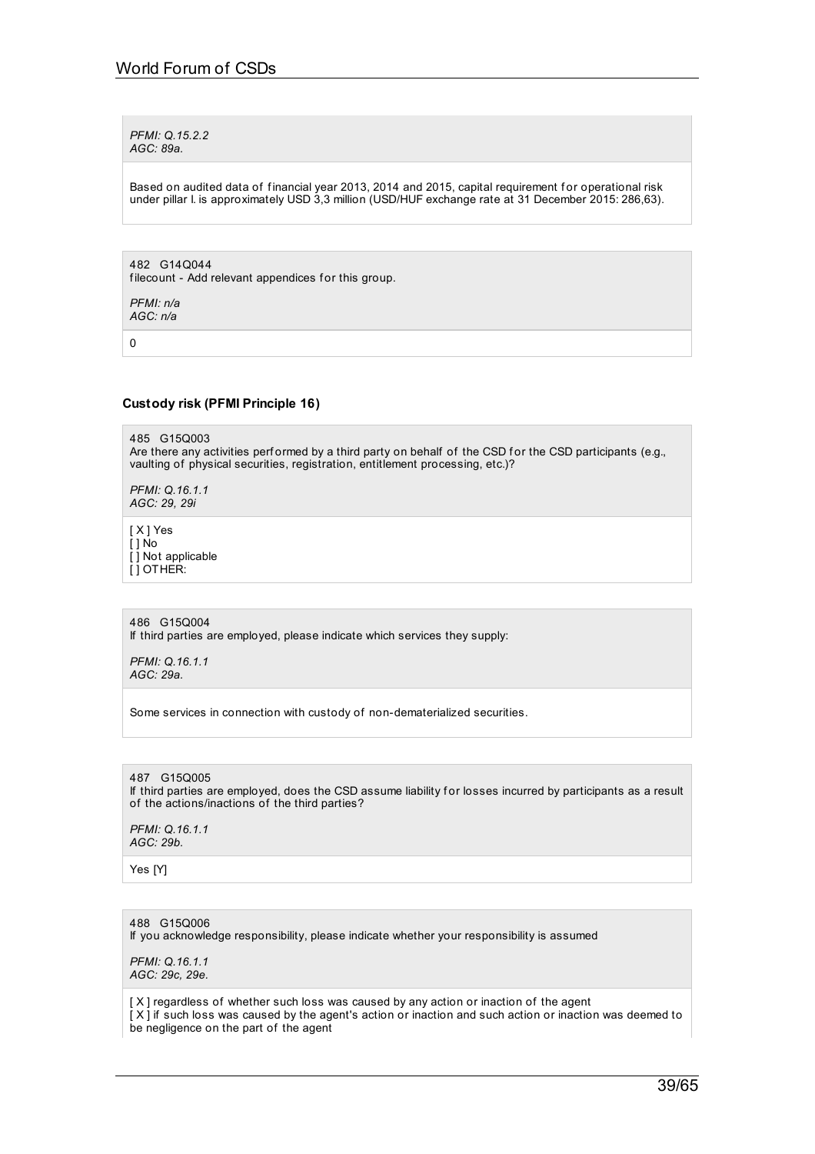*PFMI: Q.15.2.2 AGC: 89a.*

Based on audited data of financial year 2013, 2014 and 2015, capital requirement for operational risk under pillar I. is approximately USD 3,3 million (USD/HUF exchange rate at 31 December 2015: 286,63).

482 G14Q044 filecount - Add relevant appendices for this group.

*PFMI: n/a AGC: n/a*

0

### **Custody risk (PFMI Principle 16)**

485 G15Q003 Are there any activities performed by a third party on behalf of the CSD for the CSD participants (e.g., vaulting of physical securities, registration, entitlement processing, etc.)?

*PFMI: Q.16.1.1 AGC: 29, 29i*

[ X ] Yes  $\overline{1}$  1 No [ ] Not applicable

[ ] OTHER:

486 G15Q004

If third parties are employed, please indicate which services they supply:

*PFMI: Q.16.1.1 AGC: 29a.*

Some services in connection with custody of non-dematerialized securities.

### 487 G15Q005

If third parties are employed, does the CSD assume liability f or losses incurred by participants as a result of the actions/inactions of the third parties?

*PFMI: Q.16.1.1 AGC: 29b.*

Yes [Y]

### 488 G15Q006

If you acknowledge responsibility, please indicate whether your responsibility is assumed

*PFMI: Q.16.1.1 AGC: 29c, 29e.*

[ X ] regardless of whether such loss was caused by any action or inaction of the agent [ X ] if such loss was caused by the agent's action or inaction and such action or inaction was deemed to be negligence on the part of the agent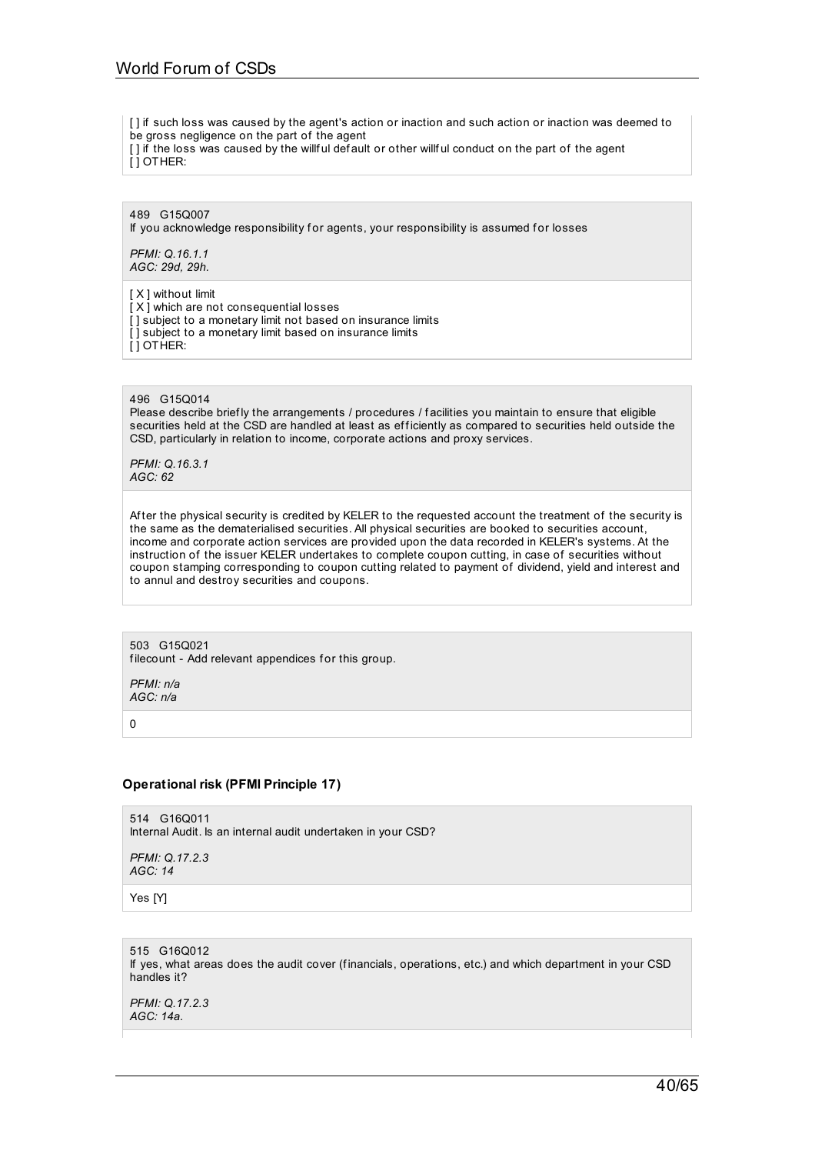- [] if such loss was caused by the agent's action or inaction and such action or inaction was deemed to
- be gross negligence on the part of the agent
- [ ] if the loss was caused by the willful default or other willful conduct on the part of the agent [ ] OTHER:

489 G15Q007

If you acknowledge responsibility for agents, your responsibility is assumed for losses

*PFMI: Q.16.1.1 AGC: 29d, 29h.*

[ X ] without limit  $[X]$  which are not consequential losses [ ] subject to a monetary limit not based on insurance limits [] subject to a monetary limit based on insurance limits [ ] OTHER:

496 G15Q014

Please describe briefly the arrangements / procedures / facilities you maintain to ensure that eligible securities held at the CSD are handled at least as efficiently as compared to securities held outside the CSD, particularly in relation to income, corporate actions and proxy services.

*PFMI: Q.16.3.1 AGC: 62*

After the physical security is credited by KELER to the requested account the treatment of the security is the same as the dematerialised securities. All physical securities are booked to securities account, income and corporate action services are provided upon the data recorded in KELER's systems. At the instruction of the issuer KELER undertakes to complete coupon cutting, in case of securities without coupon stamping corresponding to coupon cutting related to payment of dividend, yield and interest and to annul and destroy securities and coupons.

503 G15Q021 filecount - Add relevant appendices for this group.

*PFMI: n/a AGC: n/a*

0

# **Operational risk (PFMI Principle 17)**

514 G16Q011 Internal Audit. Is an internal audit undertaken in your CSD?

*PFMI: Q.17.2.3 AGC: 14*

Yes [Y]

515 G16Q012 If yes, what areas does the audit cover (financials, operations, etc.) and which department in your CSD handles it?

*PFMI: Q.17.2.3 AGC: 14a.*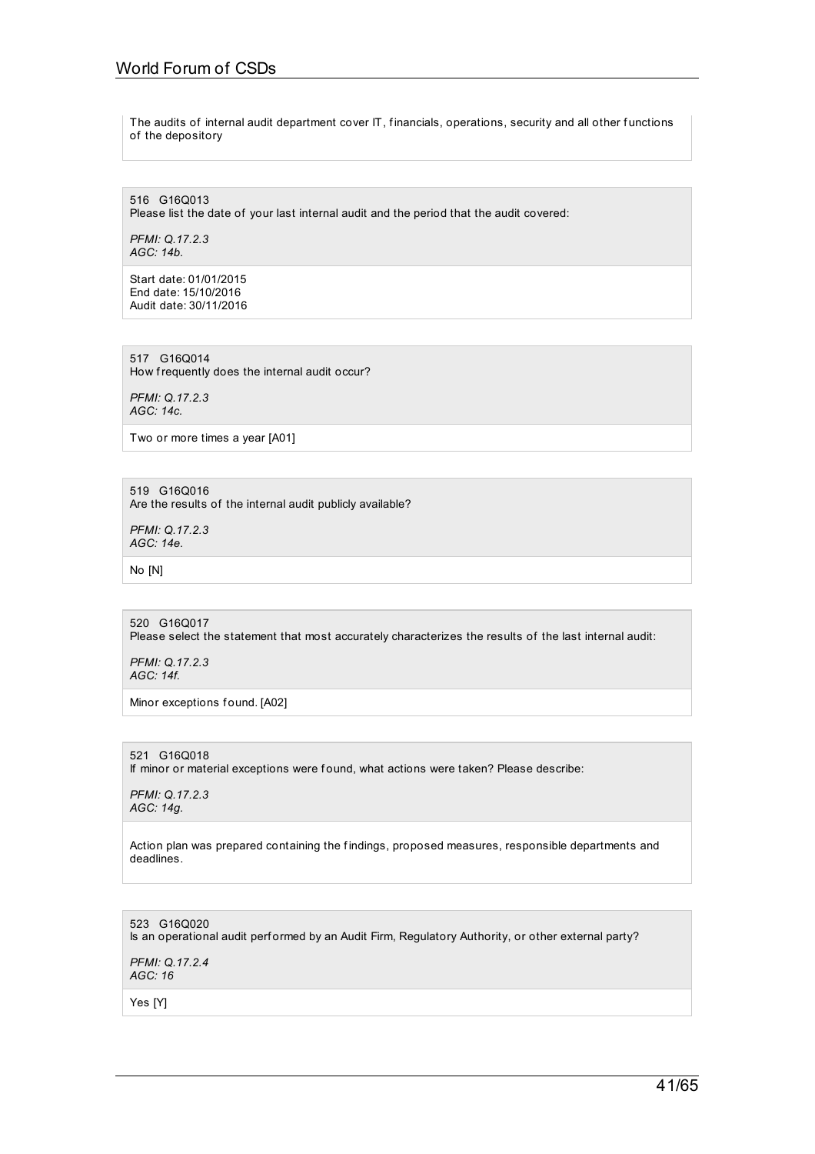# World Forum of CSDs

The audits of internal audit department cover IT, financials, operations, security and all other functions of the depository

516 G16Q013 Please list the date of your last internal audit and the period that the audit covered:

*PFMI: Q.17.2.3 AGC: 14b.*

Start date: 01/01/2015 End date: 15/10/2016 Audit date: 30/11/2016

517 G16Q014 How frequently does the internal audit occur?

*PFMI: Q.17.2.3 AGC: 14c.*

Two or more times a year [A01]

519 G16Q016 Are the results of the internal audit publicly available?

*PFMI: Q.17.2.3 AGC: 14e.*

No [N]

520 G16Q017 Please select the statement that most accurately characterizes the results of the last internal audit:

*PFMI: Q.17.2.3 AGC: 14f.*

Minor exceptions found. [A02]

### 521 G16Q018

If minor or material exceptions were f ound, what actions were taken? Please describe:

*PFMI: Q.17.2.3 AGC: 14g.*

Action plan was prepared containing the findings, proposed measures, responsible departments and deadlines.

523 G16Q020 Is an operational audit perf ormed by an Audit Firm, Regulatory Authority, or other external party? *PFMI: Q.17.2.4*

*AGC: 16*

Yes [Y]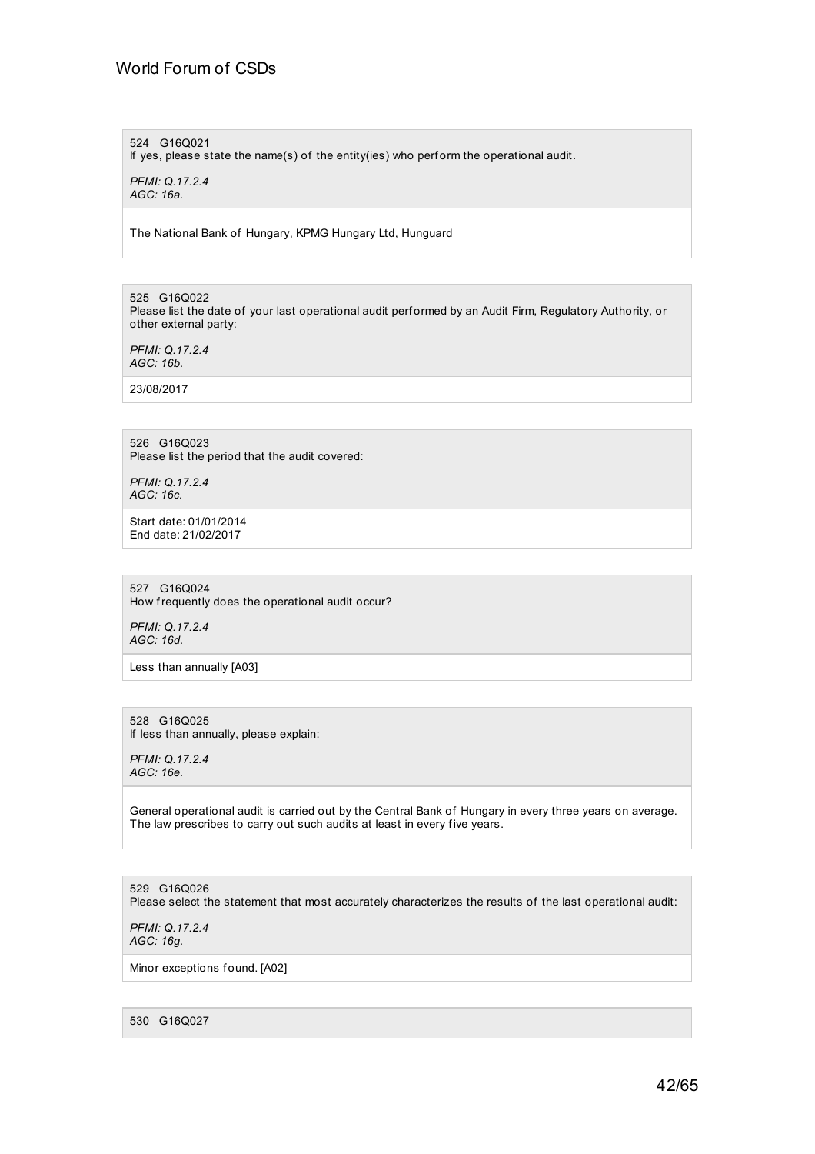### 524 G16Q021

If yes, please state the name(s) of the entity(ies) who perf orm the operational audit.

*PFMI: Q.17.2.4 AGC: 16a.*

The National Bank of Hungary, KPMG Hungary Ltd, Hunguard

525 G16Q022 Please list the date of your last operational audit perf ormed by an Audit Firm, Regulatory Authority, or other external party:

*PFMI: Q.17.2.4 AGC: 16b.*

23/08/2017

# 526 G16Q023

Please list the period that the audit covered:

*PFMI: Q.17.2.4 AGC: 16c.*

Start date: 01/01/2014 End date: 21/02/2017

527 G16Q024 How frequently does the operational audit occur?

*PFMI: Q.17.2.4 AGC: 16d.*

Less than annually [A03]

528 G16Q025 If less than annually, please explain:

*PFMI: Q.17.2.4 AGC: 16e.*

General operational audit is carried out by the Central Bank of Hungary in every three years on average. The law prescribes to carry out such audits at least in every five years.

529 G16Q026

Please select the statement that most accurately characterizes the results of the last operational audit:

*PFMI: Q.17.2.4 AGC: 16g.*

Minor exceptions found. [A02]

530 G16Q027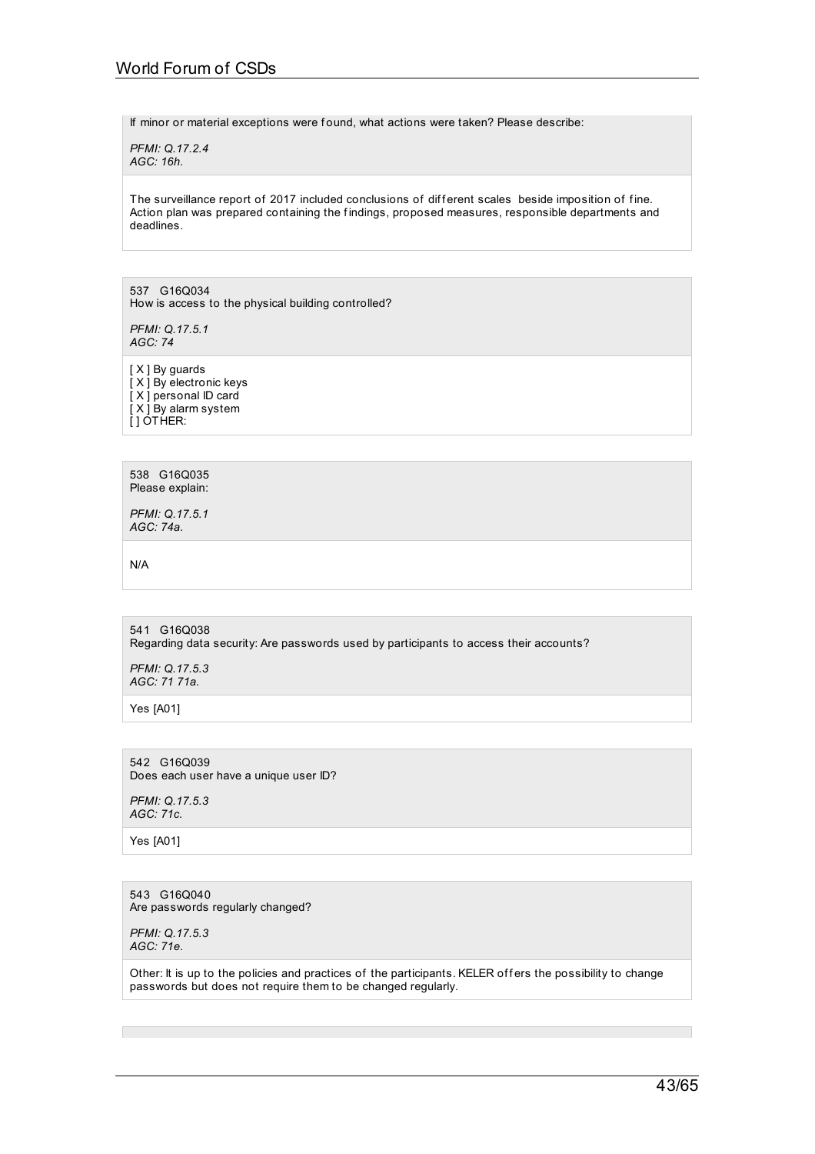If minor or material exceptions were found, what actions were taken? Please describe:

*PFMI: Q.17.2.4 AGC: 16h.*

The surveillance report of 2017 included conclusions of different scales beside imposition of fine. Action plan was prepared containing the findings, proposed measures, responsible departments and deadlines.

537 G16Q034 How is access to the physical building controlled?

*PFMI: Q.17.5.1 AGC: 74*

[  $X$  ] By guards [X] By electronic keys [X] personal ID card [ X ] By alarm system [] OTHER:

538 G16Q035 Please explain:

*PFMI: Q.17.5.1 AGC: 74a.*

N/A

541 G16Q038 Regarding data security: Are passwords used by participants to access their accounts?

*PFMI: Q.17.5.3 AGC: 71 71a.*

Yes [A01]

542 G16Q039 Does each user have a unique user ID?

*PFMI: Q.17.5.3 AGC: 71c.*

Yes [A01]

543 G16Q040 Are passwords regularly changed?

*PFMI: Q.17.5.3 AGC: 71e.*

Other: It is up to the policies and practices of the participants. KELER offers the possibility to change passwords but does not require them to be changed regularly.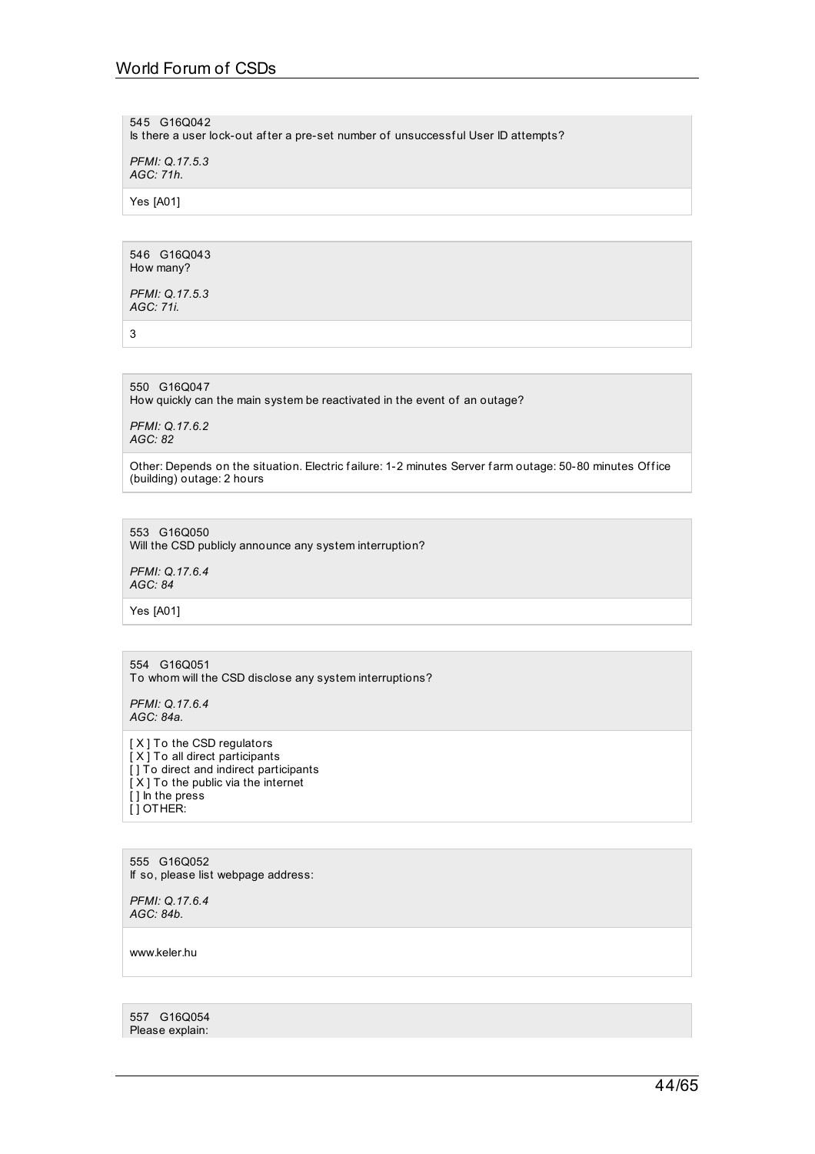545 G16Q042

Is there a user lock-out af ter a pre-set number of unsuccessf ul User ID attempts?

*PFMI: Q.17.5.3 AGC: 71h.*

Yes [A01]

546 G16Q043 How many?

*PFMI: Q.17.5.3 AGC: 71i.*

3

550 G16Q047 How quickly can the main system be reactivated in the event of an outage?

*PFMI: Q.17.6.2 AGC: 82*

Other: Depends on the situation. Electric failure: 1-2 minutes Server farm outage: 50-80 minutes Office (building) outage: 2 hours

553 G16Q050 Will the CSD publicly announce any system interruption?

*PFMI: Q.17.6.4 AGC: 84*

Yes [A01]

554 G16Q051 To whom will the CSD disclose any system interruptions?

*PFMI: Q.17.6.4 AGC: 84a.*

[ X ] To the CSD regulators [ X ] To all direct participants [] To direct and indirect participants [ X ] To the public via the internet [ ] In the press  $[$   $]$  OTHER:

555 G16Q052 If so, please list webpage address:

*PFMI: Q.17.6.4 AGC: 84b.*

www.keler.hu

557 G16Q054 Please explain: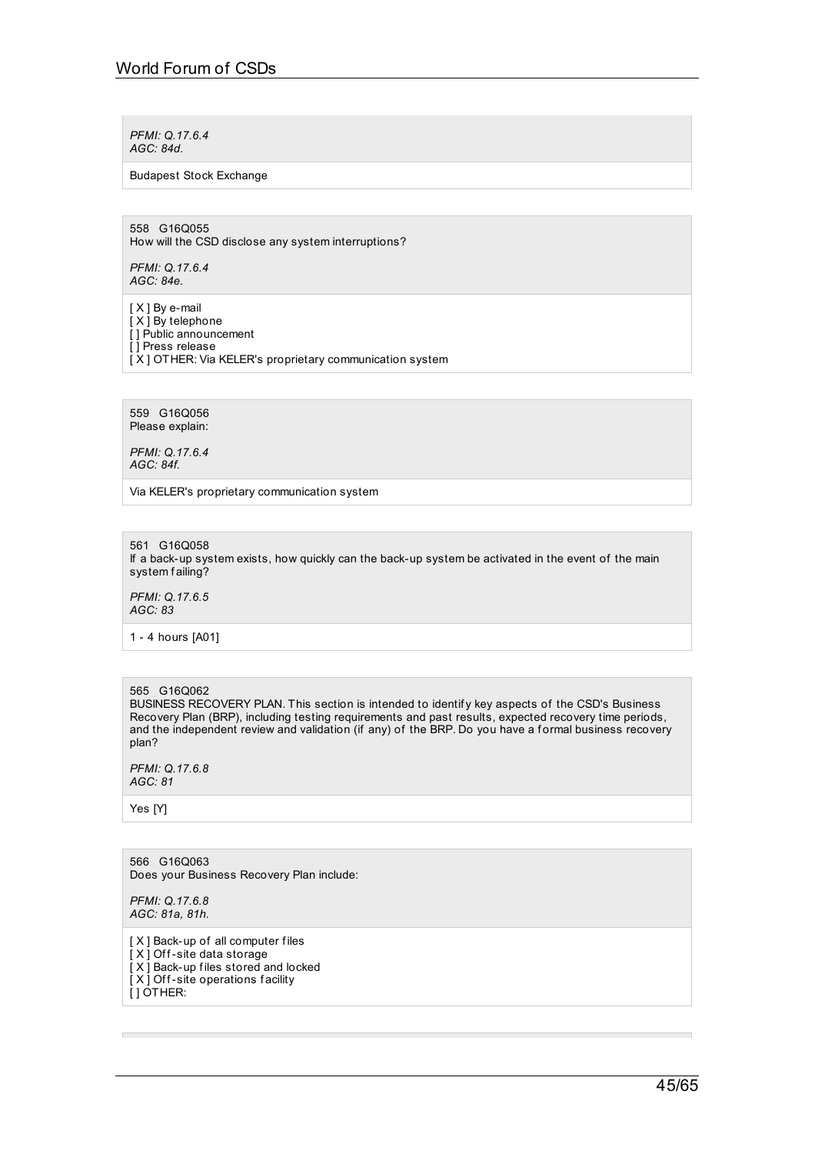*PFMI: Q.17.6.4 AGC: 84d.*

### Budapest Stock Exchange

558 G16Q055 How will the CSD disclose any system interruptions?

*PFMI: Q.17.6.4 AGC: 84e.*

[ X ] By e-mail [ $X$ ] By telephone [] Public announcement [ ] Press release [X] OTHER: Via KELER's proprietary communication system

559 G16Q056 Please explain:

*PFMI: Q.17.6.4 AGC: 84f.*

Via KELER's proprietary communication system

561 G16Q058 If a back-up system exists, how quickly can the back-up system be activated in the event of the main system failing?

*PFMI: Q.17.6.5 AGC: 83*

1 - 4 hours [A01]

# 565 G16Q062

BUSINESS RECOVERY PLAN. This section is intended to identify key aspects of the CSD's Business Recovery Plan (BRP), including testing requirements and past results, expected recovery time periods, and the independent review and validation (if any) of the BRP. Do you have a formal business recovery plan?

*PFMI: Q.17.6.8 AGC: 81*

Yes [Y]

566 G16Q063 Does your Business Recovery Plan include:

*PFMI: Q.17.6.8 AGC: 81a, 81h.*

[ X ] Back-up of all computer f iles  $\overline{[}$  X  $\overline{]}$  Off-site data storage [X] Back-up files stored and locked [X] Off-site operations facility [ ] OTHER: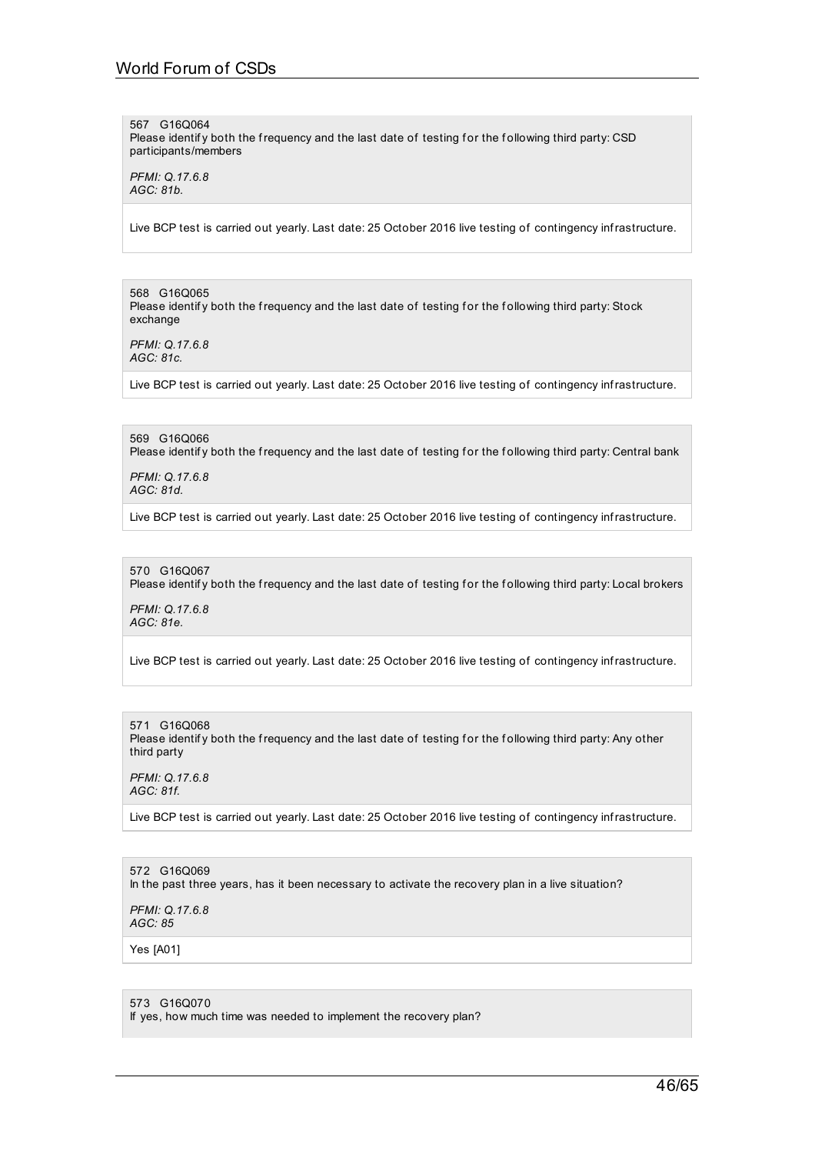567 G16Q064 Please identify both the frequency and the last date of testing for the following third party: CSD participants/members

*PFMI: Q.17.6.8 AGC: 81b.*

Live BCP test is carried out yearly. Last date: 25 October 2016 live testing of contingency infrastructure.

568 G16Q065 Please identify both the frequency and the last date of testing for the following third party: Stock exchange

*PFMI: Q.17.6.8 AGC: 81c.*

Live BCP test is carried out yearly. Last date: 25 October 2016 live testing of contingency infrastructure.

569 G16Q066 Please identify both the frequency and the last date of testing for the following third party: Central bank

*PFMI: Q.17.6.8 AGC: 81d.*

Live BCP test is carried out yearly. Last date: 25 October 2016 live testing of contingency infrastructure.

### 570 G16Q067

Please identify both the frequency and the last date of testing for the following third party: Local brokers

*PFMI: Q.17.6.8 AGC: 81e.*

Live BCP test is carried out yearly. Last date: 25 October 2016 live testing of contingency infrastructure.

571 G16Q068 Please identify both the frequency and the last date of testing for the following third party: Any other third party

*PFMI: Q.17.6.8 AGC: 81f.*

Live BCP test is carried out yearly. Last date: 25 October 2016 live testing of contingency infrastructure.

572 G16Q069 In the past three years, has it been necessary to activate the recovery plan in a live situation?

*PFMI: Q.17.6.8 AGC: 85*

Yes [A01]

573 G16Q070

If yes, how much time was needed to implement the recovery plan?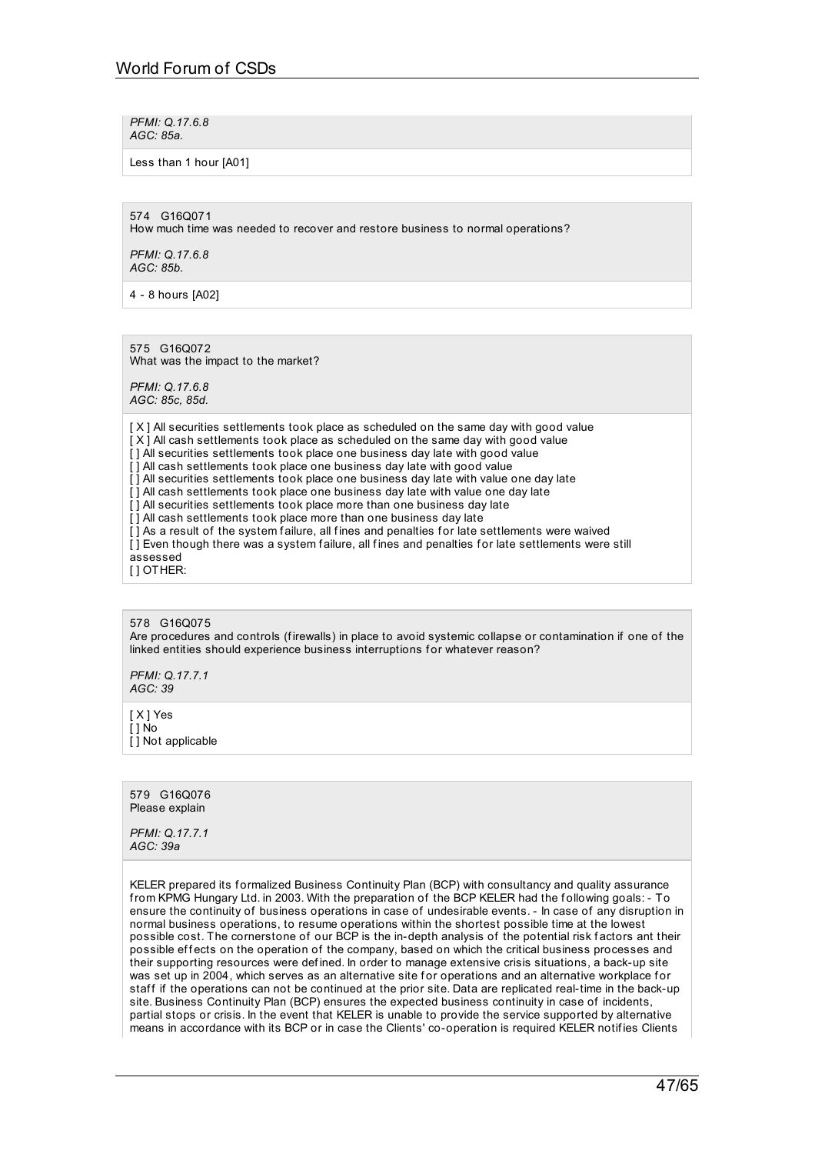*PFMI: Q.17.6.8 AGC: 85a.*

Less than 1 hour [A01]

574 G16Q071

How much time was needed to recover and restore business to normal operations?

*PFMI: Q.17.6.8 AGC: 85b.*

4 - 8 hours [A02]

575 G16Q072 What was the impact to the market?

*PFMI: Q.17.6.8 AGC: 85c, 85d.*

[X] All securities settlements took place as scheduled on the same day with good value [X] All cash settlements took place as scheduled on the same day with good value [ ] All securities settlements took place one business day late with good value [1] All cash settlements took place one business day late with good value [] All securities settlements took place one business day late with value one day late [] All cash settlements took place one business day late with value one day late  $\overline{11}$  All securities settlements took place more than one business day late [] All cash settlements took place more than one business day late [] As a result of the system failure, all fines and penalties for late settlements were waived [] Even though there was a system failure, all fines and penalties for late settlements were still assessed [ ] OTHER:

578 G16Q075 Are procedures and controls (f irewalls) in place to avoid systemic collapse or contamination if one of the linked entities should experience business interruptions for whatever reason?

*PFMI: Q.17.7.1 AGC: 39*

[ X ] Yes [ ] No  $\overline{[}$  ] Not applicable

579 G16Q076 Please explain

*PFMI: Q.17.7.1 AGC: 39a*

KELER prepared its formalized Business Continuity Plan (BCP) with consultancy and quality assurance from KPMG Hungary Ltd. in 2003. With the preparation of the BCP KELER had the following goals: - To ensure the continuity of business operations in case of undesirable events. - In case of any disruption in normal business operations, to resume operations within the shortest possible time at the lowest possible cost. The cornerstone of our BCP is the in-depth analysis of the potential risk factors ant their possible effects on the operation of the company, based on which the critical business processes and their supporting resources were def ined. In order to manage extensive crisis situations, a back-up site was set up in 2004, which serves as an alternative site for operations and an alternative workplace for staff if the operations can not be continued at the prior site. Data are replicated real-time in the back-up site. Business Continuity Plan (BCP) ensures the expected business continuity in case of incidents, partial stops or crisis. In the event that KELER is unable to provide the service supported by alternative means in accordance with its BCP or in case the Clients' co-operation is required KELER notif ies Clients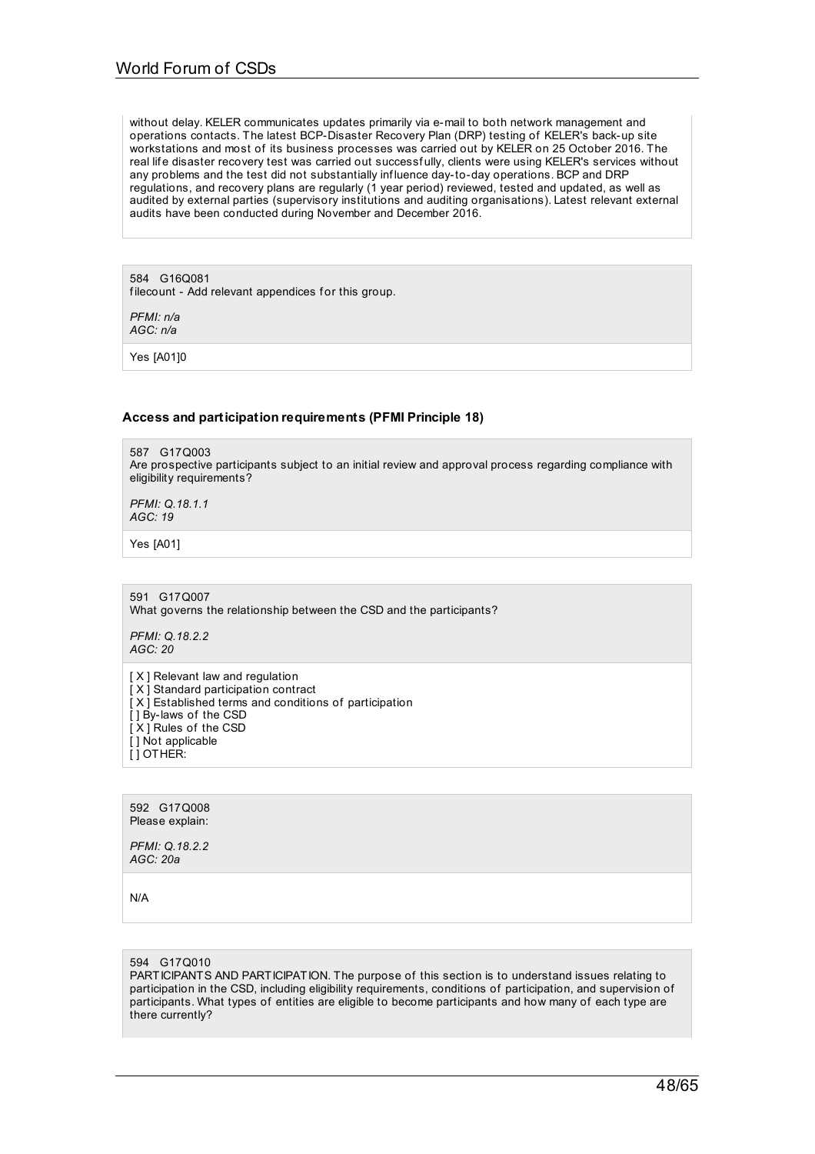without delay. KELER communicates updates primarily via e-mail to both network management and operations contacts. The latest BCP-Disaster Recovery Plan (DRP) testing of KELER's back-up site workstations and most of its business processes was carried out by KELER on 25 October 2016. The real life disaster recovery test was carried out successfully, clients were using KELER's services without any problems and the test did not substantially inf luence day-to-day operations. BCP and DRP regulations, and recovery plans are regularly (1 year period) reviewed, tested and updated, as well as audited by external parties (supervisory institutions and auditing organisations). Latest relevant external audits have been conducted during November and December 2016.

584 G16Q081 filecount - Add relevant appendices for this group.

*PFMI: n/a AGC: n/a*

Yes [A01]0

## **Access and participation requirements (PFMI Principle 18)**

587 G17Q003 Are prospective participants subject to an initial review and approval process regarding compliance with eligibility requirements?

*PFMI: Q.18.1.1 AGC: 19*

Yes [A01]

591 G17Q007 What governs the relationship between the CSD and the participants?

*PFMI: Q.18.2.2 AGC: 20*

[ X ] Relevant law and regulation [ $X$ ] Standard participation contract  $[X]$  Established terms and conditions of participation [ ] By-laws of the CSD [X] Rules of the CSD [] Not applicable [ ] OTHER:

592 G17Q008 Please explain:

*PFMI: Q.18.2.2 AGC: 20a*

N/A

594 G17Q010

PARTICIPANTS AND PARTICIPATION. The purpose of this section is to understand issues relating to participation in the CSD, including eligibility requirements, conditions of participation, and supervision of participants. What types of entities are eligible to become participants and how many of each type are there currently?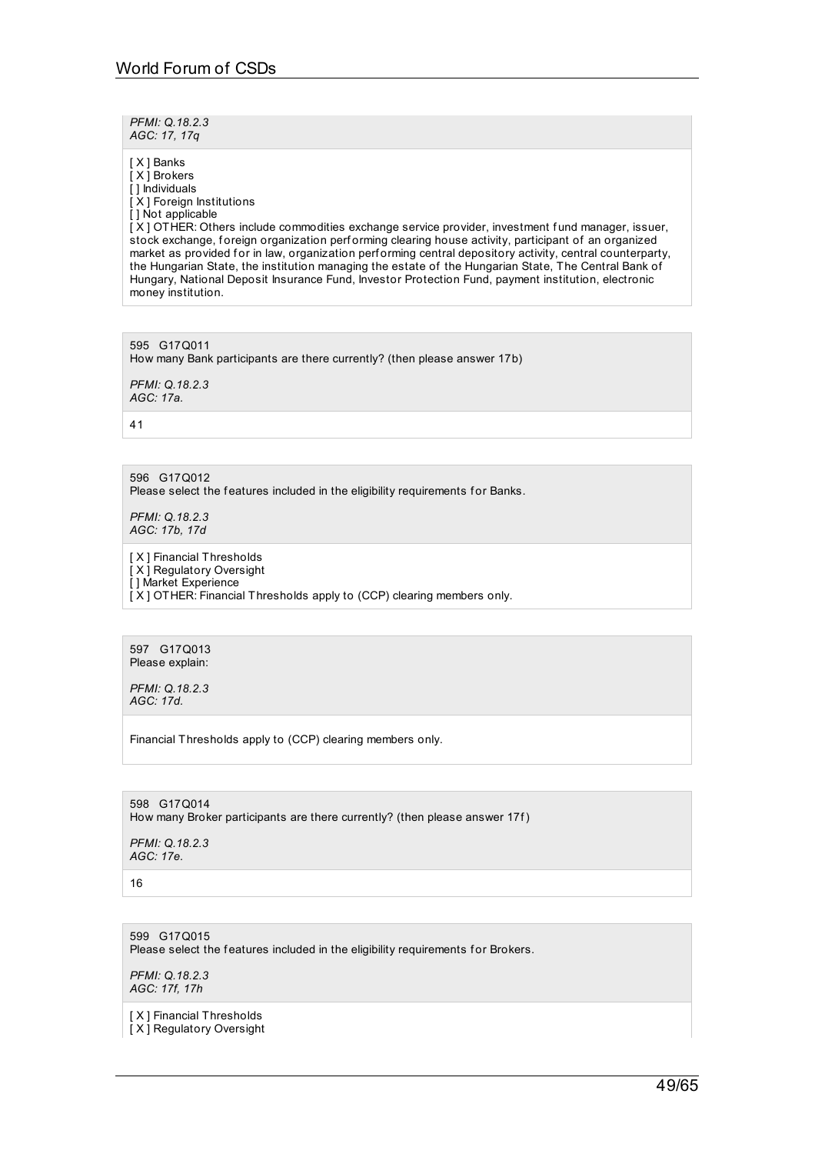*PFMI: Q.18.2.3 AGC: 17, 17q*

[ X ] Banks

[ X ] Brokers [ ] Individuals [X] Foreign Institutions [] Not applicable [ X ] OTHER: Others include commodities exchange service provider, investment f und manager, issuer, stock exchange, foreign organization performing clearing house activity, participant of an organized market as provided for in law, organization performing central depository activity, central counterparty, the Hungarian State, the institution managing the estate of the Hungarian State, The Central Bank of Hungary, National Deposit Insurance Fund, Investor Protection Fund, payment institution, electronic money institution.

595 G17Q011 How many Bank participants are there currently? (then please answer 17b) *PFMI: Q.18.2.3*

*AGC: 17a.*

41

596 G17Q012 Please select the features included in the eligibility requirements for Banks.

*PFMI: Q.18.2.3 AGC: 17b, 17d*

[ X ] Financial Thresholds [ X ] Regulatory Oversight [ ] Market Experience [X] OTHER: Financial Thresholds apply to (CCP) clearing members only.

597 G17Q013 Please explain:

*PFMI: Q.18.2.3 AGC: 17d.*

Financial Thresholds apply to (CCP) clearing members only.

598 G17Q014 How many Broker participants are there currently? (then please answer 17f)

*PFMI: Q.18.2.3 AGC: 17e.*

16

599 G17Q015 Please select the features included in the eligibility requirements for Brokers.

*PFMI: Q.18.2.3 AGC: 17f, 17h*

[ X ] Financial Thresholds

[ X ] Regulatory Oversight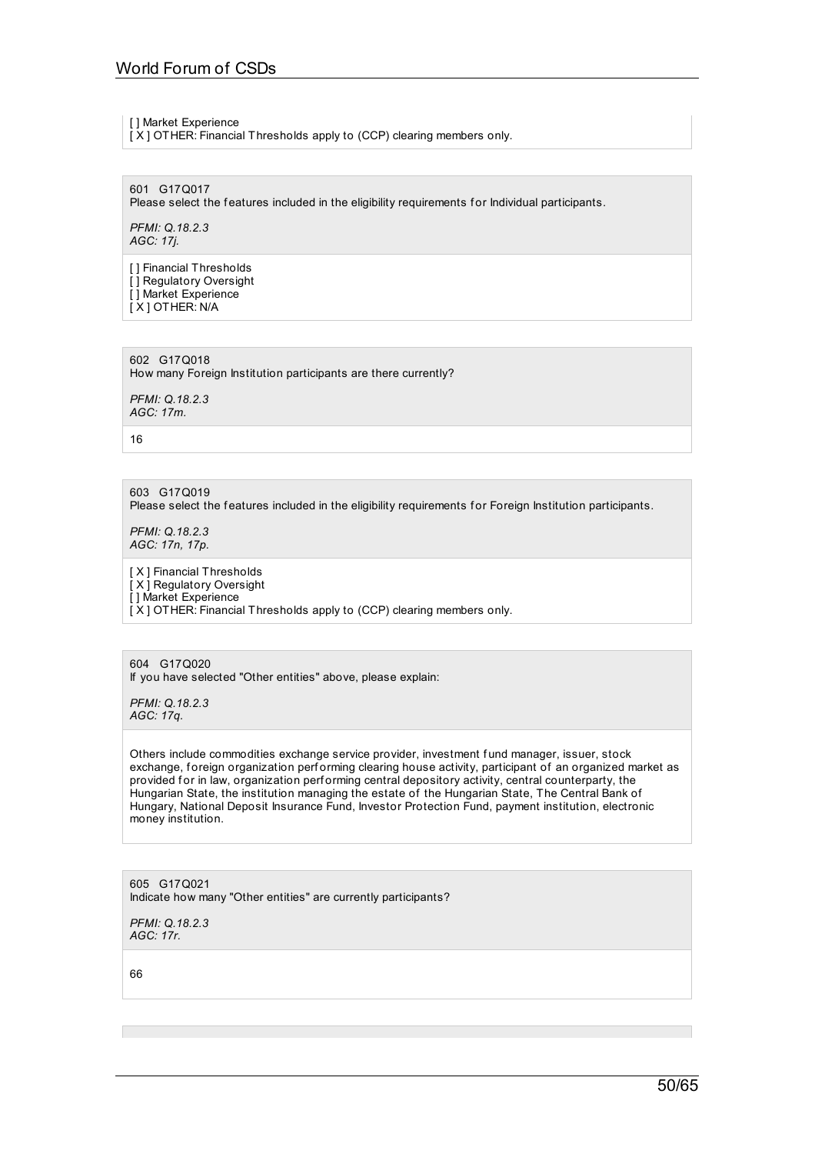[ ] Market Experience

[ X ] OTHER: Financial Thresholds apply to (CCP) clearing members only.

601 G17Q017 Please select the features included in the eligibility requirements for Individual participants.

*PFMI: Q.18.2.3 AGC: 17j.*

[] Financial Thresholds  $\overline{1}$  Regulatory Oversight [ ] Market Experience [ X ] OTHER: N/A

602 G17Q018 How many Foreign Institution participants are there currently?

*PFMI: Q.18.2.3 AGC: 17m.*

16

603 G17Q019 Please select the features included in the eligibility requirements for Foreign Institution participants.

*PFMI: Q.18.2.3 AGC: 17n, 17p.*

[ X ] Financial Thresholds [ X ] Regulatory Oversight [] Market Experience [X] OTHER: Financial Thresholds apply to (CCP) clearing members only.

604 G17Q020 If you have selected "Other entities" above, please explain:

*PFMI: Q.18.2.3 AGC: 17q.*

Others include commodities exchange service provider, investment f und manager, issuer, stock exchange, foreign organization performing clearing house activity, participant of an organized market as provided for in law, organization performing central depository activity, central counterparty, the Hungarian State, the institution managing the estate of the Hungarian State, The Central Bank of Hungary, National Deposit Insurance Fund, Investor Protection Fund, payment institution, electronic money institution.

605 G17Q021 Indicate how many "Other entities" are currently participants?

*PFMI: Q.18.2.3 AGC: 17r.*

66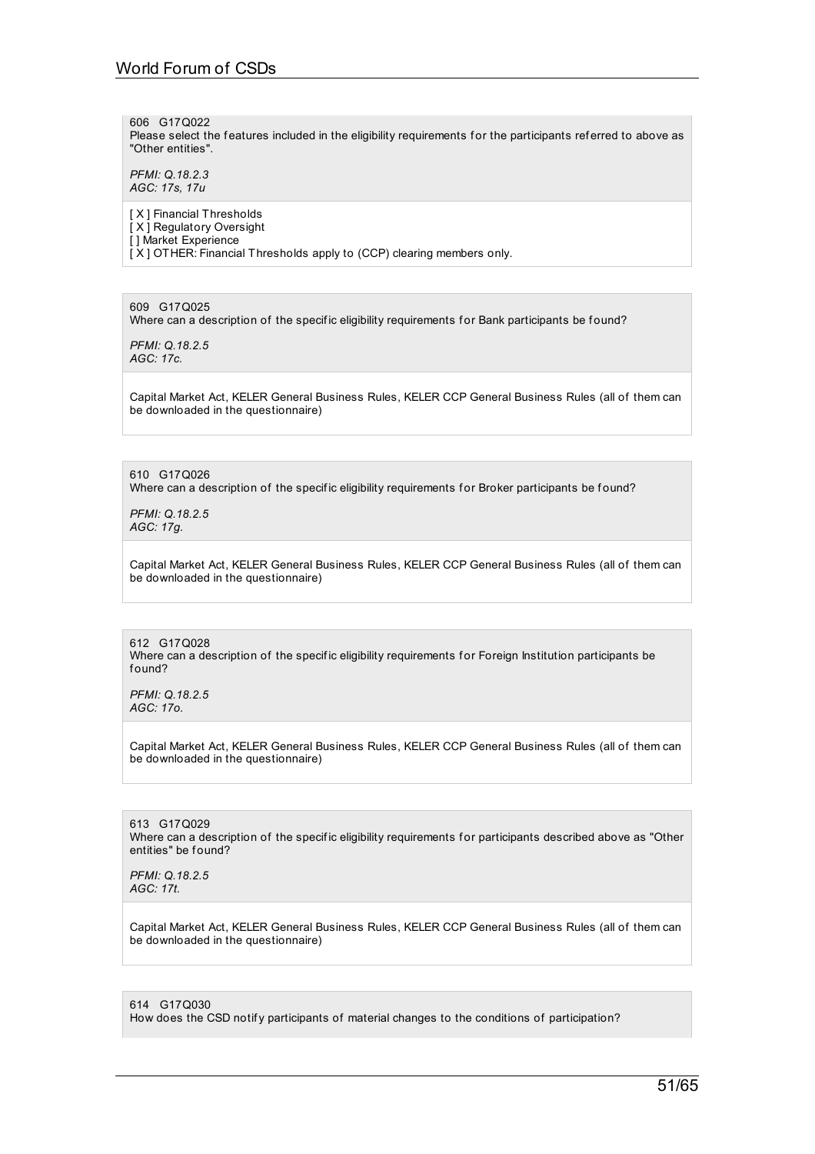606 G17Q022 Please select the features included in the eligibility requirements for the participants referred to above as "Other entities".

*PFMI: Q.18.2.3 AGC: 17s, 17u*

[ X ] Financial Thresholds [ X ] Regulatory Oversight [ ] Market Experience [X] OTHER: Financial Thresholds apply to (CCP) clearing members only.

609 G17Q025

Where can a description of the specific eligibility requirements for Bank participants be found?

*PFMI: Q.18.2.5 AGC: 17c.*

Capital Market Act, KELER General Business Rules, KELER CCP General Business Rules (all of them can be downloaded in the questionnaire)

610 G17Q026 Where can a description of the specific eligibility requirements for Broker participants be found?

*PFMI: Q.18.2.5 AGC: 17g.*

Capital Market Act, KELER General Business Rules, KELER CCP General Business Rules (all of them can be downloaded in the questionnaire)

612 G17Q028 Where can a description of the specific eligibility requirements for Foreign Institution participants be f ound?

*PFMI: Q.18.2.5 AGC: 17o.*

Capital Market Act, KELER General Business Rules, KELER CCP General Business Rules (all of them can be downloaded in the questionnaire)

613 G17Q029 Where can a description of the specific eligibility requirements for participants described above as "Other entities" be found?

*PFMI: Q.18.2.5 AGC: 17t.*

Capital Market Act, KELER General Business Rules, KELER CCP General Business Rules (all of them can be downloaded in the questionnaire)

614 G17Q030 How does the CSD notify participants of material changes to the conditions of participation?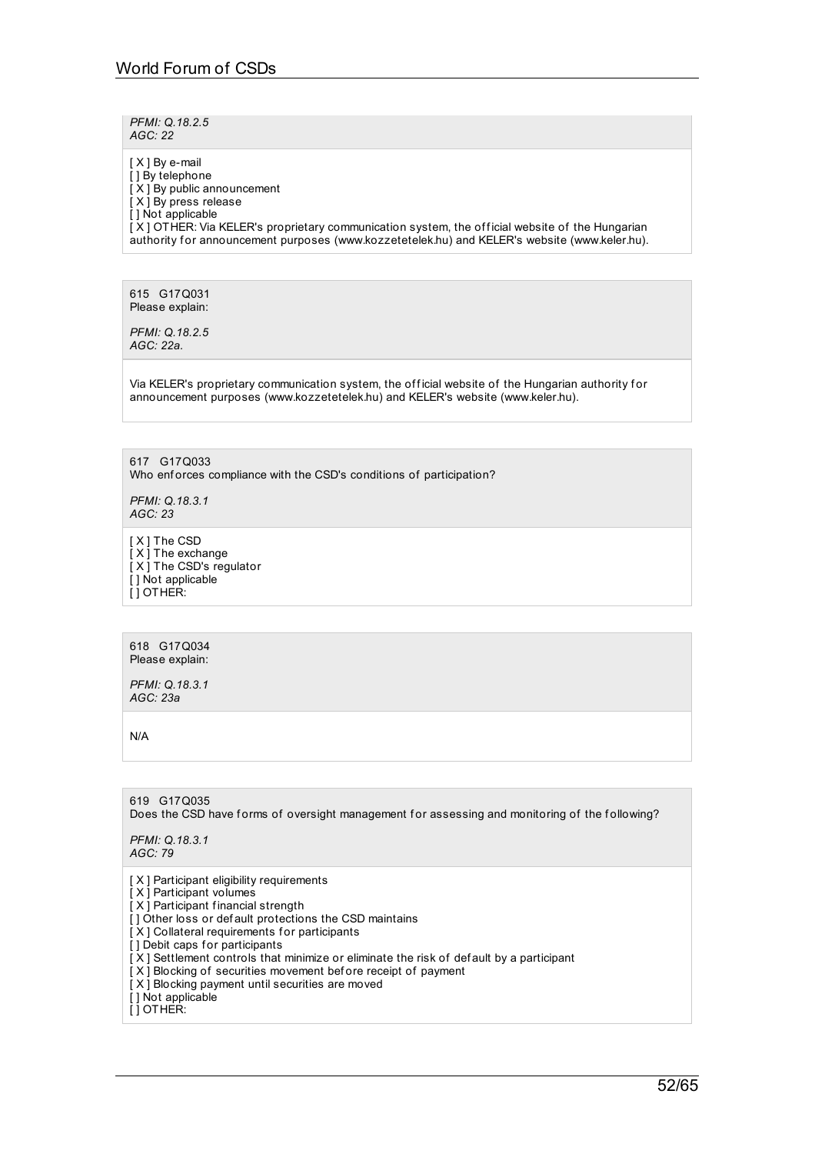*PFMI: Q.18.2.5 AGC: 22*

[  $X$  ] By e-mail [] By telephone  $[X]$  By public announcement [ X ] By press release [ ] Not applicable  $[X]$  OTHER: Via KELER's proprietary communication system, the official website of the Hungarian authority for announcement purposes (www.kozzetetelek.hu) and KELER's website (www.keler.hu).

615 G17Q031 Please explain:

*PFMI: Q.18.2.5 AGC: 22a.*

Via KELER's proprietary communication system, the official website of the Hungarian authority for announcement purposes (www.kozzetetelek.hu) and KELER's website (www.keler.hu).

617 G17Q033 Who enforces compliance with the CSD's conditions of participation?

*PFMI: Q.18.3.1 AGC: 23*

[ X ] The CSD [X] The exchange  $\overline{I}$  X  $\overline{I}$  The CSD's regulator [] Not applicable [ ] OTHER:

618 G17Q034 Please explain:

*PFMI: Q.18.3.1 AGC: 23a*

N/A

619 G17Q035 Does the CSD have forms of oversight management for assessing and monitoring of the following? *PFMI: Q.18.3.1 AGC: 79* [ X ] Participant eligibility requirements [ X ] Participant volumes  $[X]$  Participant financial strength [] Other loss or default protections the CSD maintains [X] Collateral requirements for participants [] Debit caps for participants [ X ] Settlement controls that minimize or eliminate the risk of def ault by a participant [ X ] Blocking of securities movement bef ore receipt of payment [ $X$ ] Blocking payment until securities are moved [ ] Not applicable [ ] OTHER: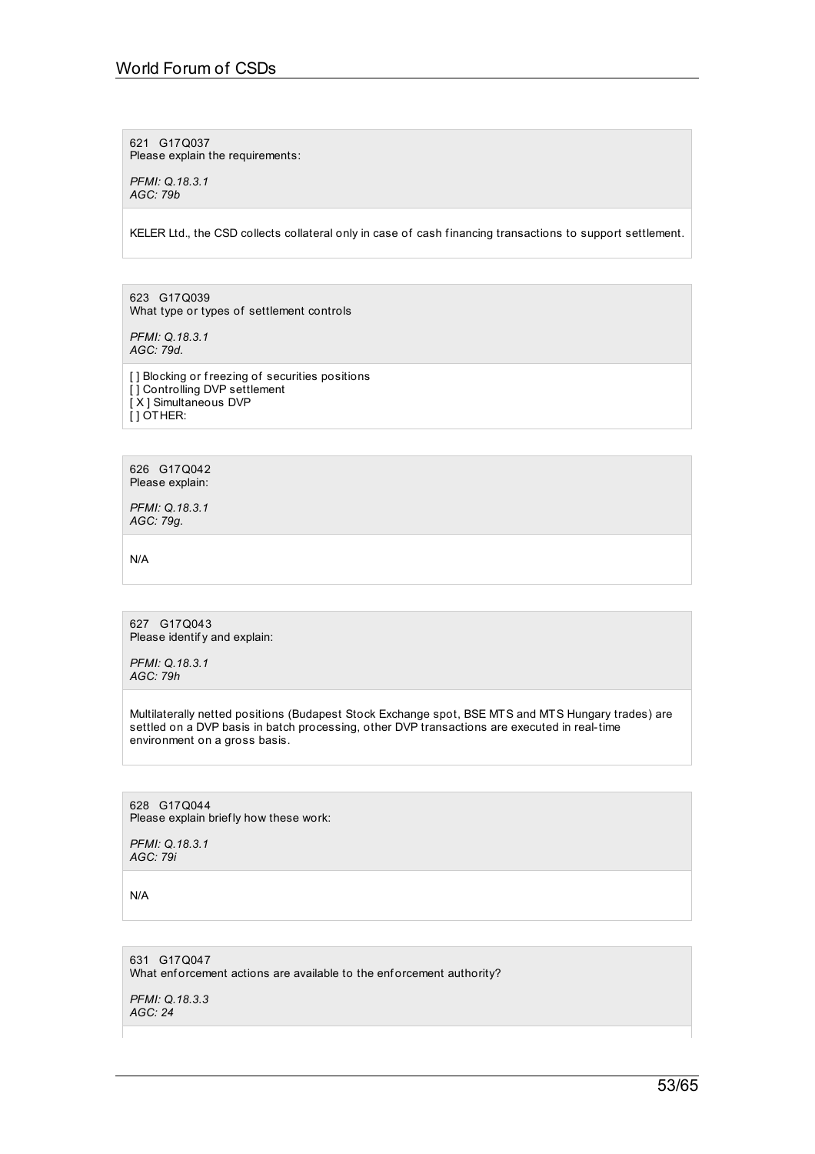621 G17Q037 Please explain the requirements:

*PFMI: Q.18.3.1 AGC: 79b*

KELER Ltd., the CSD collects collateral only in case of cash f inancing transactions to support settlement.

623 G17Q039 What type or types of settlement controls

*PFMI: Q.18.3.1 AGC: 79d.*

[ ] Blocking or freezing of securities positions [ ] Controlling DVP settlement [ X ] Simultaneous DVP [ ] OTHER:

626 G17Q042 Please explain:

*PFMI: Q.18.3.1 AGC: 79g.*

N/A

627 G17Q043 Please identify and explain:

*PFMI: Q.18.3.1 AGC: 79h*

Multilaterally netted positions (Budapest Stock Exchange spot, BSE MTS and MTS Hungary trades) are settled on a DVP basis in batch processing, other DVP transactions are executed in real-time environment on a gross basis.

628 G17Q044 Please explain brief ly how these work:

*PFMI: Q.18.3.1 AGC: 79i*

N/A

631 G17Q047 What enforcement actions are available to the enforcement authority?

*PFMI: Q.18.3.3 AGC: 24*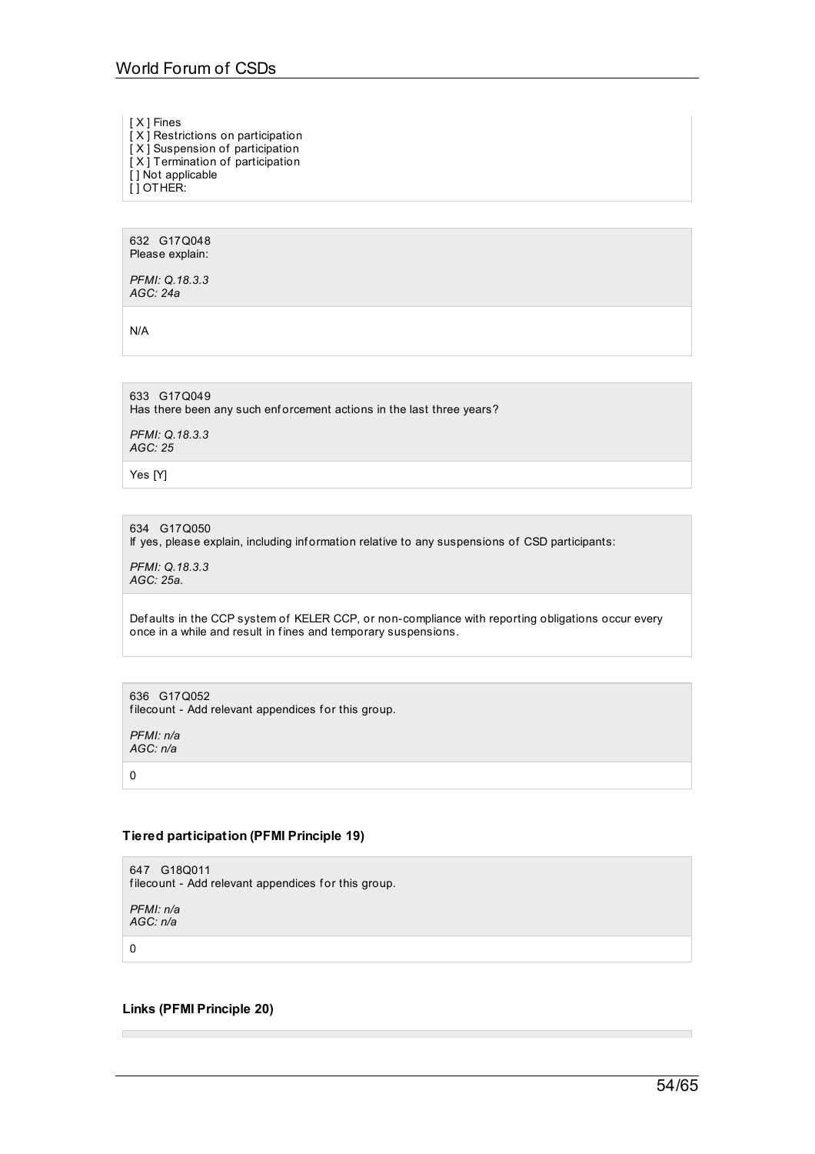[ X ] Fines

 $[X]$  Restrictions on participation

[ X ] Suspension of participation [ X ] Termination of participation

[ ] Not applicable

[ ] OTHER:

632 G17Q048 Please explain:

*PFMI: Q.18.3.3 AGC: 24a*

N/A

633 G17Q049 Has there been any such enforcement actions in the last three years? *PFMI: Q.18.3.3 AGC: 25*

Yes [Y]

634 G17Q050

If yes, please explain, including inf ormation relative to any suspensions of CSD participants:

*PFMI: Q.18.3.3 AGC: 25a.*

Def aults in the CCP system of KELER CCP, or non-compliance with reporting obligations occur every once in a while and result in f ines and temporary suspensions.

636 G17Q052

filecount - Add relevant appendices for this group.

*PFMI: n/a AGC: n/a*

 $\Omega$ 

# **Tiered participation (PFMI Principle 19)**

647 G18Q011 filecount - Add relevant appendices for this group.

*PFMI: n/a AGC: n/a*

0

п

# **Links (PFMI Principle 20)**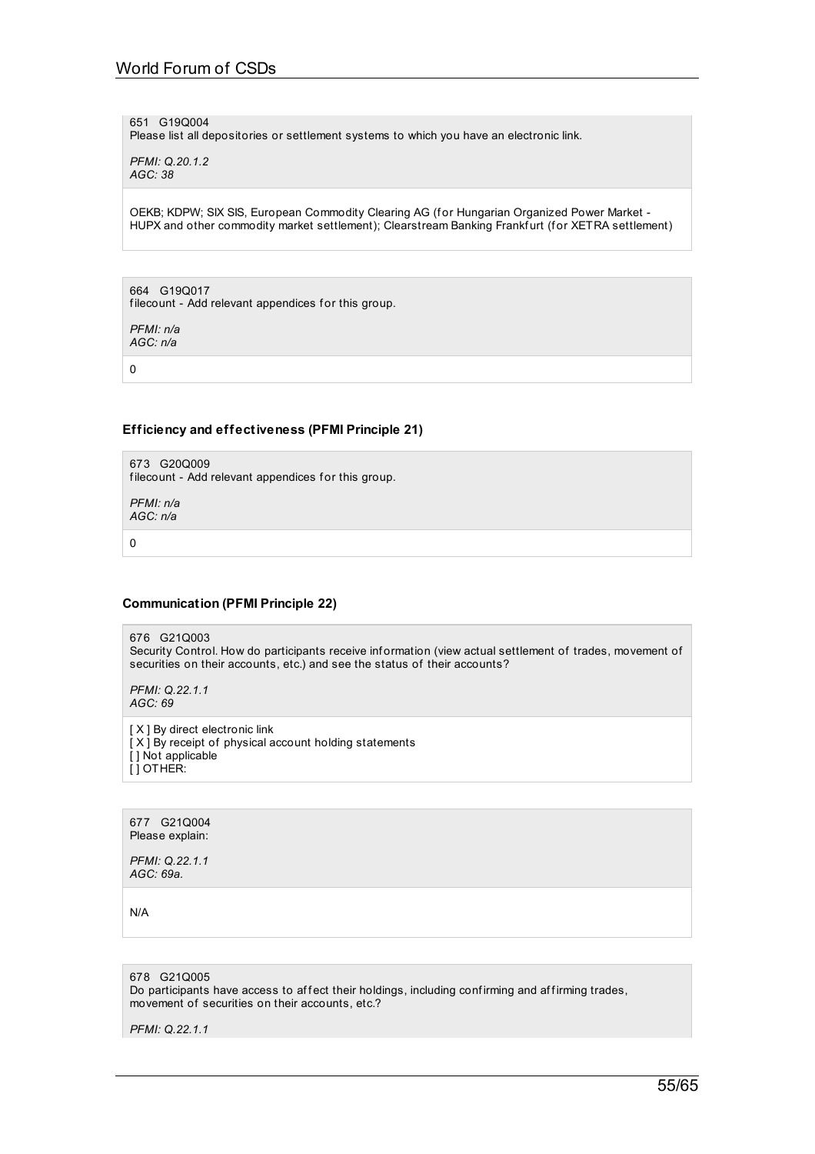651 G19Q004

Please list all depositories or settlement systems to which you have an electronic link.

*PFMI: Q.20.1.2 AGC: 38*

OEKB; KDPW; SIX SIS, European Commodity Clearing AG (for Hungarian Organized Power Market -HUPX and other commodity market settlement); Clearstream Banking Frankfurt (for XETRA settlement)

664 G19Q017 filecount - Add relevant appendices for this group.

*PFMI: n/a AGC: n/a*

0

# **Efficiency and effectiveness (PFMI Principle 21)**

673 G20Q009 filecount - Add relevant appendices for this group.

*PFMI: n/a AGC: n/a*

0

### **Communication (PFMI Principle 22)**

676 G21Q003 Security Control. How do participants receive inf ormation (view actual settlement of trades, movement of securities on their accounts, etc.) and see the status of their accounts?

*PFMI: Q.22.1.1 AGC: 69*

[ X ] By direct electronic link [X] By receipt of physical account holding statements [ ] Not applicable [ ] OTHER:

677 G21Q004 Please explain:

*PFMI: Q.22.1.1 AGC: 69a.*

N/A

678 G21Q005 Do participants have access to affect their holdings, including confirming and affirming trades, movement of securities on their accounts, etc.?

*PFMI: Q.22.1.1*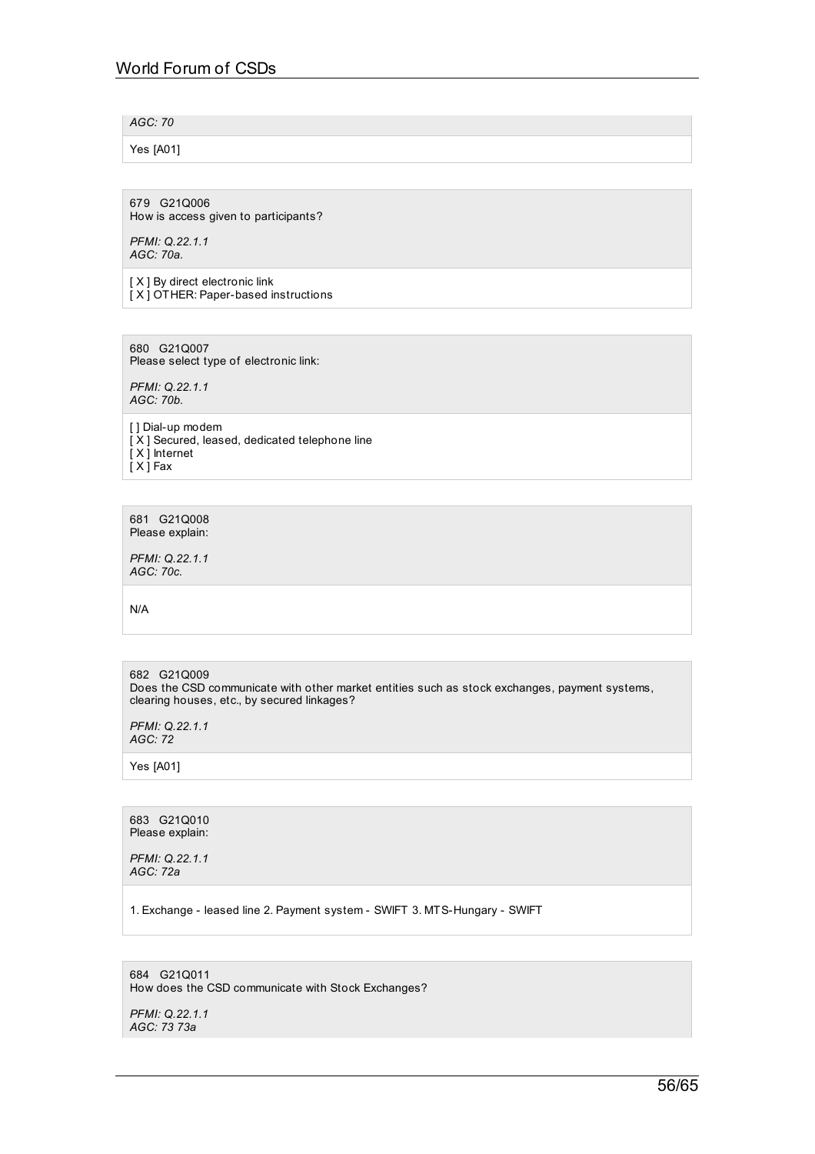*AGC: 70*

Yes [A01]

679 G21Q006 How is access given to participants?

*PFMI: Q.22.1.1 AGC: 70a.*

[ X ] By direct electronic link [ X ] OTHER: Paper-based instructions

680 G21Q007 Please select type of electronic link:

*PFMI: Q.22.1.1 AGC: 70b.*

[ ] Dial-up modem [ X ] Secured, leased, dedicated telephone line [ X ] Internet  $\dot{x}$  X  $\dot{y}$  Fax

681 G21Q008 Please explain:

*PFMI: Q.22.1.1 AGC: 70c.*

N/A

682 G21Q009 Does the CSD communicate with other market entities such as stock exchanges, payment systems, clearing houses, etc., by secured linkages?

*PFMI: Q.22.1.1 AGC: 72*

Yes [A01]

683 G21Q010 Please explain:

*PFMI: Q.22.1.1 AGC: 72a*

1. Exchange - leased line 2. Payment system - SWIFT 3. MTS-Hungary - SWIFT

684 G21Q011 How does the CSD communicate with Stock Exchanges?

*PFMI: Q.22.1.1 AGC: 73 73a*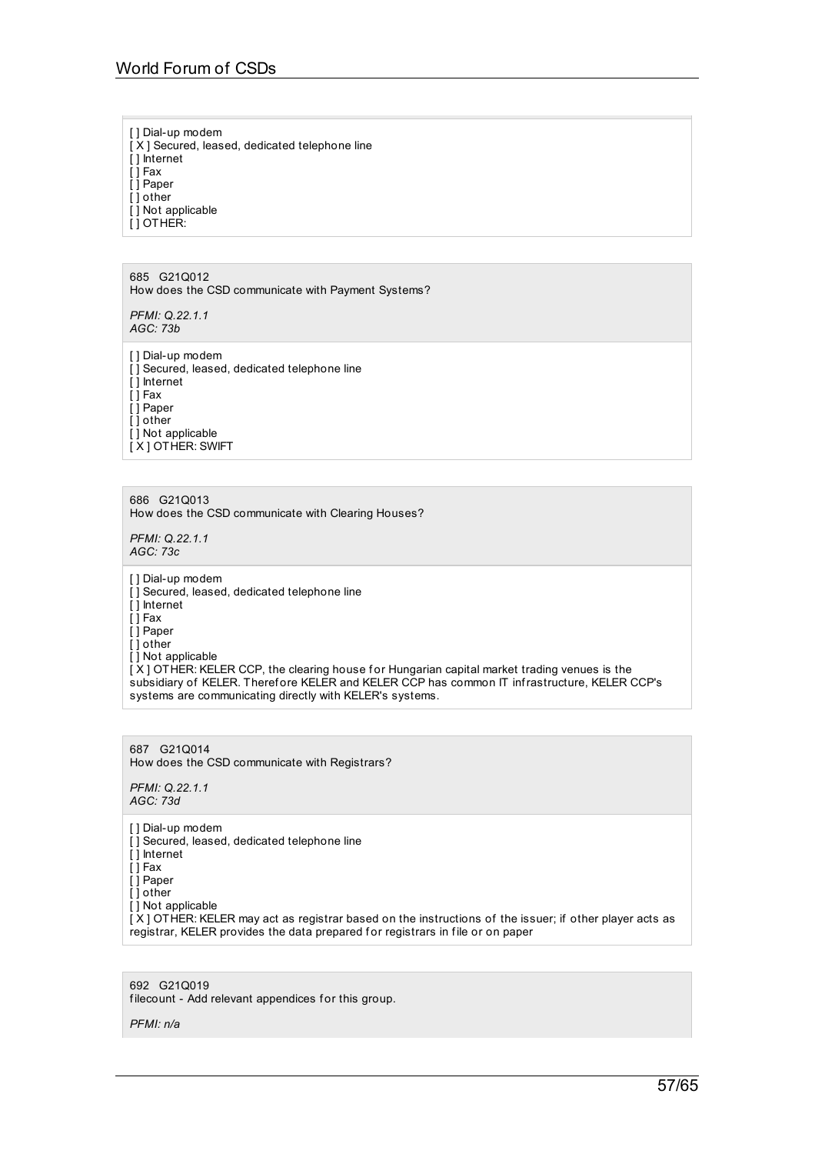[ ] Dial-up modem  $[X]$  Secured, leased, dedicated telephone line [ ] Internet [ ] Fax [ ] Paper [ ] other [] Not applicable  $\overline{ }$ [ ] OTHER:

685 G21Q012 How does the CSD communicate with Payment Systems?

*PFMI: Q.22.1.1 AGC: 73b*

[] Dial-up modem [ ] Secured, leased, dedicated telephone line [ ] Internet  $[$ ] Fax [ ] Paper [ ] other [] Not applicable IX 1 OT HER: SWIFT

686 G21Q013 How does the CSD communicate with Clearing Houses?

*PFMI: Q.22.1.1 AGC: 73c*

[ ] Dial-up modem [] Secured, leased, dedicated telephone line [ ] Internet [ ] Fax [ ] Paper [ ] other [] Not applicable  $\tilde{X}$ ] OTHER: KELER CCP, the clearing house for Hungarian capital market trading venues is the subsidiary of KELER. Therefore KELER and KELER CCP has common IT infrastructure, KELER CCP's systems are communicating directly with KELER's systems.

687 G21Q014 How does the CSD communicate with Registrars?

*PFMI: Q.22.1.1 AGC: 73d*

[ ] Dial-up modem [] Secured, leased, dedicated telephone line [ ] Internet [ ] Fax  $\overline{ }$ [ ] Paper [ ] other [] Not applicable [ X ] OTHER: KELER may act as registrar based on the instructions of the issuer; if other player acts as registrar, KELER provides the data prepared for registrars in file or on paper

692 G21Q019 filecount - Add relevant appendices for this group.

*PFMI: n/a*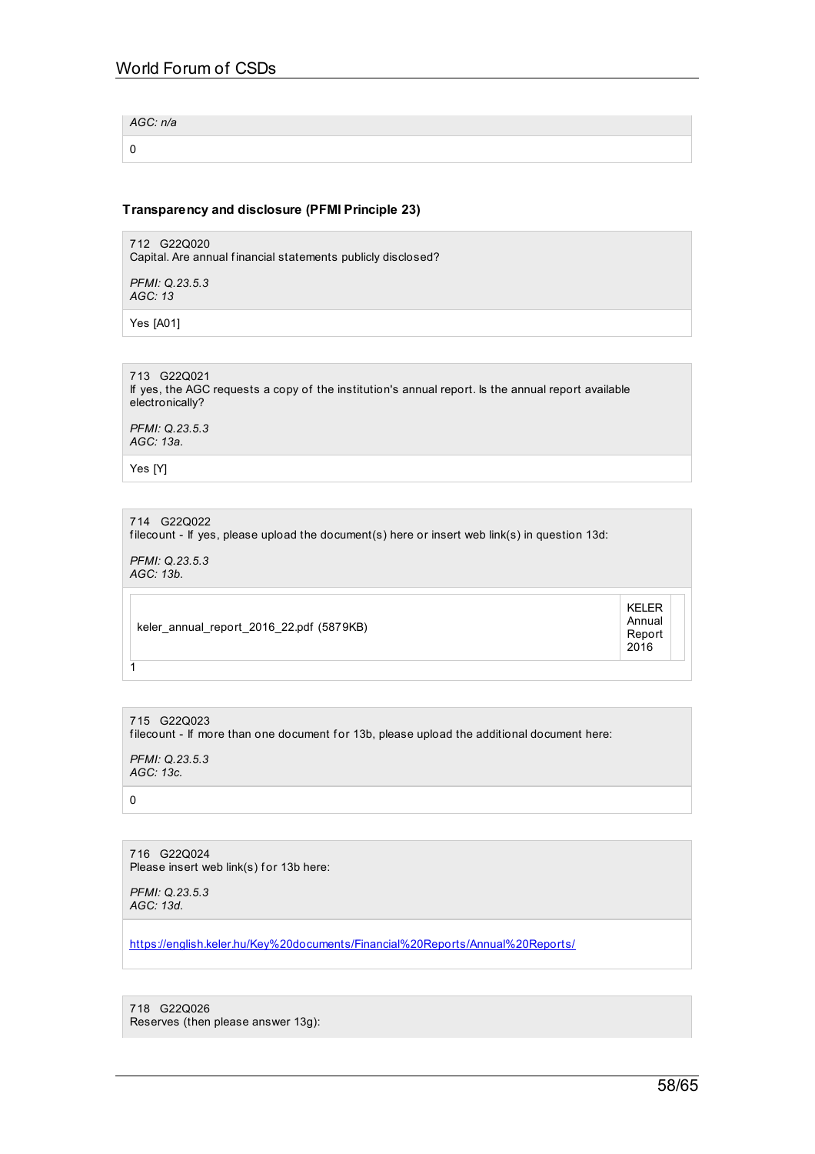*AGC: n/a*

0

# **Transparency and disclosure (PFMI Principle 23)**

712 G22Q020 Capital. Are annual financial statements publicly disclosed?

*PFMI: Q.23.5.3 AGC: 13*

Yes [A01]

713 G22Q021 If yes, the AGC requests a copy of the institution's annual report. Is the annual report available electronically?

*PFMI: Q.23.5.3 AGC: 13a.*

Yes [Y]

714 G22Q022 filecount - If yes, please upload the document(s) here or insert web link(s) in question 13d:

*PFMI: Q.23.5.3 AGC: 13b.*

keler\_annual\_report\_2016\_22.pdf (5879KB)

KELER Annual Report 2016

715 G22Q023 filecount - If more than one document for 13b, please upload the additional document here:

*PFMI: Q.23.5.3 AGC: 13c.*

0

 $\overline{1}$ 

716 G22Q024 Please insert web link(s) for 13b here:

*PFMI: Q.23.5.3 AGC: 13d.*

[https://english.keler.hu/Key%20documents/Financial%20Reports/Annual%20Reports/](https://english.keler.hu/Key documents/Financial Reports/Annual Reports/)

718 G22Q026 Reserves (then please answer 13g):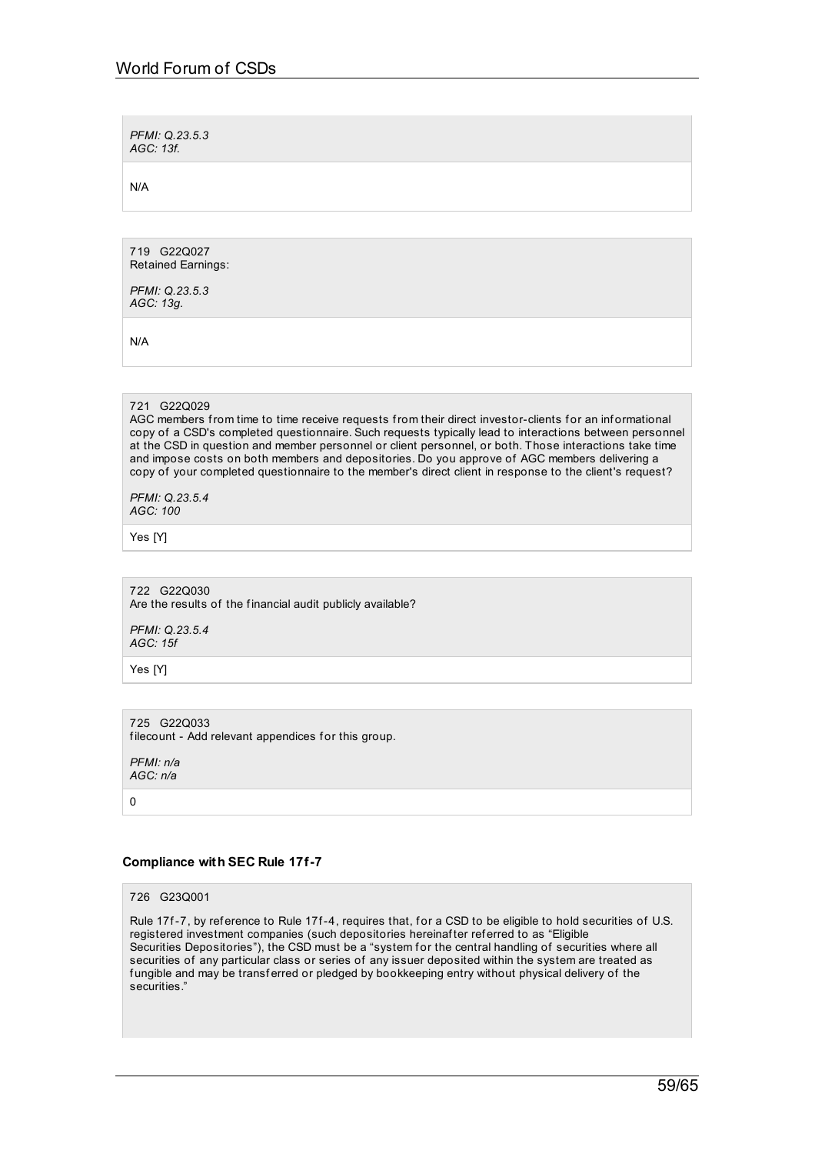*PFMI: Q.23.5.3 AGC: 13f.*

N/A

719 G22Q027 Retained Earnings:

*PFMI: Q.23.5.3 AGC: 13g.*

N/A

### 721 G22Q029

AGC members from time to time receive requests from their direct investor-clients for an informational copy of a CSD's completed questionnaire. Such requests typically lead to interactions between personnel at the CSD in question and member personnel or client personnel, or both. Those interactions take time and impose costs on both members and depositories. Do you approve of AGC members delivering a copy of your completed questionnaire to the member's direct client in response to the client's request?

*PFMI: Q.23.5.4 AGC: 100*

Yes [Y]

722 G22Q030 Are the results of the financial audit publicly available?

*PFMI: Q.23.5.4 AGC: 15f*

Yes [Y]

725 G22Q033 filecount - Add relevant appendices for this group.

*PFMI: n/a AGC: n/a*

 $\overline{0}$ 

### **Compliance with SEC Rule 17f-7**

# 726 G23Q001

Rule 17f-7, by reference to Rule 17f-4, requires that, for a CSD to be eligible to hold securities of U.S. registered investment companies (such depositories hereinafter referred to as "Eligible Securities Depositories"), the CSD must be a "system for the central handling of securities where all securities of any particular class or series of any issuer deposited within the system are treated as f ungible and may be transf erred or pledged by bookkeeping entry without physical delivery of the securities."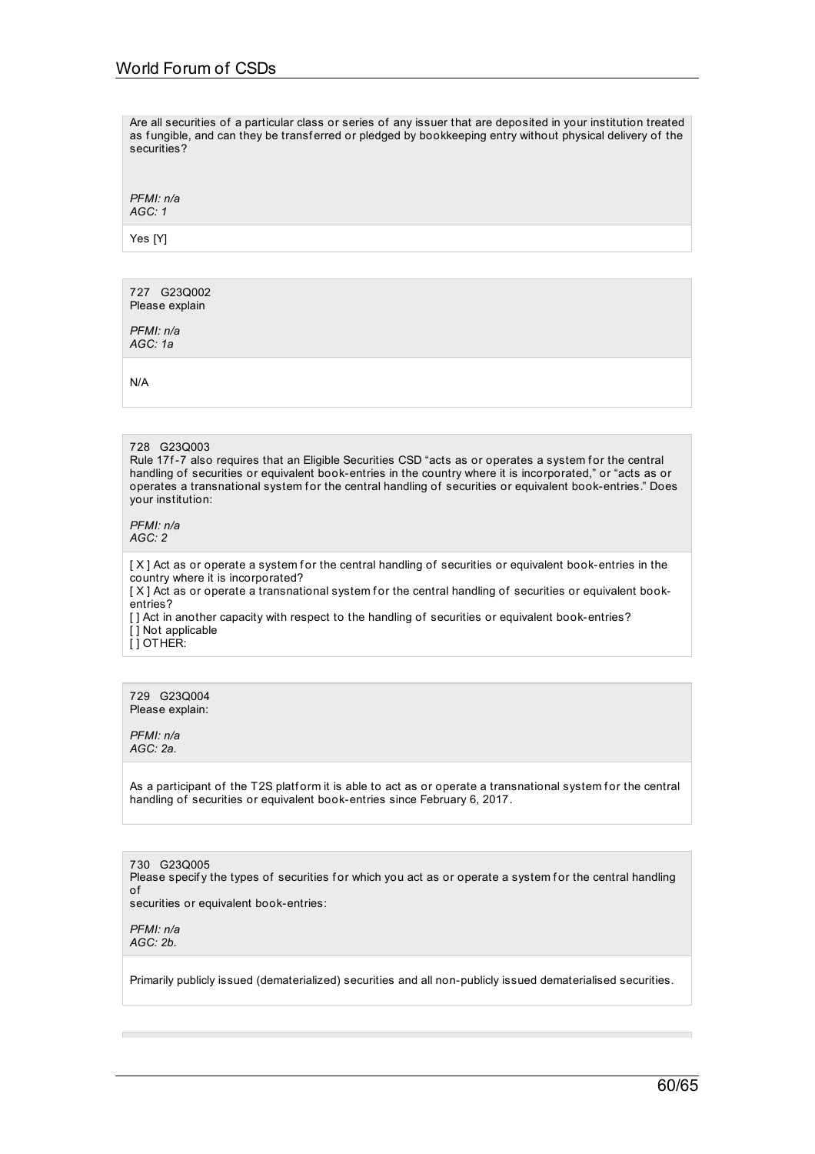Are all securities of a particular class or series of any issuer that are deposited in your institution treated as fungible, and can they be transferred or pledged by bookkeeping entry without physical delivery of the securities?

*PFMI: n/a AGC: 1*

Yes [Y]

727 G23Q002 Please explain

*PFMI: n/a AGC: 1a*

N/A

### 728 G23Q003

Rule 17f-7 also requires that an Eligible Securities CSD "acts as or operates a system for the central handling of securities or equivalent book-entries in the country where it is incorporated," or "acts as or operates a transnational system for the central handling of securities or equivalent book-entries." Does your institution:

*PFMI: n/a AGC: 2*

 $[X]$  Act as or operate a system for the central handling of securities or equivalent book-entries in the country where it is incorporated?

[X] Act as or operate a transnational system for the central handling of securities or equivalent bookentries?

[] Act in another capacity with respect to the handling of securities or equivalent book-entries? [] Not applicable

[ ] OTHER:

729 G23Q004 Please explain:

*PFMI: n/a AGC: 2a.*

As a participant of the T2S platform it is able to act as or operate a transnational system for the central handling of securities or equivalent book-entries since February 6, 2017.

730 G23Q005 Please specify the types of securities for which you act as or operate a system for the central handling of securities or equivalent book-entries:

*PFMI: n/a AGC: 2b.*

Primarily publicly issued (dematerialized) securities and all non-publicly issued dematerialised securities.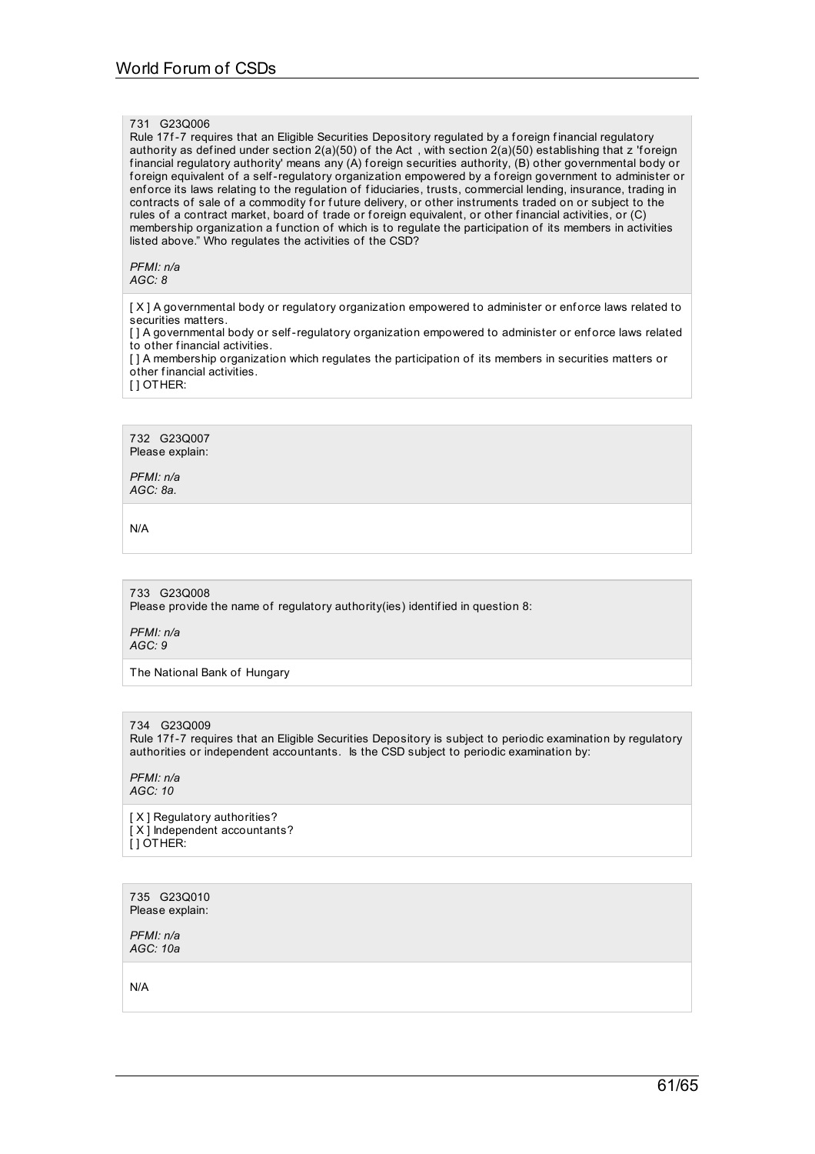### 731 G23Q006

Rule 17f-7 requires that an Eligible Securities Depository regulated by a foreign financial regulatory authority as defined under section  $2(a)(50)$  of the Act, with section  $2(a)(50)$  establishing that z 'foreign financial regulatory authority' means any (A) foreign securities authority, (B) other governmental body or foreign equivalent of a self-regulatory organization empowered by a foreign government to administer or enf orce its laws relating to the regulation of f iduciaries, trusts, commercial lending, insurance, trading in contracts of sale of a commodity for future delivery, or other instruments traded on or subject to the rules of a contract market, board of trade or foreign equivalent, or other financial activities, or (C) membership organization a function of which is to regulate the participation of its members in activities listed above." Who regulates the activities of the CSD?

### *PFMI: n/a AGC: 8*

[X] A governmental body or regulatory organization empowered to administer or enforce laws related to securities matters.

[ ] A governmental body or self-regulatory organization empowered to administer or enforce laws related to other f inancial activities.

[ ] A membership organization which regulates the participation of its members in securities matters or other financial activities.

[ ] OTHER:

732 G23Q007 Please explain:

*PFMI: n/a AGC: 8a.*

N/A

# 733 G23Q008

Please provide the name of regulatory authority(ies) identif ied in question 8:

*PFMI: n/a AGC: 9*

The National Bank of Hungary

### 734 G23Q009

Rule 17f-7 requires that an Eligible Securities Depository is subject to periodic examination by regulatory authorities or independent accountants. Is the CSD subject to periodic examination by:

*PFMI: n/a AGC: 10*

[ X ] Regulatory authorities? [ $X$ ] Independent accountants? [ ] OTHER:

735 G23Q010 Please explain:

*PFMI: n/a AGC: 10a*

N/A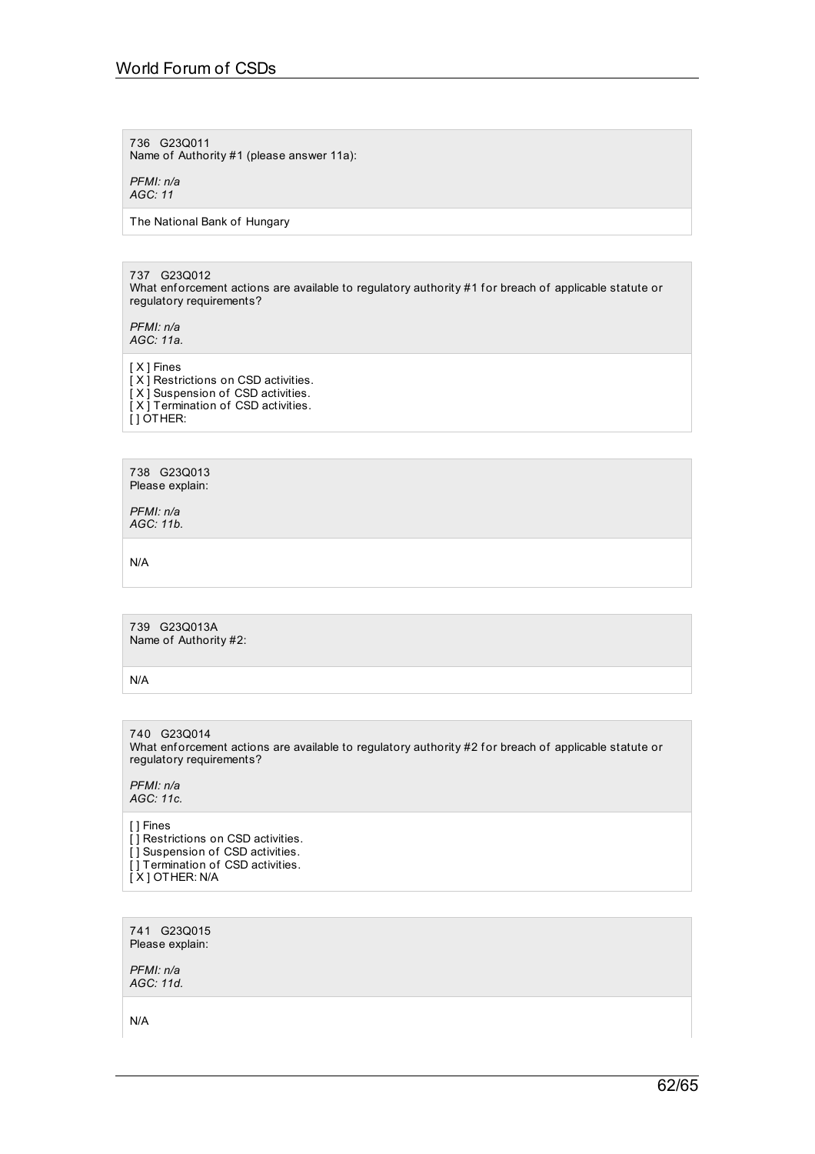# World Forum of CSDs

736 G23Q011 Name of Authority #1 (please answer 11a):

*PFMI: n/a*

*AGC: 11*

The National Bank of Hungary

737 G23Q012 What enf orcement actions are available to regulatory authority #1 for breach of applicable statute or regulatory requirements?

*PFMI: n/a AGC: 11a.*

[ X ] Fines [X] Restrictions on CSD activities. [ X ] Suspension of CSD activities.

[ X ] Termination of CSD activities.  $[$ ] OTHER:

738 G23Q013 Please explain:

*PFMI: n/a AGC: 11b.*

N/A

739 G23Q013A Name of Authority #2:

N/A

740 G23Q014 What enforcement actions are available to regulatory authority #2 for breach of applicable statute or regulatory requirements?

*PFMI: n/a AGC: 11c.*

[ ] Fines  $\overline{[}$ ] Restrictions on CSD activities.

[ ] Suspension of CSD activities. [] Termination of CSD activities. [ X ] OTHER: N/A

741 G23Q015 Please explain:

*PFMI: n/a AGC: 11d.*

N/A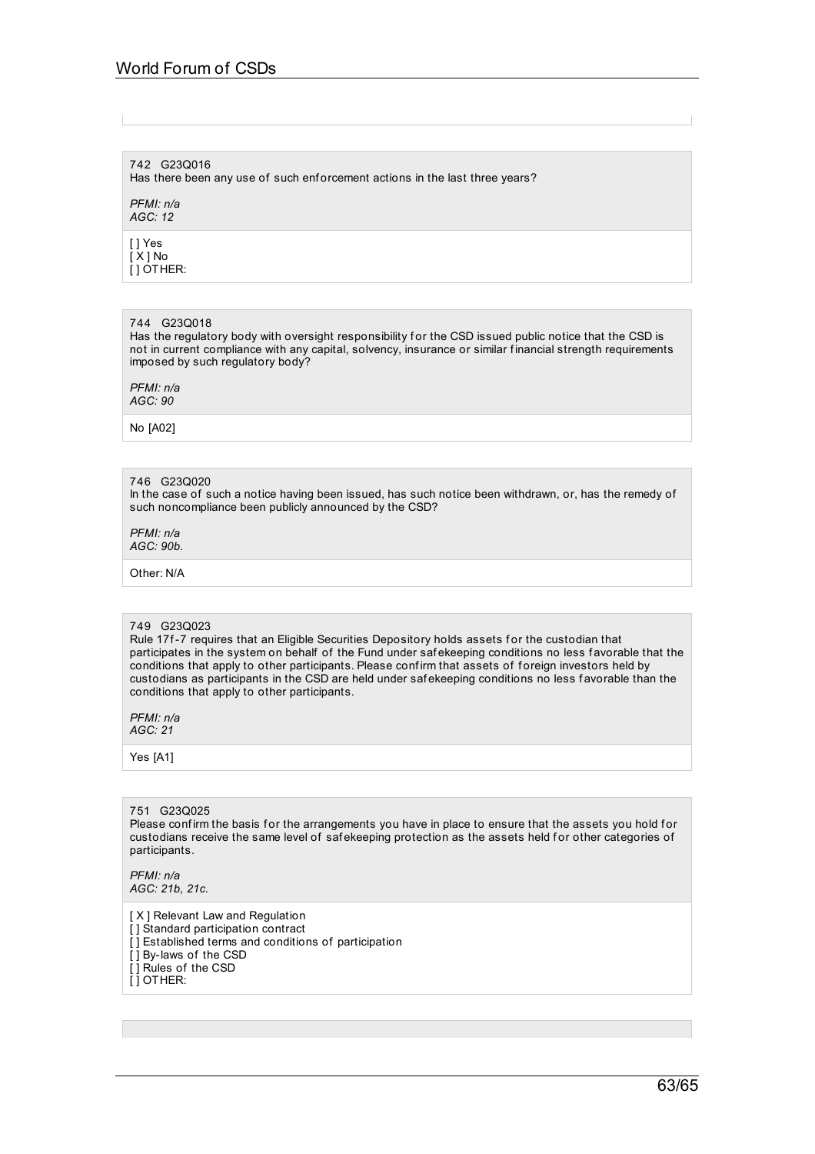# 742 G23Q016

Has there been any use of such enforcement actions in the last three years?

*PFMI: n/a AGC: 12*

[ ] Yes [ X ] No  $\overline{ }$ [ ] OTHER:

### 744 G23Q018

Has the regulatory body with oversight responsibility for the CSD issued public notice that the CSD is not in current compliance with any capital, solvency, insurance or similar f inancial strength requirements imposed by such regulatory body?

*PFMI: n/a AGC: 90*

No [A02]

### 746 G23Q020

In the case of such a notice having been issued, has such notice been withdrawn, or, has the remedy of such noncompliance been publicly announced by the CSD?

*PFMI: n/a AGC: 90b.*

Other: N/A

#### 749 G23Q023

Rule 17f-7 requires that an Eligible Securities Depository holds assets for the custodian that participates in the system on behalf of the Fund under safekeeping conditions no less favorable that the conditions that apply to other participants. Please conf irm that assets of f oreign investors held by custodians as participants in the CSD are held under saf ekeeping conditions no less f avorable than the conditions that apply to other participants.

*PFMI: n/a AGC: 21*

Yes [A1]

### 751 G23Q025

Please confirm the basis for the arrangements you have in place to ensure that the assets you hold for custodians receive the same level of safekeeping protection as the assets held for other categories of participants.

*PFMI: n/a AGC: 21b, 21c.*

[ X ] Relevant Law and Regulation

- [] Standard participation contract [] Established terms and conditions of participation
- [ ] By-laws of the CSD
- [ ] Rules of the CSD
- [ ] OTHER: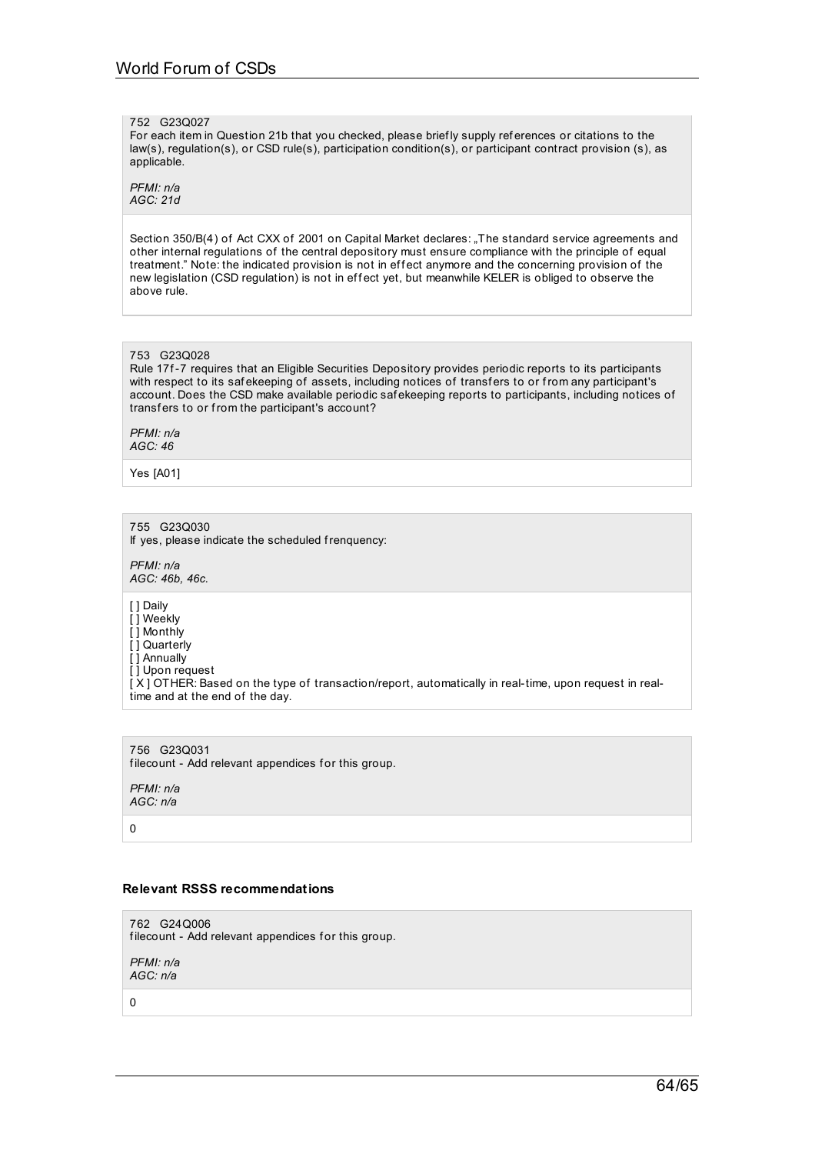#### 752 G23Q027

For each item in Question 21b that you checked, please briefly supply references or citations to the law(s), regulation(s), or CSD rule(s), participation condition(s), or participant contract provision (s), as applicable.

*PFMI: n/a AGC: 21d*

Section 350/B(4) of Act CXX of 2001 on Capital Market declares: "The standard service agreements and other internal regulations of the central depository must ensure compliance with the principle of equal treatment." Note: the indicated provision is not in effect anymore and the concerning provision of the new legislation (CSD regulation) is not in effect yet, but meanwhile KELER is obliged to observe the above rule.

### 753 G23Q028

Rule 17f-7 requires that an Eligible Securities Depository provides periodic reports to its participants with respect to its safekeeping of assets, including notices of transfers to or from any participant's account. Does the CSD make available periodic saf ekeeping reports to participants, including notices of transfers to or from the participant's account?

*PFMI: n/a AGC: 46*

Yes [A01]

755 G23Q030

If yes, please indicate the scheduled frenquency:

*PFMI: n/a AGC: 46b, 46c.*

[ ] Daily

[] Weekly

[ ] Monthly

[ ] Quarterly [ ] Annually

[ ] Upon request

[ X ] OTHER: Based on the type of transaction/report, automatically in real-time, upon request in realtime and at the end of the day.

756 G23Q031 filecount - Add relevant appendices for this group.

*PFMI: n/a AGC: n/a*

0

### **Relevant RSSS recommendations**

762 G24Q006 filecount - Add relevant appendices for this group.

*PFMI: n/a AGC: n/a*

0